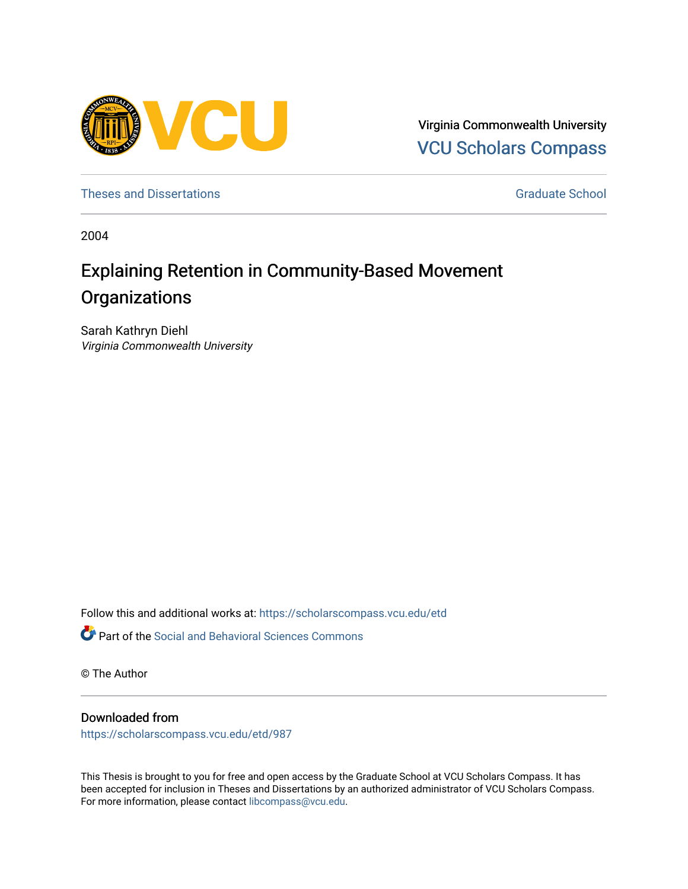

Virginia Commonwealth University [VCU Scholars Compass](https://scholarscompass.vcu.edu/) 

[Theses and Dissertations](https://scholarscompass.vcu.edu/etd) [Graduate School](https://scholarscompass.vcu.edu/gradschool) and Dissertations Graduate School and Dissertations Graduate School and Dissertations Graduate School and Dissertations Graduate School and Dissertations Graduate School and Dissert

2004

# Explaining Retention in Community-Based Movement **Organizations**

Sarah Kathryn Diehl Virginia Commonwealth University

Follow this and additional works at: [https://scholarscompass.vcu.edu/etd](https://scholarscompass.vcu.edu/etd?utm_source=scholarscompass.vcu.edu%2Fetd%2F987&utm_medium=PDF&utm_campaign=PDFCoverPages) 

Part of the [Social and Behavioral Sciences Commons](http://network.bepress.com/hgg/discipline/316?utm_source=scholarscompass.vcu.edu%2Fetd%2F987&utm_medium=PDF&utm_campaign=PDFCoverPages) 

© The Author

# Downloaded from

[https://scholarscompass.vcu.edu/etd/987](https://scholarscompass.vcu.edu/etd/987?utm_source=scholarscompass.vcu.edu%2Fetd%2F987&utm_medium=PDF&utm_campaign=PDFCoverPages) 

This Thesis is brought to you for free and open access by the Graduate School at VCU Scholars Compass. It has been accepted for inclusion in Theses and Dissertations by an authorized administrator of VCU Scholars Compass. For more information, please contact [libcompass@vcu.edu](mailto:libcompass@vcu.edu).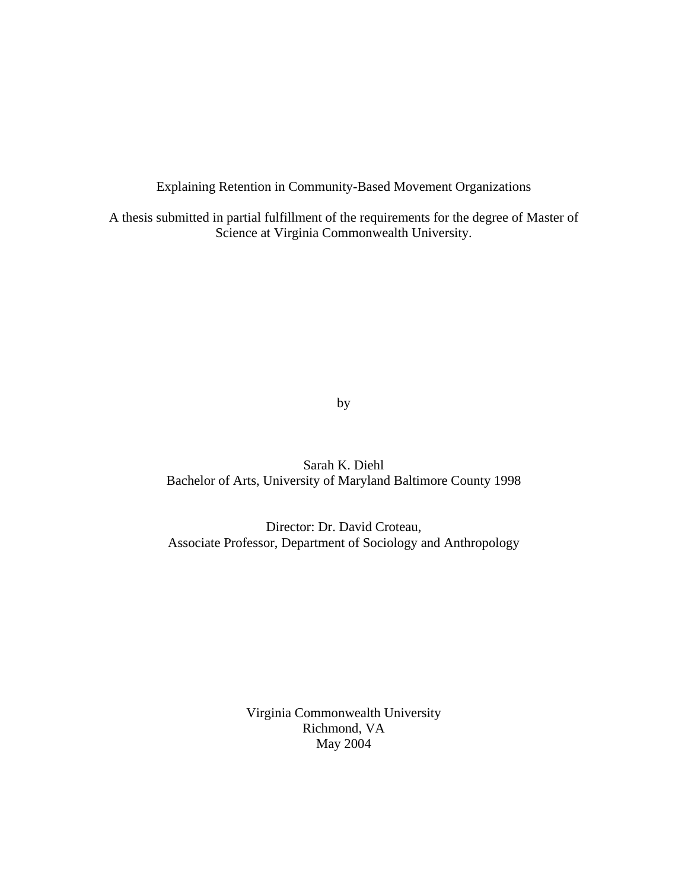Explaining Retention in Community-Based Movement Organizations

A thesis submitted in partial fulfillment of the requirements for the degree of Master of Science at Virginia Commonwealth University.

by

Sarah K. Diehl Bachelor of Arts, University of Maryland Baltimore County 1998

Director: Dr. David Croteau, Associate Professor, Department of Sociology and Anthropology

> Virginia Commonwealth University Richmond, VA May 2004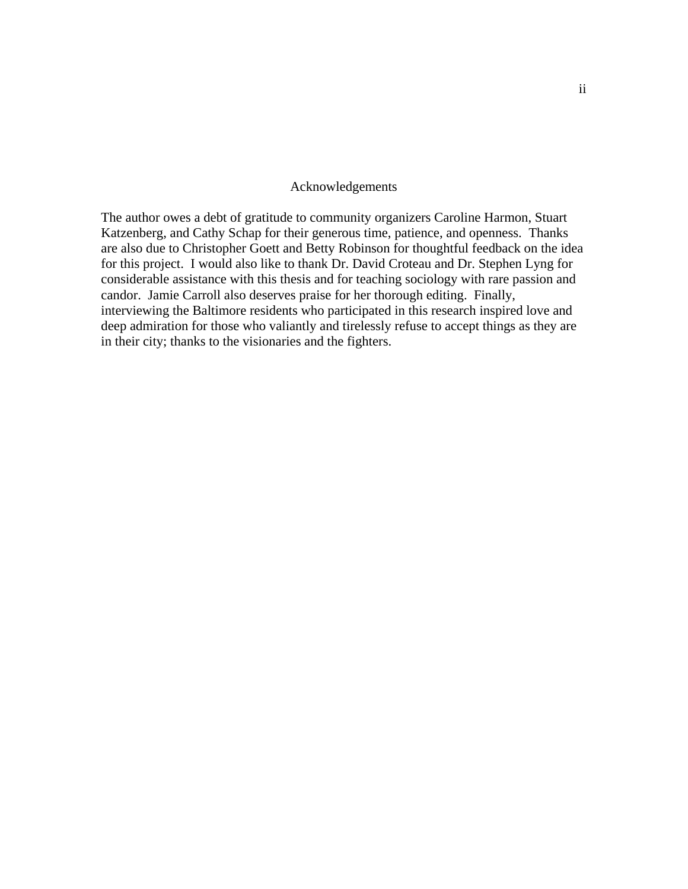## Acknowledgements

The author owes a debt of gratitude to community organizers Caroline Harmon, Stuart Katzenberg, and Cathy Schap for their generous time, patience, and openness. Thanks are also due to Christopher Goett and Betty Robinson for thoughtful feedback on the idea for this project. I would also like to thank Dr. David Croteau and Dr. Stephen Lyng for considerable assistance with this thesis and for teaching sociology with rare passion and candor. Jamie Carroll also deserves praise for her thorough editing. Finally, interviewing the Baltimore residents who participated in this research inspired love and deep admiration for those who valiantly and tirelessly refuse to accept things as they are in their city; thanks to the visionaries and the fighters.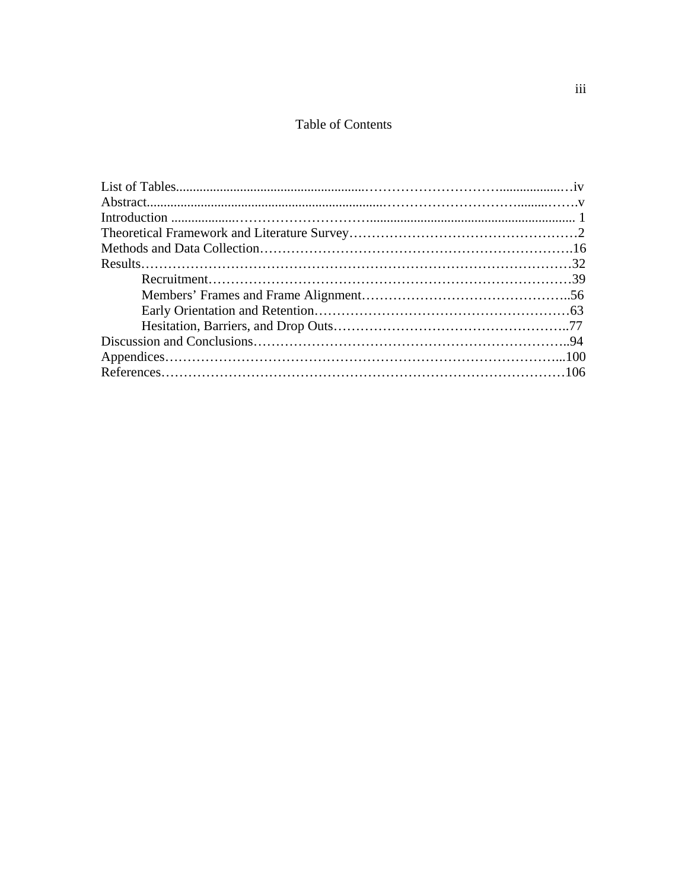# Table of Contents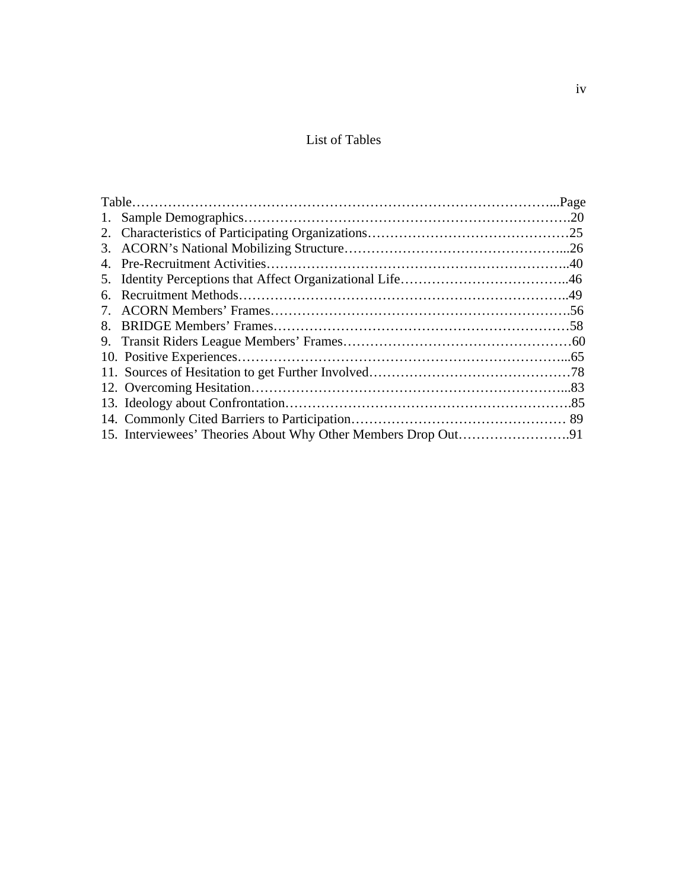# List of Tables

| 4. |  |
|----|--|
|    |  |
| 6. |  |
| 7. |  |
| 8. |  |
|    |  |
|    |  |
|    |  |
|    |  |
|    |  |
|    |  |
|    |  |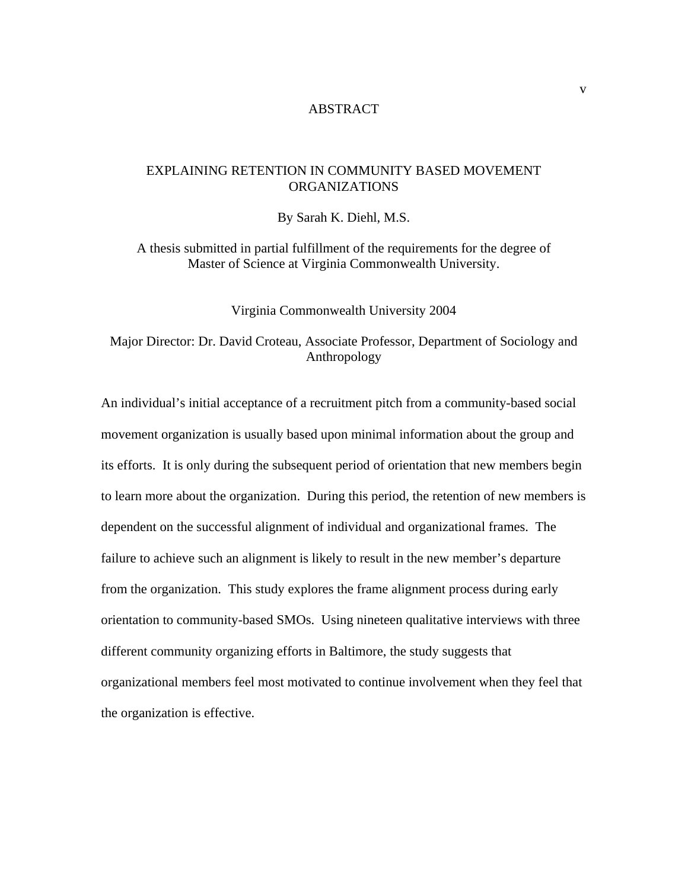## ABSTRACT

# EXPLAINING RETENTION IN COMMUNITY BASED MOVEMENT ORGANIZATIONS

By Sarah K. Diehl, M.S.

A thesis submitted in partial fulfillment of the requirements for the degree of Master of Science at Virginia Commonwealth University.

Virginia Commonwealth University 2004

# Major Director: Dr. David Croteau, Associate Professor, Department of Sociology and Anthropology

An individual's initial acceptance of a recruitment pitch from a community-based social movement organization is usually based upon minimal information about the group and its efforts. It is only during the subsequent period of orientation that new members begin to learn more about the organization. During this period, the retention of new members is dependent on the successful alignment of individual and organizational frames. The failure to achieve such an alignment is likely to result in the new member's departure from the organization. This study explores the frame alignment process during early orientation to community-based SMOs. Using nineteen qualitative interviews with three different community organizing efforts in Baltimore, the study suggests that organizational members feel most motivated to continue involvement when they feel that the organization is effective.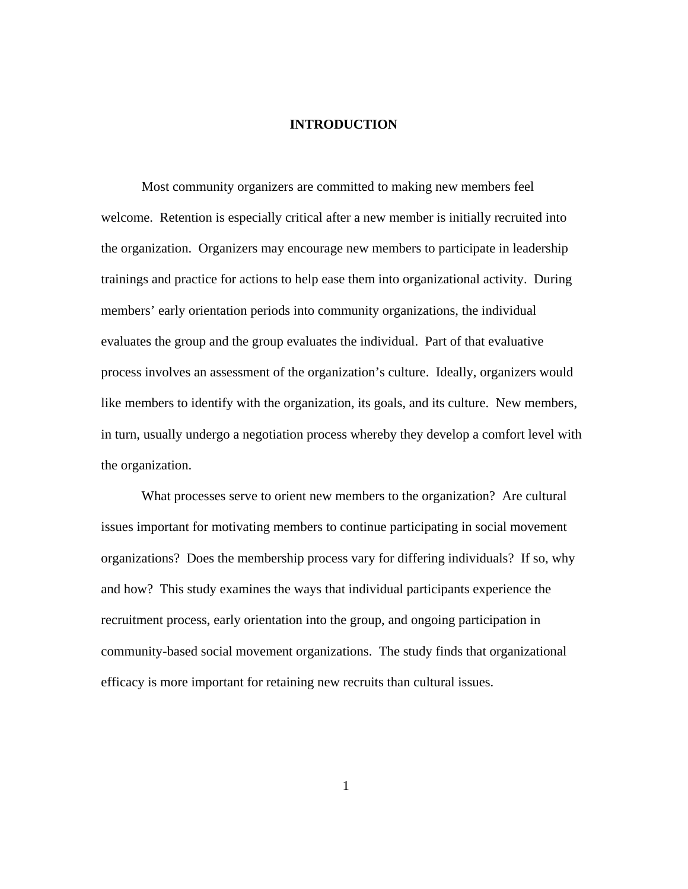# **INTRODUCTION**

Most community organizers are committed to making new members feel welcome. Retention is especially critical after a new member is initially recruited into the organization. Organizers may encourage new members to participate in leadership trainings and practice for actions to help ease them into organizational activity. During members' early orientation periods into community organizations, the individual evaluates the group and the group evaluates the individual. Part of that evaluative process involves an assessment of the organization's culture. Ideally, organizers would like members to identify with the organization, its goals, and its culture. New members, in turn, usually undergo a negotiation process whereby they develop a comfort level with the organization.

What processes serve to orient new members to the organization? Are cultural issues important for motivating members to continue participating in social movement organizations? Does the membership process vary for differing individuals? If so, why and how? This study examines the ways that individual participants experience the recruitment process, early orientation into the group, and ongoing participation in community-based social movement organizations. The study finds that organizational efficacy is more important for retaining new recruits than cultural issues.

1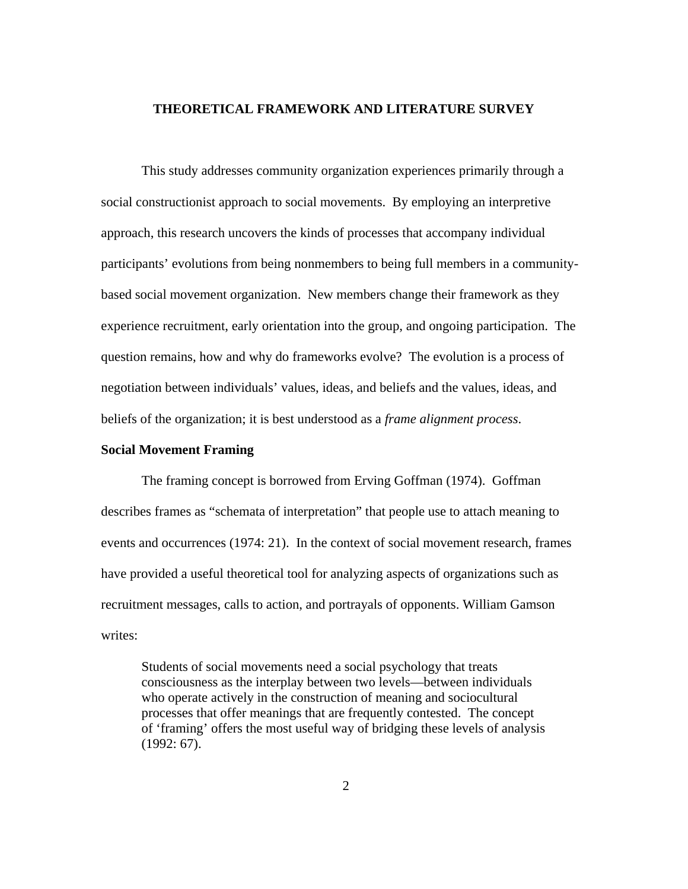## **THEORETICAL FRAMEWORK AND LITERATURE SURVEY**

This study addresses community organization experiences primarily through a social constructionist approach to social movements. By employing an interpretive approach, this research uncovers the kinds of processes that accompany individual participants' evolutions from being nonmembers to being full members in a communitybased social movement organization. New members change their framework as they experience recruitment, early orientation into the group, and ongoing participation. The question remains, how and why do frameworks evolve? The evolution is a process of negotiation between individuals' values, ideas, and beliefs and the values, ideas, and beliefs of the organization; it is best understood as a *frame alignment process*.

# **Social Movement Framing**

The framing concept is borrowed from Erving Goffman (1974). Goffman describes frames as "schemata of interpretation" that people use to attach meaning to events and occurrences (1974: 21). In the context of social movement research, frames have provided a useful theoretical tool for analyzing aspects of organizations such as recruitment messages, calls to action, and portrayals of opponents. William Gamson writes:

Students of social movements need a social psychology that treats consciousness as the interplay between two levels—between individuals who operate actively in the construction of meaning and sociocultural processes that offer meanings that are frequently contested. The concept of 'framing' offers the most useful way of bridging these levels of analysis (1992: 67).

2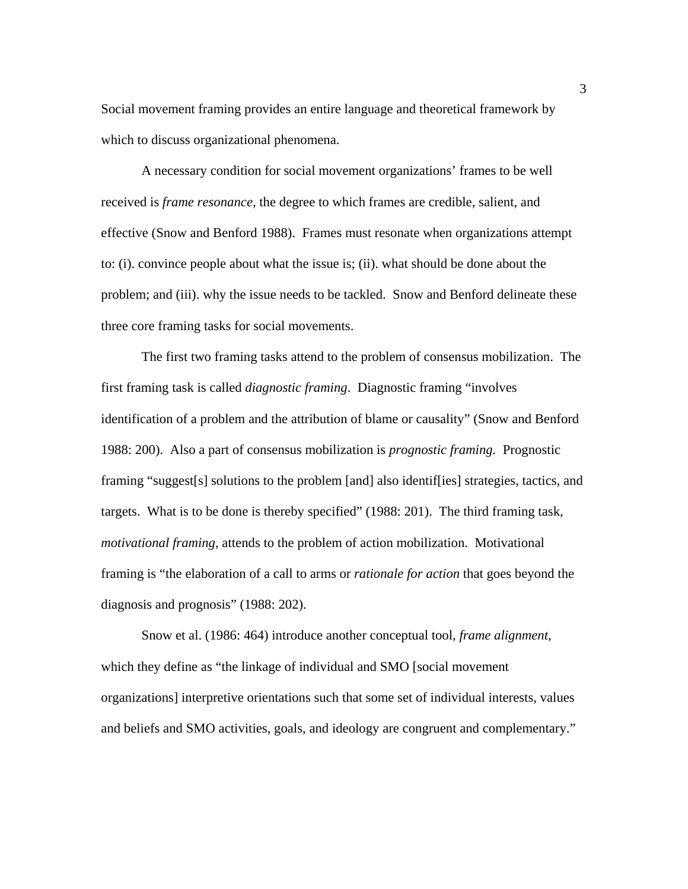Social movement framing provides an entire language and theoretical framework by which to discuss organizational phenomena.

A necessary condition for social movement organizations' frames to be well received is *frame resonance,* the degree to which frames are credible, salient, and effective (Snow and Benford 1988). Frames must resonate when organizations attempt to: (i). convince people about what the issue is; (ii). what should be done about the problem; and (iii). why the issue needs to be tackled. Snow and Benford delineate these three core framing tasks for social movements.

The first two framing tasks attend to the problem of consensus mobilization. The first framing task is called *diagnostic framing*. Diagnostic framing "involves identification of a problem and the attribution of blame or causality" (Snow and Benford 1988: 200). Also a part of consensus mobilization is *prognostic framing.* Prognostic framing "suggest[s] solutions to the problem [and] also identif[ies] strategies, tactics, and targets. What is to be done is thereby specified" (1988: 201). The third framing task, *motivational framing*, attends to the problem of action mobilization. Motivational framing is "the elaboration of a call to arms or *rationale for action* that goes beyond the diagnosis and prognosis" (1988: 202).

Snow et al. (1986: 464) introduce another conceptual tool, *frame alignment*, which they define as "the linkage of individual and SMO [social movement organizations] interpretive orientations such that some set of individual interests, values and beliefs and SMO activities, goals, and ideology are congruent and complementary."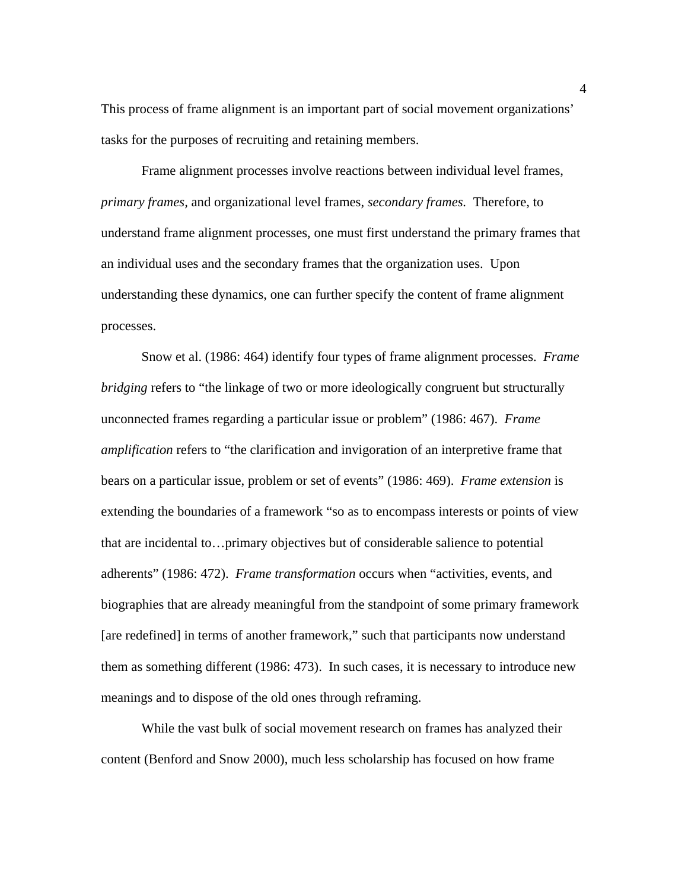This process of frame alignment is an important part of social movement organizations' tasks for the purposes of recruiting and retaining members.

Frame alignment processes involve reactions between individual level frames, *primary frames,* and organizational level frames, *secondary frames.* Therefore, to understand frame alignment processes, one must first understand the primary frames that an individual uses and the secondary frames that the organization uses. Upon understanding these dynamics, one can further specify the content of frame alignment processes.

Snow et al. (1986: 464) identify four types of frame alignment processes. *Frame bridging* refers to "the linkage of two or more ideologically congruent but structurally unconnected frames regarding a particular issue or problem" (1986: 467). *Frame amplification* refers to "the clarification and invigoration of an interpretive frame that bears on a particular issue, problem or set of events" (1986: 469). *Frame extension* is extending the boundaries of a framework "so as to encompass interests or points of view that are incidental to…primary objectives but of considerable salience to potential adherents" (1986: 472). *Frame transformation* occurs when "activities, events, and biographies that are already meaningful from the standpoint of some primary framework [are redefined] in terms of another framework," such that participants now understand them as something different (1986: 473). In such cases, it is necessary to introduce new meanings and to dispose of the old ones through reframing.

While the vast bulk of social movement research on frames has analyzed their content (Benford and Snow 2000), much less scholarship has focused on how frame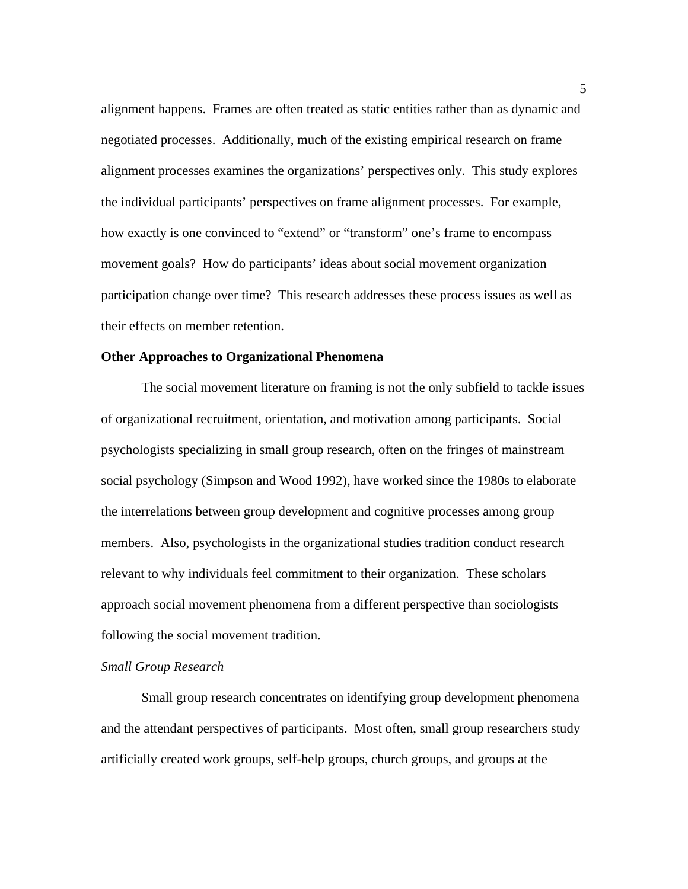alignment happens. Frames are often treated as static entities rather than as dynamic and negotiated processes. Additionally, much of the existing empirical research on frame alignment processes examines the organizations' perspectives only. This study explores the individual participants' perspectives on frame alignment processes. For example, how exactly is one convinced to "extend" or "transform" one's frame to encompass movement goals? How do participants' ideas about social movement organization participation change over time? This research addresses these process issues as well as their effects on member retention.

#### **Other Approaches to Organizational Phenomena**

 The social movement literature on framing is not the only subfield to tackle issues of organizational recruitment, orientation, and motivation among participants. Social psychologists specializing in small group research, often on the fringes of mainstream social psychology (Simpson and Wood 1992), have worked since the 1980s to elaborate the interrelations between group development and cognitive processes among group members. Also, psychologists in the organizational studies tradition conduct research relevant to why individuals feel commitment to their organization. These scholars approach social movement phenomena from a different perspective than sociologists following the social movement tradition.

# *Small Group Research*

 Small group research concentrates on identifying group development phenomena and the attendant perspectives of participants. Most often, small group researchers study artificially created work groups, self-help groups, church groups, and groups at the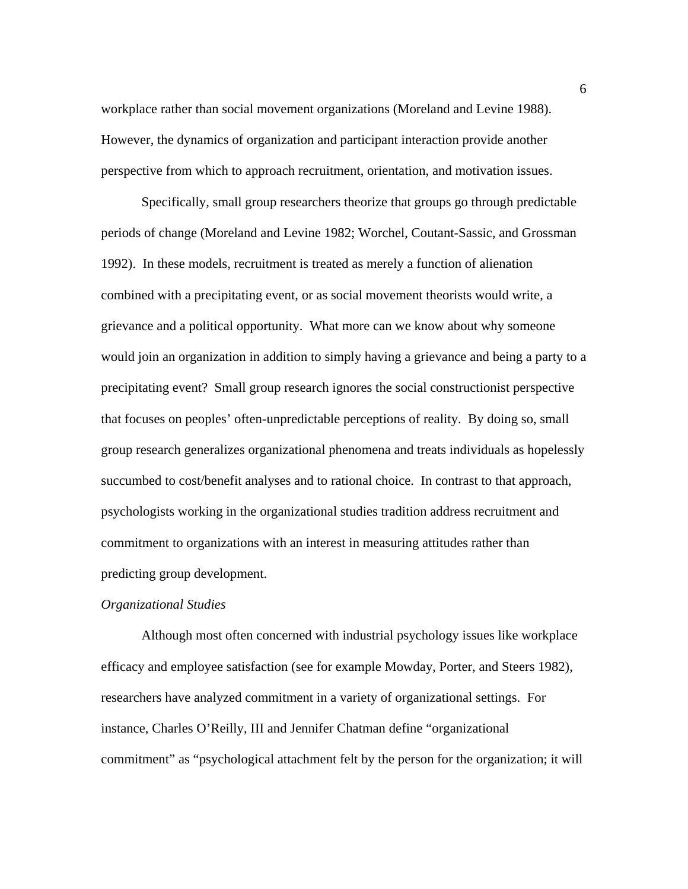workplace rather than social movement organizations (Moreland and Levine 1988). However, the dynamics of organization and participant interaction provide another perspective from which to approach recruitment, orientation, and motivation issues.

 Specifically, small group researchers theorize that groups go through predictable periods of change (Moreland and Levine 1982; Worchel, Coutant-Sassic, and Grossman 1992). In these models, recruitment is treated as merely a function of alienation combined with a precipitating event, or as social movement theorists would write, a grievance and a political opportunity. What more can we know about why someone would join an organization in addition to simply having a grievance and being a party to a precipitating event? Small group research ignores the social constructionist perspective that focuses on peoples' often-unpredictable perceptions of reality. By doing so, small group research generalizes organizational phenomena and treats individuals as hopelessly succumbed to cost/benefit analyses and to rational choice. In contrast to that approach, psychologists working in the organizational studies tradition address recruitment and commitment to organizations with an interest in measuring attitudes rather than predicting group development.

# *Organizational Studies*

 Although most often concerned with industrial psychology issues like workplace efficacy and employee satisfaction (see for example Mowday, Porter, and Steers 1982), researchers have analyzed commitment in a variety of organizational settings. For instance, Charles O'Reilly, III and Jennifer Chatman define "organizational commitment" as "psychological attachment felt by the person for the organization; it will

6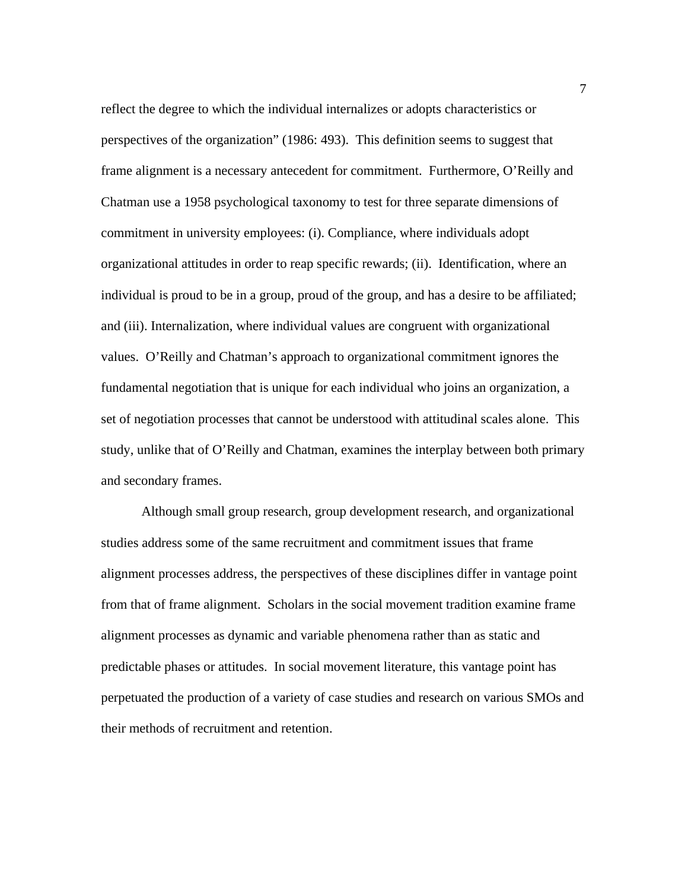reflect the degree to which the individual internalizes or adopts characteristics or perspectives of the organization" (1986: 493). This definition seems to suggest that frame alignment is a necessary antecedent for commitment. Furthermore, O'Reilly and Chatman use a 1958 psychological taxonomy to test for three separate dimensions of commitment in university employees: (i). Compliance, where individuals adopt organizational attitudes in order to reap specific rewards; (ii). Identification, where an individual is proud to be in a group, proud of the group, and has a desire to be affiliated; and (iii). Internalization, where individual values are congruent with organizational values. O'Reilly and Chatman's approach to organizational commitment ignores the fundamental negotiation that is unique for each individual who joins an organization, a set of negotiation processes that cannot be understood with attitudinal scales alone. This study, unlike that of O'Reilly and Chatman, examines the interplay between both primary and secondary frames.

 Although small group research, group development research, and organizational studies address some of the same recruitment and commitment issues that frame alignment processes address, the perspectives of these disciplines differ in vantage point from that of frame alignment. Scholars in the social movement tradition examine frame alignment processes as dynamic and variable phenomena rather than as static and predictable phases or attitudes. In social movement literature, this vantage point has perpetuated the production of a variety of case studies and research on various SMOs and their methods of recruitment and retention.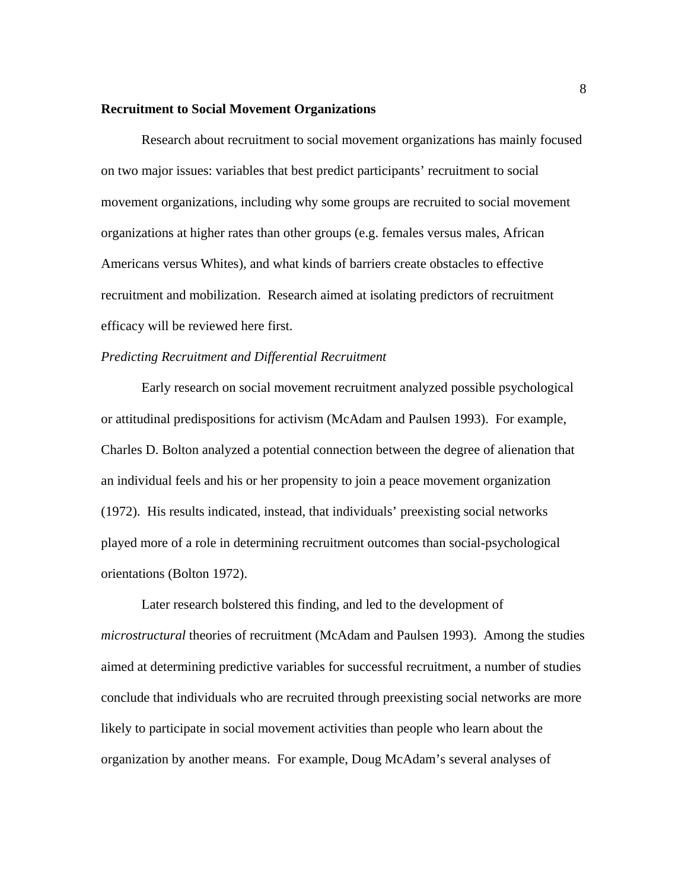#### **Recruitment to Social Movement Organizations**

 Research about recruitment to social movement organizations has mainly focused on two major issues: variables that best predict participants' recruitment to social movement organizations, including why some groups are recruited to social movement organizations at higher rates than other groups (e.g. females versus males, African Americans versus Whites), and what kinds of barriers create obstacles to effective recruitment and mobilization. Research aimed at isolating predictors of recruitment efficacy will be reviewed here first.

#### *Predicting Recruitment and Differential Recruitment*

Early research on social movement recruitment analyzed possible psychological or attitudinal predispositions for activism (McAdam and Paulsen 1993). For example, Charles D. Bolton analyzed a potential connection between the degree of alienation that an individual feels and his or her propensity to join a peace movement organization (1972). His results indicated, instead, that individuals' preexisting social networks played more of a role in determining recruitment outcomes than social-psychological orientations (Bolton 1972).

Later research bolstered this finding, and led to the development of *microstructural* theories of recruitment (McAdam and Paulsen 1993). Among the studies aimed at determining predictive variables for successful recruitment, a number of studies conclude that individuals who are recruited through preexisting social networks are more likely to participate in social movement activities than people who learn about the organization by another means. For example, Doug McAdam's several analyses of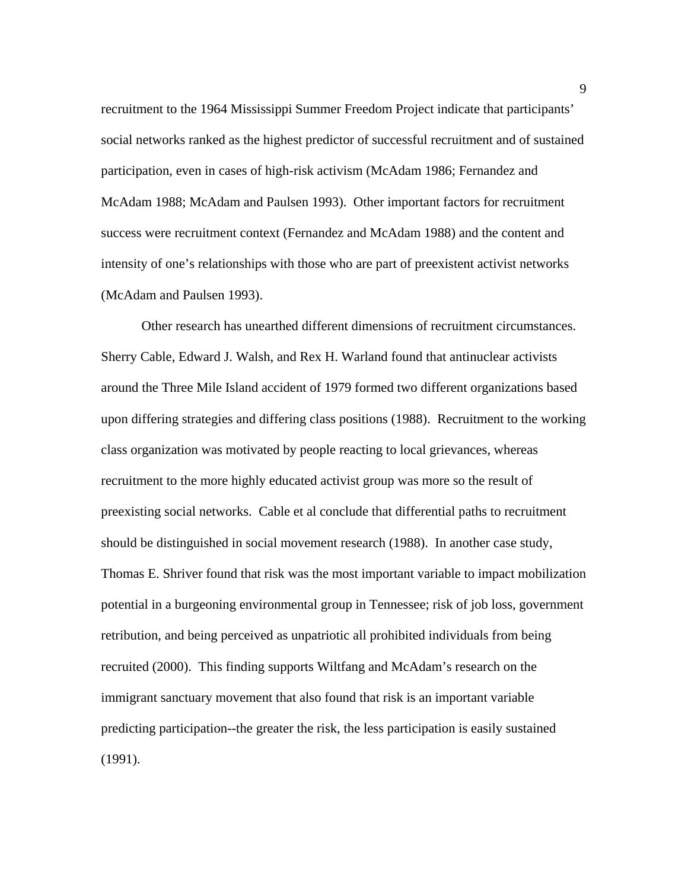recruitment to the 1964 Mississippi Summer Freedom Project indicate that participants' social networks ranked as the highest predictor of successful recruitment and of sustained participation, even in cases of high-risk activism (McAdam 1986; Fernandez and McAdam 1988; McAdam and Paulsen 1993). Other important factors for recruitment success were recruitment context (Fernandez and McAdam 1988) and the content and intensity of one's relationships with those who are part of preexistent activist networks (McAdam and Paulsen 1993).

Other research has unearthed different dimensions of recruitment circumstances. Sherry Cable, Edward J. Walsh, and Rex H. Warland found that antinuclear activists around the Three Mile Island accident of 1979 formed two different organizations based upon differing strategies and differing class positions (1988). Recruitment to the working class organization was motivated by people reacting to local grievances, whereas recruitment to the more highly educated activist group was more so the result of preexisting social networks. Cable et al conclude that differential paths to recruitment should be distinguished in social movement research (1988). In another case study, Thomas E. Shriver found that risk was the most important variable to impact mobilization potential in a burgeoning environmental group in Tennessee; risk of job loss, government retribution, and being perceived as unpatriotic all prohibited individuals from being recruited (2000). This finding supports Wiltfang and McAdam's research on the immigrant sanctuary movement that also found that risk is an important variable predicting participation--the greater the risk, the less participation is easily sustained (1991).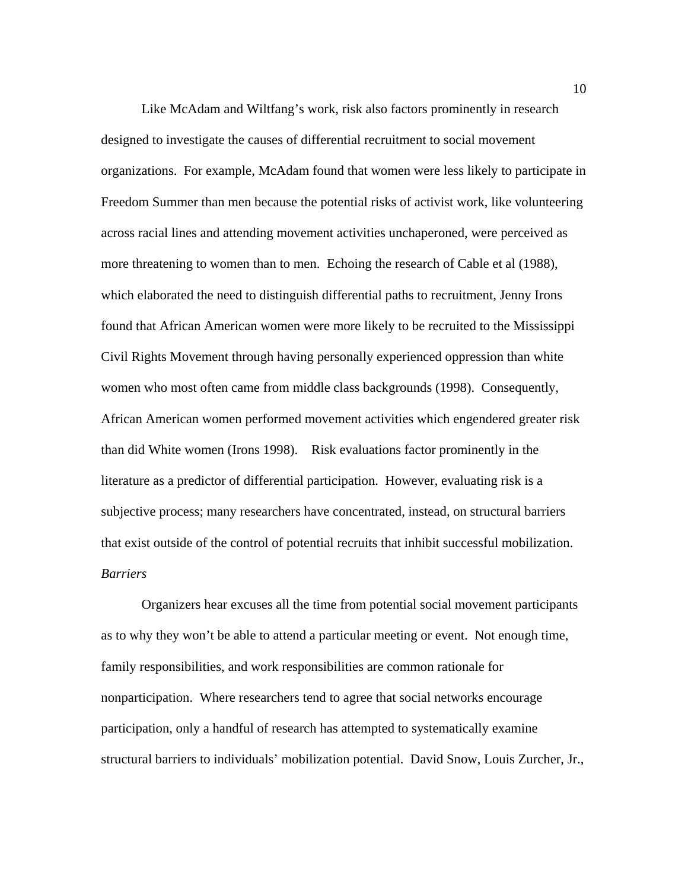Like McAdam and Wiltfang's work, risk also factors prominently in research designed to investigate the causes of differential recruitment to social movement organizations. For example, McAdam found that women were less likely to participate in Freedom Summer than men because the potential risks of activist work, like volunteering across racial lines and attending movement activities unchaperoned, were perceived as more threatening to women than to men. Echoing the research of Cable et al (1988), which elaborated the need to distinguish differential paths to recruitment, Jenny Irons found that African American women were more likely to be recruited to the Mississippi Civil Rights Movement through having personally experienced oppression than white women who most often came from middle class backgrounds (1998). Consequently, African American women performed movement activities which engendered greater risk than did White women (Irons 1998). Risk evaluations factor prominently in the literature as a predictor of differential participation. However, evaluating risk is a subjective process; many researchers have concentrated, instead, on structural barriers that exist outside of the control of potential recruits that inhibit successful mobilization. *Barriers* 

 Organizers hear excuses all the time from potential social movement participants as to why they won't be able to attend a particular meeting or event. Not enough time, family responsibilities, and work responsibilities are common rationale for nonparticipation. Where researchers tend to agree that social networks encourage participation, only a handful of research has attempted to systematically examine structural barriers to individuals' mobilization potential. David Snow, Louis Zurcher, Jr.,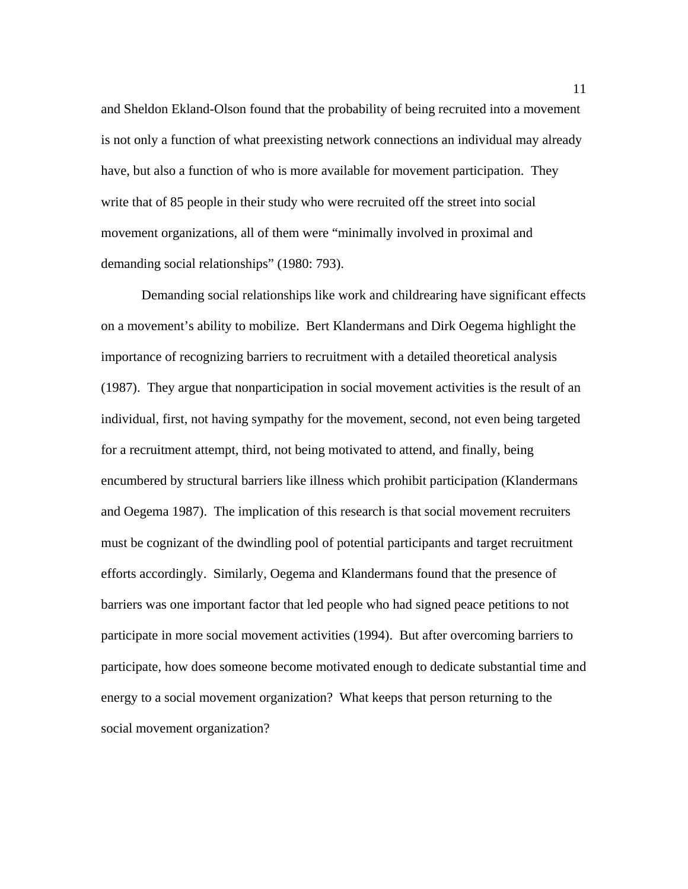and Sheldon Ekland-Olson found that the probability of being recruited into a movement is not only a function of what preexisting network connections an individual may already have, but also a function of who is more available for movement participation. They write that of 85 people in their study who were recruited off the street into social movement organizations, all of them were "minimally involved in proximal and demanding social relationships" (1980: 793).

 Demanding social relationships like work and childrearing have significant effects on a movement's ability to mobilize. Bert Klandermans and Dirk Oegema highlight the importance of recognizing barriers to recruitment with a detailed theoretical analysis (1987). They argue that nonparticipation in social movement activities is the result of an individual, first, not having sympathy for the movement, second, not even being targeted for a recruitment attempt, third, not being motivated to attend, and finally, being encumbered by structural barriers like illness which prohibit participation (Klandermans and Oegema 1987). The implication of this research is that social movement recruiters must be cognizant of the dwindling pool of potential participants and target recruitment efforts accordingly. Similarly, Oegema and Klandermans found that the presence of barriers was one important factor that led people who had signed peace petitions to not participate in more social movement activities (1994). But after overcoming barriers to participate, how does someone become motivated enough to dedicate substantial time and energy to a social movement organization? What keeps that person returning to the social movement organization?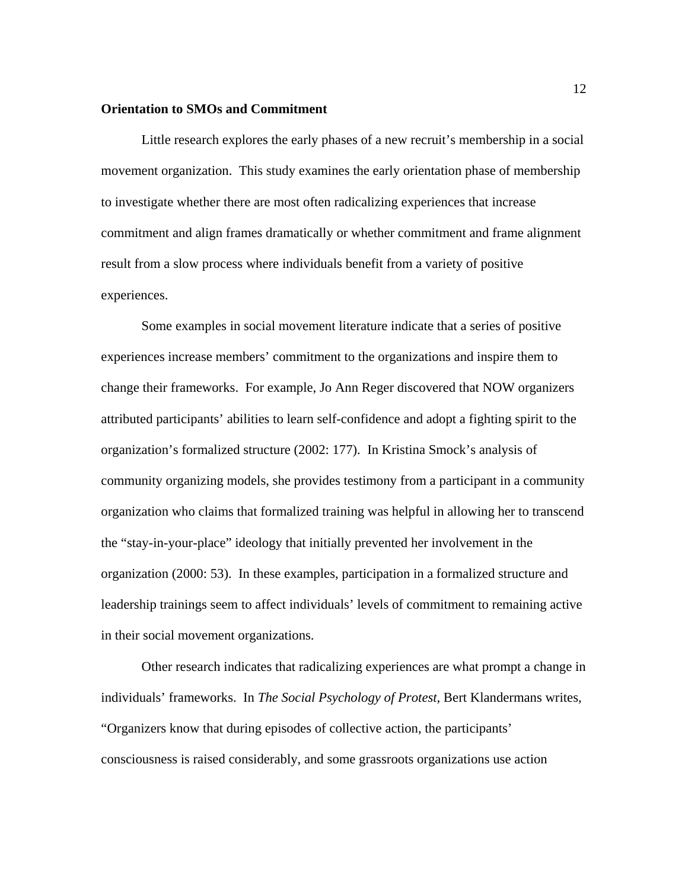## **Orientation to SMOs and Commitment**

 Little research explores the early phases of a new recruit's membership in a social movement organization. This study examines the early orientation phase of membership to investigate whether there are most often radicalizing experiences that increase commitment and align frames dramatically or whether commitment and frame alignment result from a slow process where individuals benefit from a variety of positive experiences.

Some examples in social movement literature indicate that a series of positive experiences increase members' commitment to the organizations and inspire them to change their frameworks. For example, Jo Ann Reger discovered that NOW organizers attributed participants' abilities to learn self-confidence and adopt a fighting spirit to the organization's formalized structure (2002: 177). In Kristina Smock's analysis of community organizing models, she provides testimony from a participant in a community organization who claims that formalized training was helpful in allowing her to transcend the "stay-in-your-place" ideology that initially prevented her involvement in the organization (2000: 53). In these examples, participation in a formalized structure and leadership trainings seem to affect individuals' levels of commitment to remaining active in their social movement organizations.

Other research indicates that radicalizing experiences are what prompt a change in individuals' frameworks. In *The Social Psychology of Protest*, Bert Klandermans writes, "Organizers know that during episodes of collective action, the participants' consciousness is raised considerably, and some grassroots organizations use action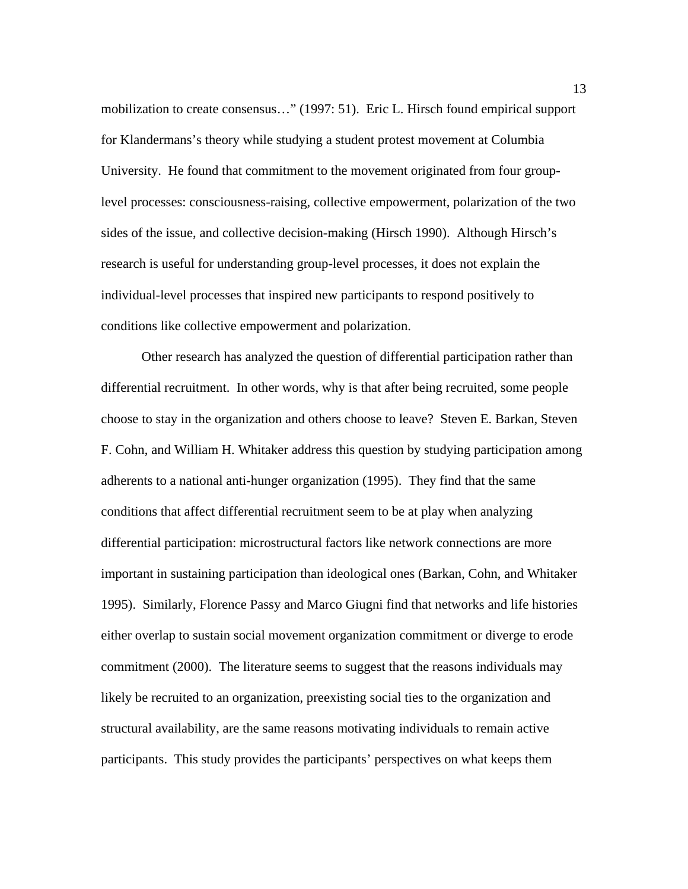mobilization to create consensus…" (1997: 51). Eric L. Hirsch found empirical support for Klandermans's theory while studying a student protest movement at Columbia University. He found that commitment to the movement originated from four grouplevel processes: consciousness-raising, collective empowerment, polarization of the two sides of the issue, and collective decision-making (Hirsch 1990). Although Hirsch's research is useful for understanding group-level processes, it does not explain the individual-level processes that inspired new participants to respond positively to conditions like collective empowerment and polarization.

 Other research has analyzed the question of differential participation rather than differential recruitment. In other words, why is that after being recruited, some people choose to stay in the organization and others choose to leave? Steven E. Barkan, Steven F. Cohn, and William H. Whitaker address this question by studying participation among adherents to a national anti-hunger organization (1995). They find that the same conditions that affect differential recruitment seem to be at play when analyzing differential participation: microstructural factors like network connections are more important in sustaining participation than ideological ones (Barkan, Cohn, and Whitaker 1995). Similarly, Florence Passy and Marco Giugni find that networks and life histories either overlap to sustain social movement organization commitment or diverge to erode commitment (2000). The literature seems to suggest that the reasons individuals may likely be recruited to an organization, preexisting social ties to the organization and structural availability, are the same reasons motivating individuals to remain active participants. This study provides the participants' perspectives on what keeps them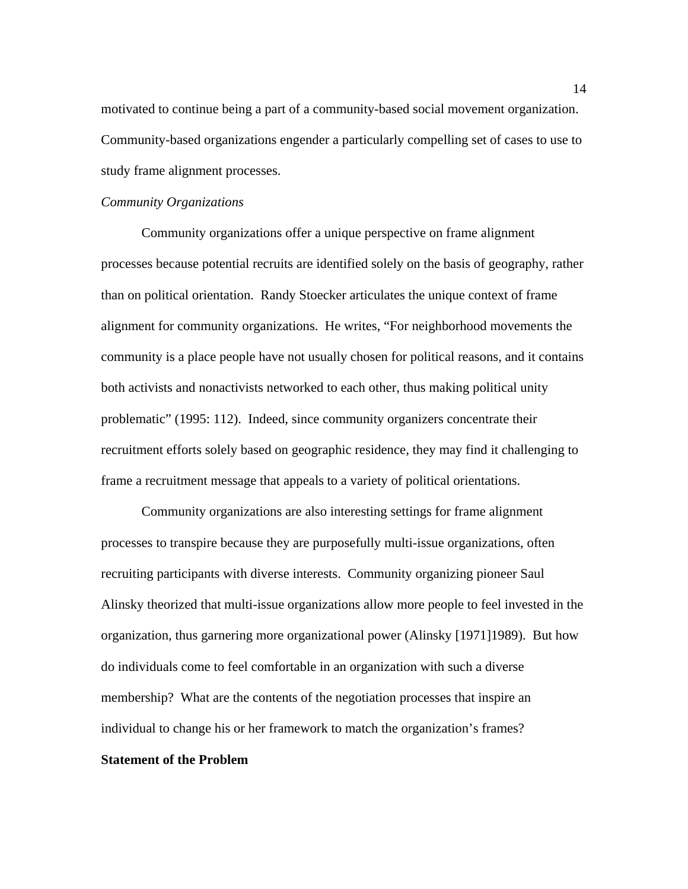motivated to continue being a part of a community-based social movement organization. Community-based organizations engender a particularly compelling set of cases to use to study frame alignment processes.

#### *Community Organizations*

Community organizations offer a unique perspective on frame alignment processes because potential recruits are identified solely on the basis of geography, rather than on political orientation. Randy Stoecker articulates the unique context of frame alignment for community organizations. He writes, "For neighborhood movements the community is a place people have not usually chosen for political reasons, and it contains both activists and nonactivists networked to each other, thus making political unity problematic" (1995: 112). Indeed, since community organizers concentrate their recruitment efforts solely based on geographic residence, they may find it challenging to frame a recruitment message that appeals to a variety of political orientations.

Community organizations are also interesting settings for frame alignment processes to transpire because they are purposefully multi-issue organizations, often recruiting participants with diverse interests. Community organizing pioneer Saul Alinsky theorized that multi-issue organizations allow more people to feel invested in the organization, thus garnering more organizational power (Alinsky [1971]1989). But how do individuals come to feel comfortable in an organization with such a diverse membership? What are the contents of the negotiation processes that inspire an individual to change his or her framework to match the organization's frames? **Statement of the Problem**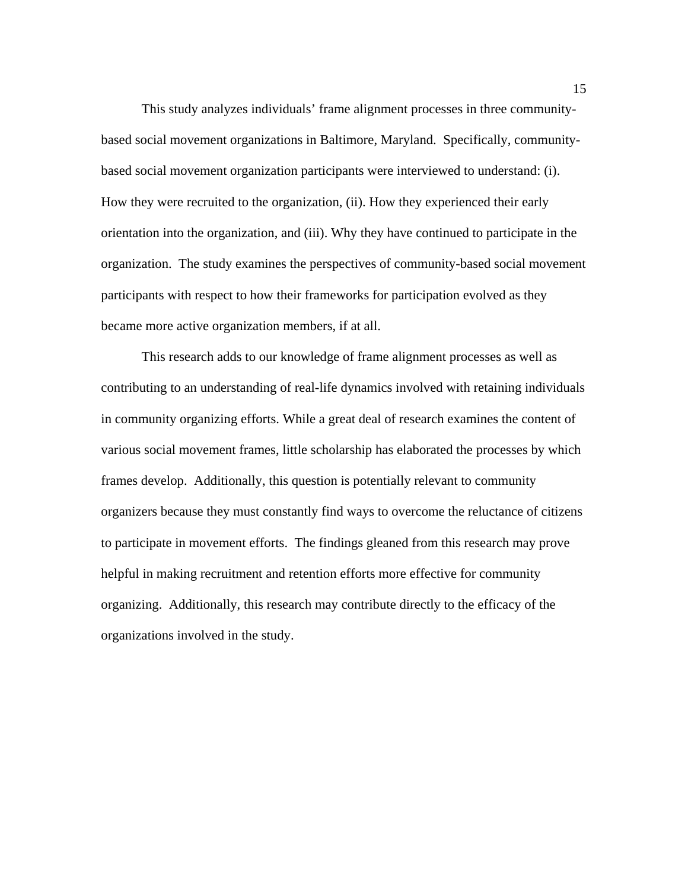This study analyzes individuals' frame alignment processes in three communitybased social movement organizations in Baltimore, Maryland. Specifically, communitybased social movement organization participants were interviewed to understand: (i). How they were recruited to the organization, (ii). How they experienced their early orientation into the organization, and (iii). Why they have continued to participate in the organization. The study examines the perspectives of community-based social movement participants with respect to how their frameworks for participation evolved as they became more active organization members, if at all.

This research adds to our knowledge of frame alignment processes as well as contributing to an understanding of real-life dynamics involved with retaining individuals in community organizing efforts. While a great deal of research examines the content of various social movement frames, little scholarship has elaborated the processes by which frames develop. Additionally, this question is potentially relevant to community organizers because they must constantly find ways to overcome the reluctance of citizens to participate in movement efforts. The findings gleaned from this research may prove helpful in making recruitment and retention efforts more effective for community organizing. Additionally, this research may contribute directly to the efficacy of the organizations involved in the study.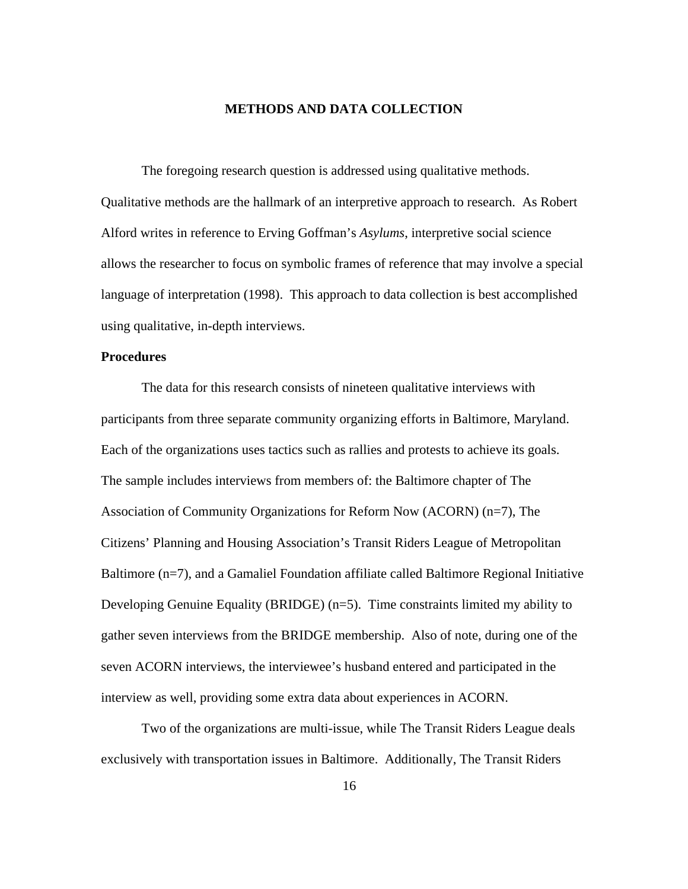# **METHODS AND DATA COLLECTION**

 The foregoing research question is addressed using qualitative methods. Qualitative methods are the hallmark of an interpretive approach to research. As Robert Alford writes in reference to Erving Goffman's *Asylums*, interpretive social science allows the researcher to focus on symbolic frames of reference that may involve a special language of interpretation (1998). This approach to data collection is best accomplished using qualitative, in-depth interviews.

## **Procedures**

The data for this research consists of nineteen qualitative interviews with participants from three separate community organizing efforts in Baltimore, Maryland. Each of the organizations uses tactics such as rallies and protests to achieve its goals. The sample includes interviews from members of: the Baltimore chapter of The Association of Community Organizations for Reform Now (ACORN) (n=7), The Citizens' Planning and Housing Association's Transit Riders League of Metropolitan Baltimore (n=7), and a Gamaliel Foundation affiliate called Baltimore Regional Initiative Developing Genuine Equality (BRIDGE) (n=5). Time constraints limited my ability to gather seven interviews from the BRIDGE membership. Also of note, during one of the seven ACORN interviews, the interviewee's husband entered and participated in the interview as well, providing some extra data about experiences in ACORN.

Two of the organizations are multi-issue, while The Transit Riders League deals exclusively with transportation issues in Baltimore. Additionally, The Transit Riders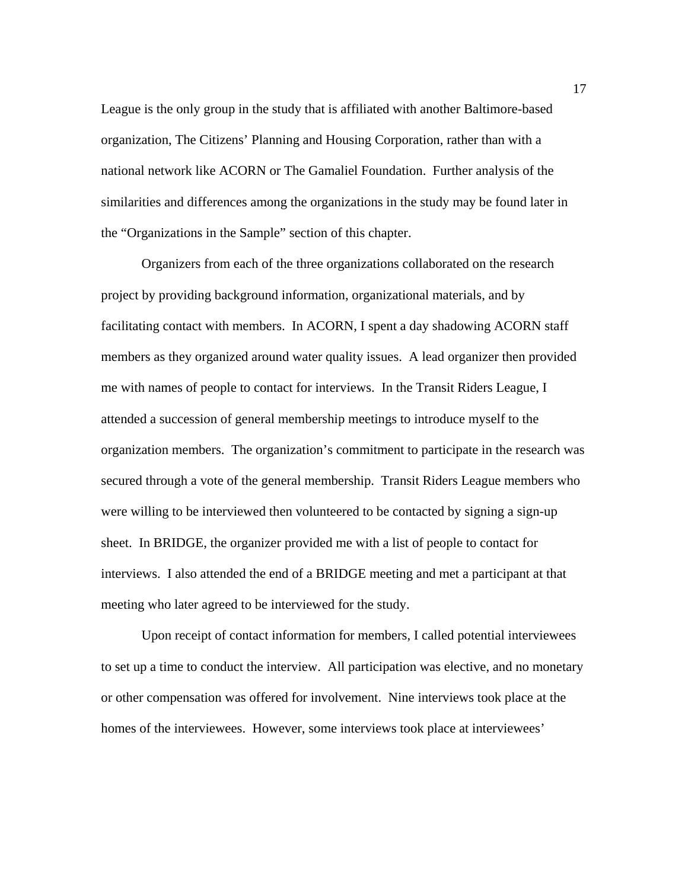League is the only group in the study that is affiliated with another Baltimore-based organization, The Citizens' Planning and Housing Corporation, rather than with a national network like ACORN or The Gamaliel Foundation. Further analysis of the similarities and differences among the organizations in the study may be found later in the "Organizations in the Sample" section of this chapter.

 Organizers from each of the three organizations collaborated on the research project by providing background information, organizational materials, and by facilitating contact with members. In ACORN, I spent a day shadowing ACORN staff members as they organized around water quality issues. A lead organizer then provided me with names of people to contact for interviews. In the Transit Riders League, I attended a succession of general membership meetings to introduce myself to the organization members. The organization's commitment to participate in the research was secured through a vote of the general membership. Transit Riders League members who were willing to be interviewed then volunteered to be contacted by signing a sign-up sheet. In BRIDGE, the organizer provided me with a list of people to contact for interviews. I also attended the end of a BRIDGE meeting and met a participant at that meeting who later agreed to be interviewed for the study.

 Upon receipt of contact information for members, I called potential interviewees to set up a time to conduct the interview. All participation was elective, and no monetary or other compensation was offered for involvement. Nine interviews took place at the homes of the interviewees. However, some interviews took place at interviewees'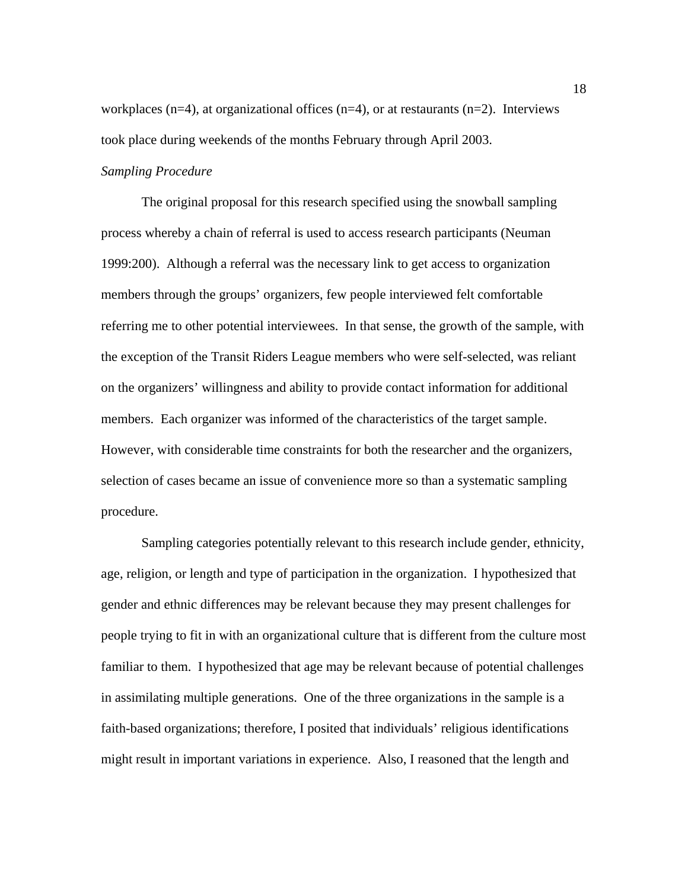workplaces ( $n=4$ ), at organizational offices ( $n=4$ ), or at restaurants ( $n=2$ ). Interviews took place during weekends of the months February through April 2003.

# *Sampling Procedure*

The original proposal for this research specified using the snowball sampling process whereby a chain of referral is used to access research participants (Neuman 1999:200). Although a referral was the necessary link to get access to organization members through the groups' organizers, few people interviewed felt comfortable referring me to other potential interviewees. In that sense, the growth of the sample, with the exception of the Transit Riders League members who were self-selected, was reliant on the organizers' willingness and ability to provide contact information for additional members. Each organizer was informed of the characteristics of the target sample. However, with considerable time constraints for both the researcher and the organizers, selection of cases became an issue of convenience more so than a systematic sampling procedure.

Sampling categories potentially relevant to this research include gender, ethnicity, age, religion, or length and type of participation in the organization. I hypothesized that gender and ethnic differences may be relevant because they may present challenges for people trying to fit in with an organizational culture that is different from the culture most familiar to them. I hypothesized that age may be relevant because of potential challenges in assimilating multiple generations. One of the three organizations in the sample is a faith-based organizations; therefore, I posited that individuals' religious identifications might result in important variations in experience. Also, I reasoned that the length and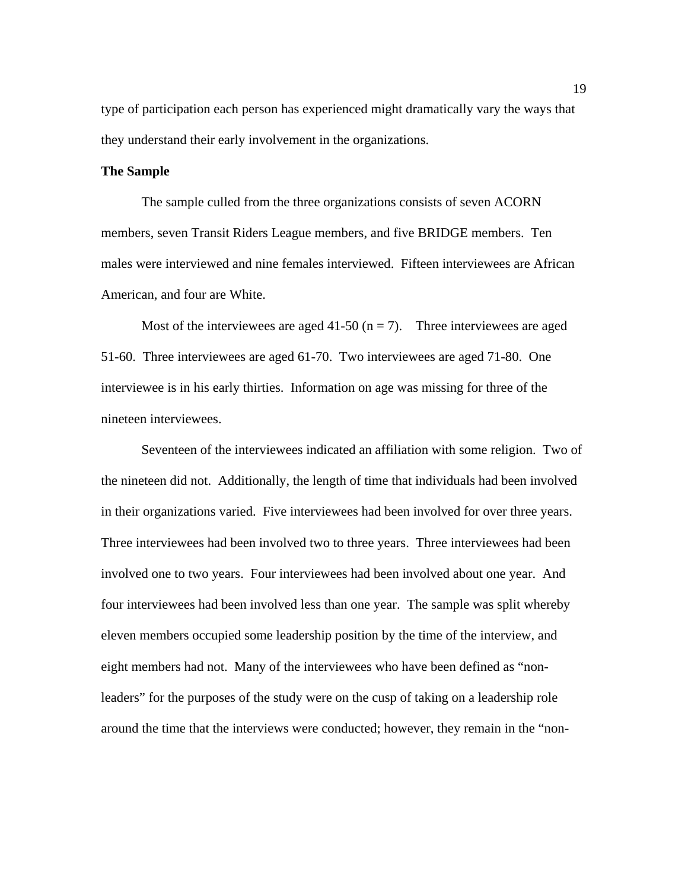type of participation each person has experienced might dramatically vary the ways that they understand their early involvement in the organizations.

## **The Sample**

 The sample culled from the three organizations consists of seven ACORN members, seven Transit Riders League members, and five BRIDGE members. Ten males were interviewed and nine females interviewed. Fifteen interviewees are African American, and four are White.

Most of the interviewees are aged 41-50  $(n = 7)$ . Three interviewees are aged 51-60. Three interviewees are aged 61-70. Two interviewees are aged 71-80. One interviewee is in his early thirties. Information on age was missing for three of the nineteen interviewees.

Seventeen of the interviewees indicated an affiliation with some religion. Two of the nineteen did not. Additionally, the length of time that individuals had been involved in their organizations varied. Five interviewees had been involved for over three years. Three interviewees had been involved two to three years. Three interviewees had been involved one to two years. Four interviewees had been involved about one year. And four interviewees had been involved less than one year. The sample was split whereby eleven members occupied some leadership position by the time of the interview, and eight members had not. Many of the interviewees who have been defined as "nonleaders" for the purposes of the study were on the cusp of taking on a leadership role around the time that the interviews were conducted; however, they remain in the "non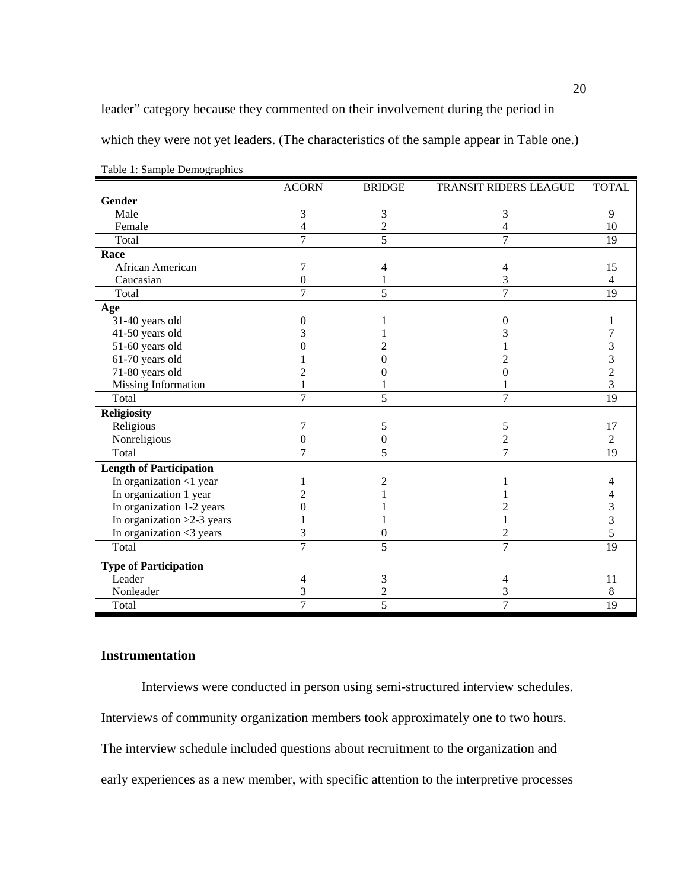leader" category because they commented on their involvement during the period in

which they were not yet leaders. (The characteristics of the sample appear in Table one.)

|                                | <b>ACORN</b>     | <b>BRIDGE</b>    | TRANSIT RIDERS LEAGUE | <b>TOTAL</b>   |
|--------------------------------|------------------|------------------|-----------------------|----------------|
| <b>Gender</b>                  |                  |                  |                       |                |
| Male                           | 3                | 3                | 3                     | 9              |
| Female                         | 4                | $\overline{c}$   | 4                     | 10             |
| Total                          | 7                | $\overline{5}$   | 7                     | 19             |
| Race                           |                  |                  |                       |                |
| African American               | 7                | 4                | 4                     | 15             |
| Caucasian                      | $\overline{0}$   |                  | 3                     | 4              |
| Total                          | 7                | 5                | $\overline{7}$        | 19             |
| Age                            |                  |                  |                       |                |
| 31-40 years old                | $\theta$         |                  | $\theta$              |                |
| 41-50 years old                |                  |                  |                       |                |
| 51-60 years old                |                  |                  |                       | 3              |
| 61-70 years old                |                  |                  |                       | 3              |
| 71-80 years old                |                  |                  |                       | 2              |
| <b>Missing Information</b>     |                  |                  |                       | 3              |
| Total                          | 7                | 5                | $\overline{7}$        | 19             |
| <b>Religiosity</b>             |                  |                  |                       |                |
| Religious                      | 7                | 5                | 5                     | 17             |
| Nonreligious                   | $\boldsymbol{0}$ | $\boldsymbol{0}$ | $\overline{c}$        | $\overline{2}$ |
| Total                          | 7                | 5                | 7                     | 19             |
| <b>Length of Participation</b> |                  |                  |                       |                |
| In organization <1 year        |                  | 2                |                       | 4              |
| In organization 1 year         |                  |                  |                       |                |
| In organization 1-2 years      |                  |                  |                       | 3              |
| In organization $>2-3$ years   |                  |                  |                       | 3              |
| In organization <3 years       | 3                | 0                | 2                     | 5              |
| Total                          | 7                | 5                | 7                     | 19             |
| <b>Type of Participation</b>   |                  |                  |                       |                |
| Leader                         | 4                | 3                | 4                     | 11             |
| Nonleader                      | 3                | $\overline{c}$   | 3                     | 8              |
| Total                          | 7                | 5                | 7                     | 19             |

Table 1: Sample Demographics

# **Instrumentation**

Interviews were conducted in person using semi-structured interview schedules.

Interviews of community organization members took approximately one to two hours.

The interview schedule included questions about recruitment to the organization and

early experiences as a new member, with specific attention to the interpretive processes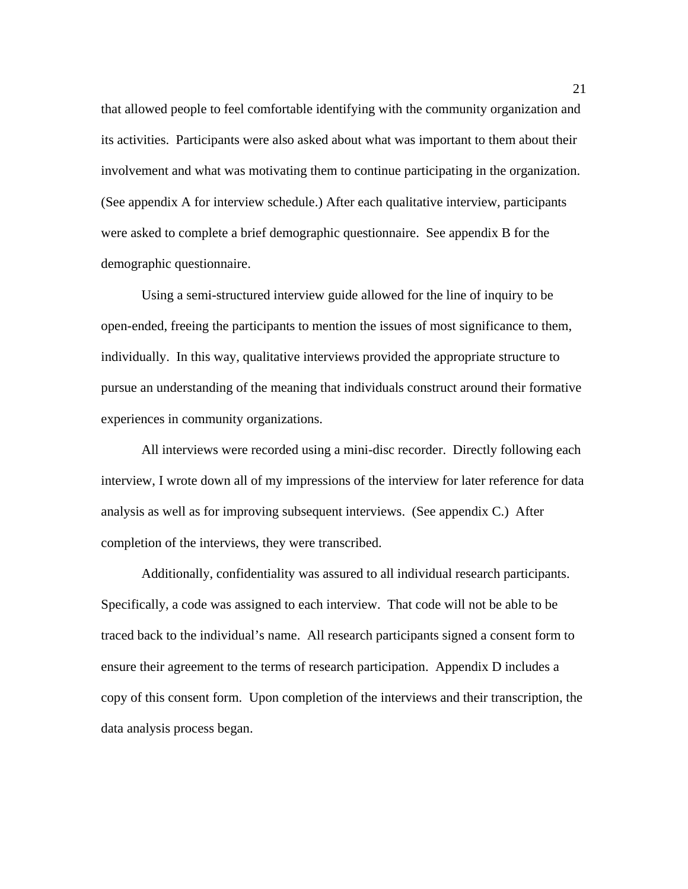that allowed people to feel comfortable identifying with the community organization and its activities. Participants were also asked about what was important to them about their involvement and what was motivating them to continue participating in the organization. (See appendix A for interview schedule.) After each qualitative interview, participants were asked to complete a brief demographic questionnaire. See appendix B for the demographic questionnaire.

 Using a semi-structured interview guide allowed for the line of inquiry to be open-ended, freeing the participants to mention the issues of most significance to them, individually. In this way, qualitative interviews provided the appropriate structure to pursue an understanding of the meaning that individuals construct around their formative experiences in community organizations.

All interviews were recorded using a mini-disc recorder. Directly following each interview, I wrote down all of my impressions of the interview for later reference for data analysis as well as for improving subsequent interviews. (See appendix C.) After completion of the interviews, they were transcribed.

Additionally, confidentiality was assured to all individual research participants. Specifically, a code was assigned to each interview. That code will not be able to be traced back to the individual's name. All research participants signed a consent form to ensure their agreement to the terms of research participation. Appendix D includes a copy of this consent form. Upon completion of the interviews and their transcription, the data analysis process began.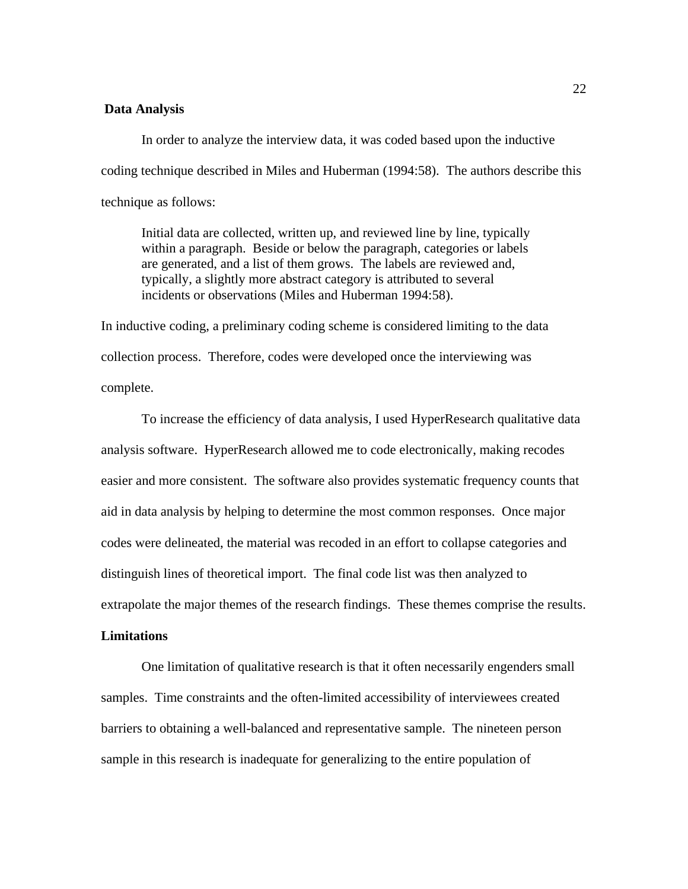#### **Data Analysis**

 In order to analyze the interview data, it was coded based upon the inductive coding technique described in Miles and Huberman (1994:58). The authors describe this technique as follows:

Initial data are collected, written up, and reviewed line by line, typically within a paragraph. Beside or below the paragraph, categories or labels are generated, and a list of them grows. The labels are reviewed and, typically, a slightly more abstract category is attributed to several incidents or observations (Miles and Huberman 1994:58).

In inductive coding, a preliminary coding scheme is considered limiting to the data collection process. Therefore, codes were developed once the interviewing was complete.

To increase the efficiency of data analysis, I used HyperResearch qualitative data analysis software. HyperResearch allowed me to code electronically, making recodes easier and more consistent. The software also provides systematic frequency counts that aid in data analysis by helping to determine the most common responses. Once major codes were delineated, the material was recoded in an effort to collapse categories and distinguish lines of theoretical import. The final code list was then analyzed to extrapolate the major themes of the research findings. These themes comprise the results.

# **Limitations**

One limitation of qualitative research is that it often necessarily engenders small samples. Time constraints and the often-limited accessibility of interviewees created barriers to obtaining a well-balanced and representative sample. The nineteen person sample in this research is inadequate for generalizing to the entire population of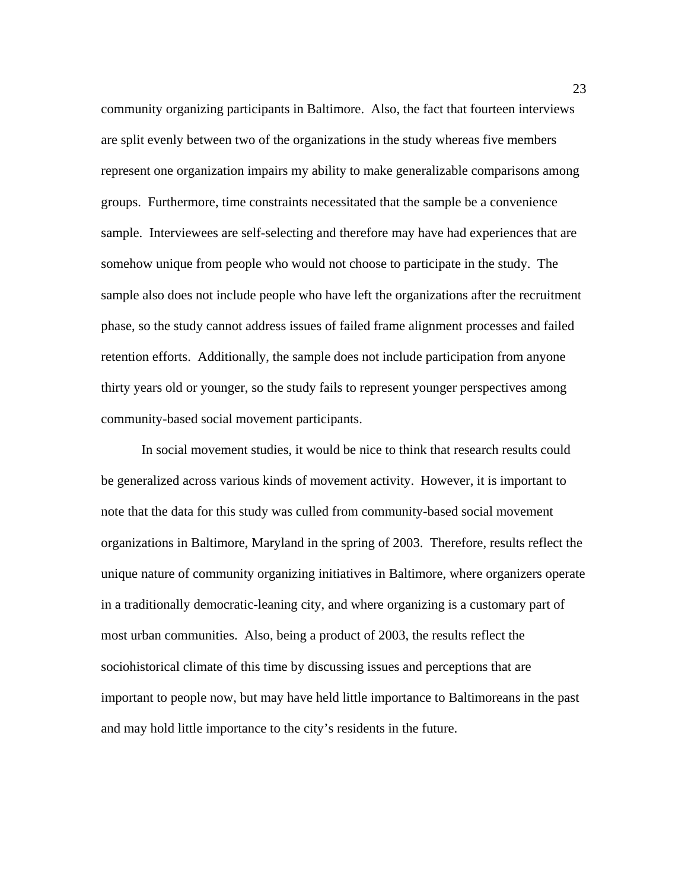community organizing participants in Baltimore. Also, the fact that fourteen interviews are split evenly between two of the organizations in the study whereas five members represent one organization impairs my ability to make generalizable comparisons among groups. Furthermore, time constraints necessitated that the sample be a convenience sample. Interviewees are self-selecting and therefore may have had experiences that are somehow unique from people who would not choose to participate in the study. The sample also does not include people who have left the organizations after the recruitment phase, so the study cannot address issues of failed frame alignment processes and failed retention efforts. Additionally, the sample does not include participation from anyone thirty years old or younger, so the study fails to represent younger perspectives among community-based social movement participants.

In social movement studies, it would be nice to think that research results could be generalized across various kinds of movement activity. However, it is important to note that the data for this study was culled from community-based social movement organizations in Baltimore, Maryland in the spring of 2003. Therefore, results reflect the unique nature of community organizing initiatives in Baltimore, where organizers operate in a traditionally democratic-leaning city, and where organizing is a customary part of most urban communities. Also, being a product of 2003, the results reflect the sociohistorical climate of this time by discussing issues and perceptions that are important to people now, but may have held little importance to Baltimoreans in the past and may hold little importance to the city's residents in the future.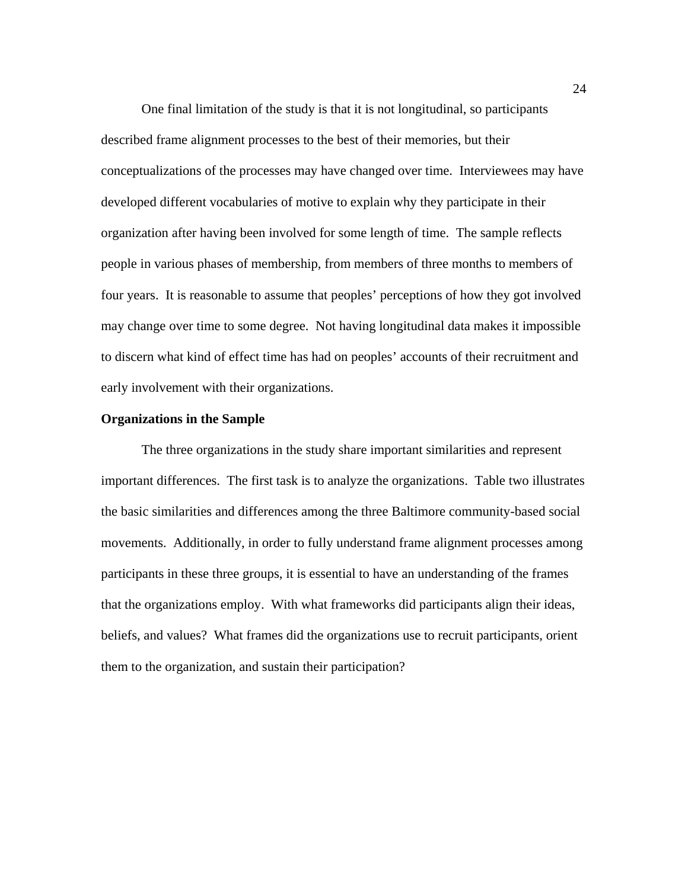One final limitation of the study is that it is not longitudinal, so participants described frame alignment processes to the best of their memories, but their conceptualizations of the processes may have changed over time. Interviewees may have developed different vocabularies of motive to explain why they participate in their organization after having been involved for some length of time. The sample reflects people in various phases of membership, from members of three months to members of four years. It is reasonable to assume that peoples' perceptions of how they got involved may change over time to some degree. Not having longitudinal data makes it impossible to discern what kind of effect time has had on peoples' accounts of their recruitment and early involvement with their organizations.

# **Organizations in the Sample**

 The three organizations in the study share important similarities and represent important differences. The first task is to analyze the organizations. Table two illustrates the basic similarities and differences among the three Baltimore community-based social movements. Additionally, in order to fully understand frame alignment processes among participants in these three groups, it is essential to have an understanding of the frames that the organizations employ. With what frameworks did participants align their ideas, beliefs, and values? What frames did the organizations use to recruit participants, orient them to the organization, and sustain their participation?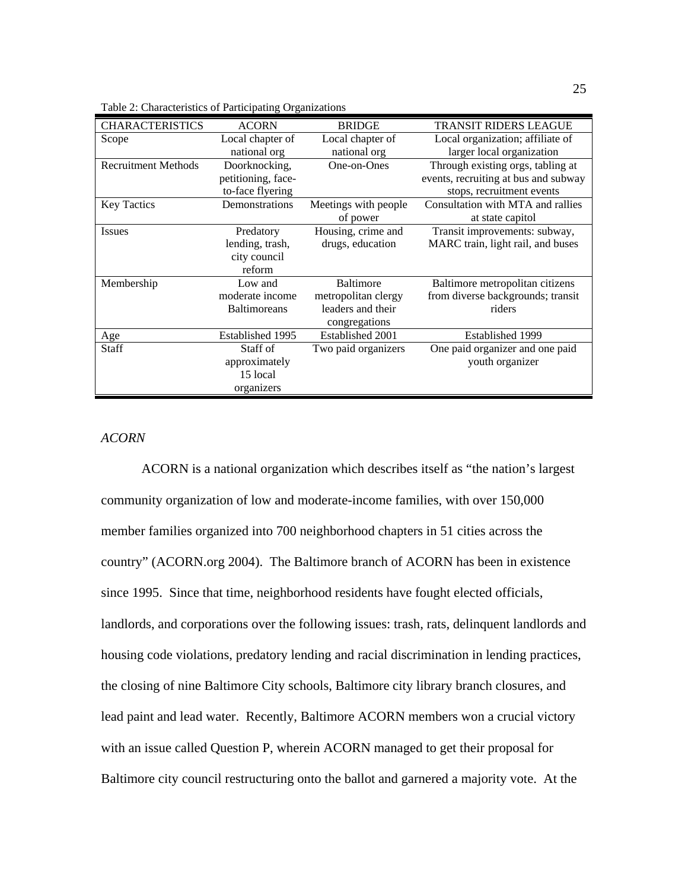| Table 2: Characteristics of Participating Organizations |  |  |
|---------------------------------------------------------|--|--|
|                                                         |  |  |

| <b>CHARACTERISTICS</b>     | <b>ACORN</b>        | <b>BRIDGE</b>        | TRANSIT RIDERS LEAGUE                |
|----------------------------|---------------------|----------------------|--------------------------------------|
| Scope                      | Local chapter of    | Local chapter of     | Local organization; affiliate of     |
|                            | national org        | national org         | larger local organization            |
| <b>Recruitment Methods</b> | Doorknocking,       | One-on-Ones          | Through existing orgs, tabling at    |
|                            | petitioning, face-  |                      | events, recruiting at bus and subway |
|                            | to-face flyering    |                      | stops, recruitment events            |
| <b>Key Tactics</b>         | Demonstrations      | Meetings with people | Consultation with MTA and rallies    |
|                            |                     | of power             | at state capitol                     |
| <b>Issues</b>              | Predatory           | Housing, crime and   | Transit improvements: subway,        |
|                            | lending, trash,     | drugs, education     | MARC train, light rail, and buses    |
|                            | city council        |                      |                                      |
|                            | reform              |                      |                                      |
| Membership                 | Low and             | Baltimore            | Baltimore metropolitan citizens      |
|                            | moderate income     | metropolitan clergy  | from diverse backgrounds; transit    |
|                            | <b>Baltimoreans</b> | leaders and their    | riders                               |
|                            |                     | congregations        |                                      |
| Age                        | Established 1995    | Established 2001     | Established 1999                     |
| Staff                      | Staff of            | Two paid organizers  | One paid organizer and one paid      |
|                            | approximately       |                      | youth organizer                      |
|                            | 15 local            |                      |                                      |
|                            | organizers          |                      |                                      |

# *ACORN*

ACORN is a national organization which describes itself as "the nation's largest community organization of low and moderate-income families, with over 150,000 member families organized into 700 neighborhood chapters in 51 cities across the country" (ACORN.org 2004). The Baltimore branch of ACORN has been in existence since 1995. Since that time, neighborhood residents have fought elected officials, landlords, and corporations over the following issues: trash, rats, delinquent landlords and housing code violations, predatory lending and racial discrimination in lending practices, the closing of nine Baltimore City schools, Baltimore city library branch closures, and lead paint and lead water. Recently, Baltimore ACORN members won a crucial victory with an issue called Question P, wherein ACORN managed to get their proposal for Baltimore city council restructuring onto the ballot and garnered a majority vote. At the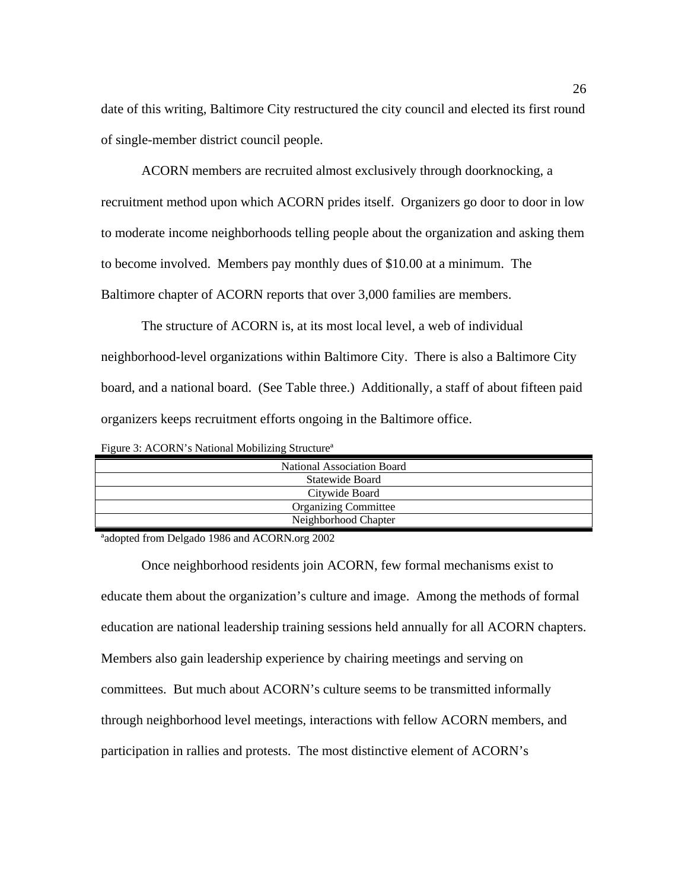date of this writing, Baltimore City restructured the city council and elected its first round of single-member district council people.

 ACORN members are recruited almost exclusively through doorknocking, a recruitment method upon which ACORN prides itself. Organizers go door to door in low to moderate income neighborhoods telling people about the organization and asking them to become involved. Members pay monthly dues of \$10.00 at a minimum. The Baltimore chapter of ACORN reports that over 3,000 families are members.

 The structure of ACORN is, at its most local level, a web of individual neighborhood-level organizations within Baltimore City. There is also a Baltimore City board, and a national board. (See Table three.) Additionally, a staff of about fifteen paid organizers keeps recruitment efforts ongoing in the Baltimore office.

|  |  |  |  | Figure 3: ACORN's National Mobilizing Structure <sup>a</sup> |  |
|--|--|--|--|--------------------------------------------------------------|--|
|--|--|--|--|--------------------------------------------------------------|--|

| National Association Board  |
|-----------------------------|
| Statewide Board             |
| Citywide Board              |
| <b>Organizing Committee</b> |
| Neighborhood Chapter        |

ªadopted from Delgado 1986 and ACORN.org 2002

 Once neighborhood residents join ACORN, few formal mechanisms exist to educate them about the organization's culture and image. Among the methods of formal education are national leadership training sessions held annually for all ACORN chapters. Members also gain leadership experience by chairing meetings and serving on committees. But much about ACORN's culture seems to be transmitted informally through neighborhood level meetings, interactions with fellow ACORN members, and participation in rallies and protests. The most distinctive element of ACORN's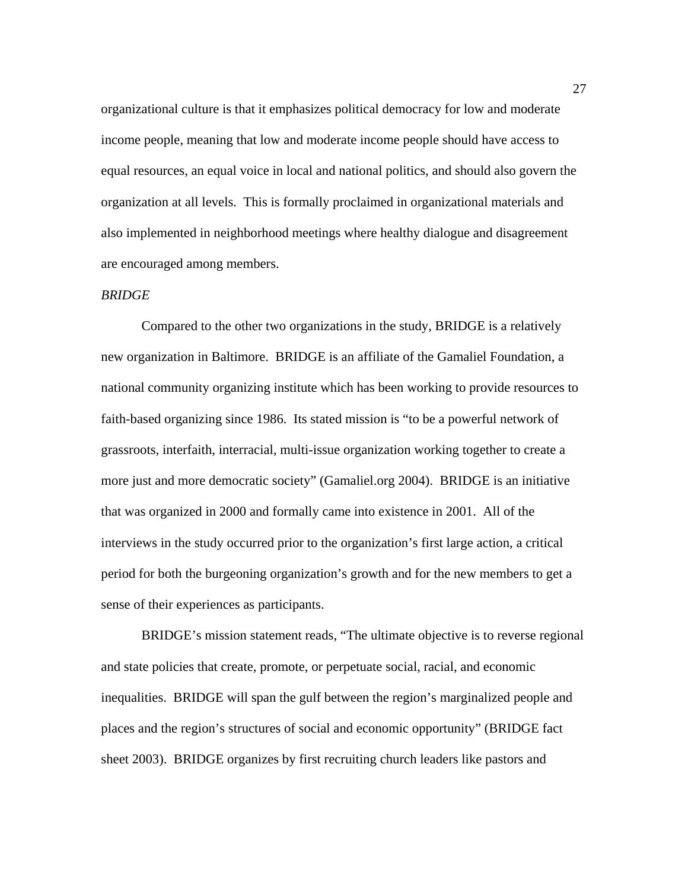organizational culture is that it emphasizes political democracy for low and moderate income people, meaning that low and moderate income people should have access to equal resources, an equal voice in local and national politics, and should also govern the organization at all levels. This is formally proclaimed in organizational materials and also implemented in neighborhood meetings where healthy dialogue and disagreement are encouraged among members.

#### *BRIDGE*

Compared to the other two organizations in the study, BRIDGE is a relatively new organization in Baltimore. BRIDGE is an affiliate of the Gamaliel Foundation, a national community organizing institute which has been working to provide resources to faith-based organizing since 1986. Its stated mission is "to be a powerful network of grassroots, interfaith, interracial, multi-issue organization working together to create a more just and more democratic society" (Gamaliel.org 2004). BRIDGE is an initiative that was organized in 2000 and formally came into existence in 2001. All of the interviews in the study occurred prior to the organization's first large action, a critical period for both the burgeoning organization's growth and for the new members to get a sense of their experiences as participants.

 BRIDGE's mission statement reads, "The ultimate objective is to reverse regional and state policies that create, promote, or perpetuate social, racial, and economic inequalities. BRIDGE will span the gulf between the region's marginalized people and places and the region's structures of social and economic opportunity" (BRIDGE fact sheet 2003). BRIDGE organizes by first recruiting church leaders like pastors and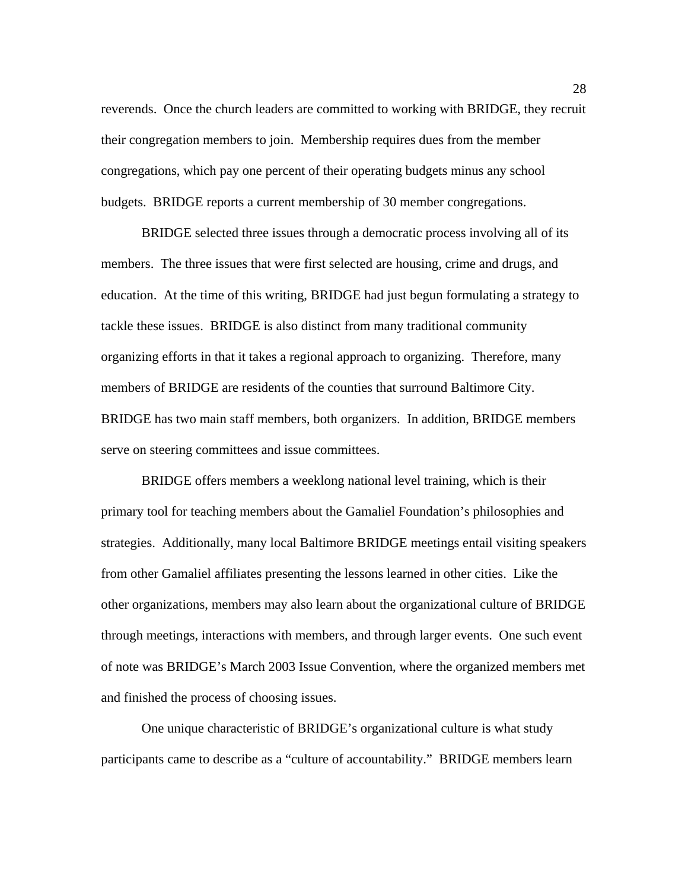reverends. Once the church leaders are committed to working with BRIDGE, they recruit their congregation members to join. Membership requires dues from the member congregations, which pay one percent of their operating budgets minus any school budgets. BRIDGE reports a current membership of 30 member congregations.

BRIDGE selected three issues through a democratic process involving all of its members. The three issues that were first selected are housing, crime and drugs, and education. At the time of this writing, BRIDGE had just begun formulating a strategy to tackle these issues. BRIDGE is also distinct from many traditional community organizing efforts in that it takes a regional approach to organizing. Therefore, many members of BRIDGE are residents of the counties that surround Baltimore City. BRIDGE has two main staff members, both organizers. In addition, BRIDGE members serve on steering committees and issue committees.

BRIDGE offers members a weeklong national level training, which is their primary tool for teaching members about the Gamaliel Foundation's philosophies and strategies. Additionally, many local Baltimore BRIDGE meetings entail visiting speakers from other Gamaliel affiliates presenting the lessons learned in other cities. Like the other organizations, members may also learn about the organizational culture of BRIDGE through meetings, interactions with members, and through larger events. One such event of note was BRIDGE's March 2003 Issue Convention, where the organized members met and finished the process of choosing issues.

One unique characteristic of BRIDGE's organizational culture is what study participants came to describe as a "culture of accountability." BRIDGE members learn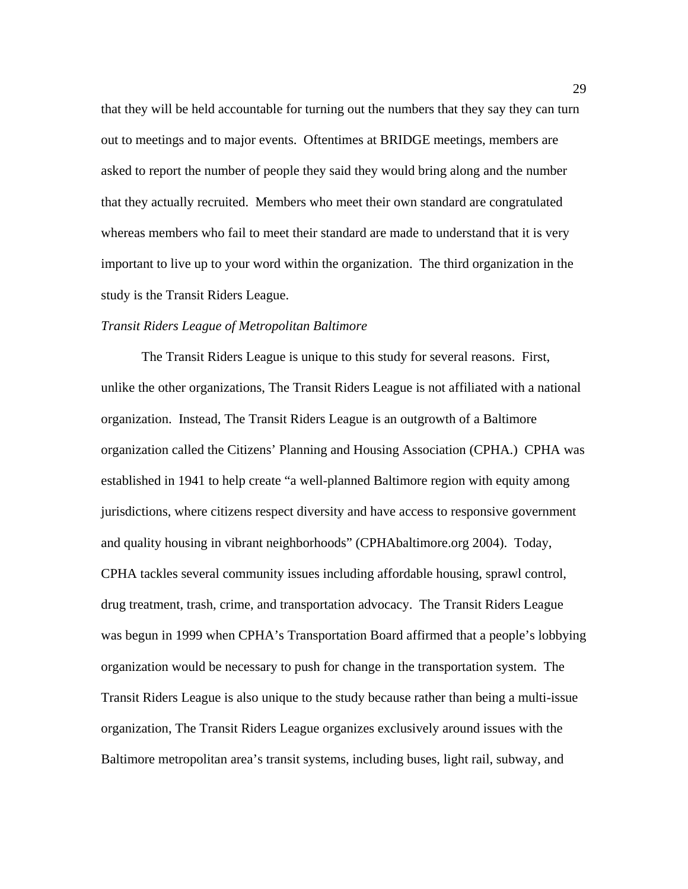that they will be held accountable for turning out the numbers that they say they can turn out to meetings and to major events. Oftentimes at BRIDGE meetings, members are asked to report the number of people they said they would bring along and the number that they actually recruited. Members who meet their own standard are congratulated whereas members who fail to meet their standard are made to understand that it is very important to live up to your word within the organization. The third organization in the study is the Transit Riders League.

#### *Transit Riders League of Metropolitan Baltimore*

 The Transit Riders League is unique to this study for several reasons. First, unlike the other organizations, The Transit Riders League is not affiliated with a national organization. Instead, The Transit Riders League is an outgrowth of a Baltimore organization called the Citizens' Planning and Housing Association (CPHA.) CPHA was established in 1941 to help create "a well-planned Baltimore region with equity among jurisdictions, where citizens respect diversity and have access to responsive government and quality housing in vibrant neighborhoods" (CPHAbaltimore.org 2004). Today, CPHA tackles several community issues including affordable housing, sprawl control, drug treatment, trash, crime, and transportation advocacy. The Transit Riders League was begun in 1999 when CPHA's Transportation Board affirmed that a people's lobbying organization would be necessary to push for change in the transportation system. The Transit Riders League is also unique to the study because rather than being a multi-issue organization, The Transit Riders League organizes exclusively around issues with the Baltimore metropolitan area's transit systems, including buses, light rail, subway, and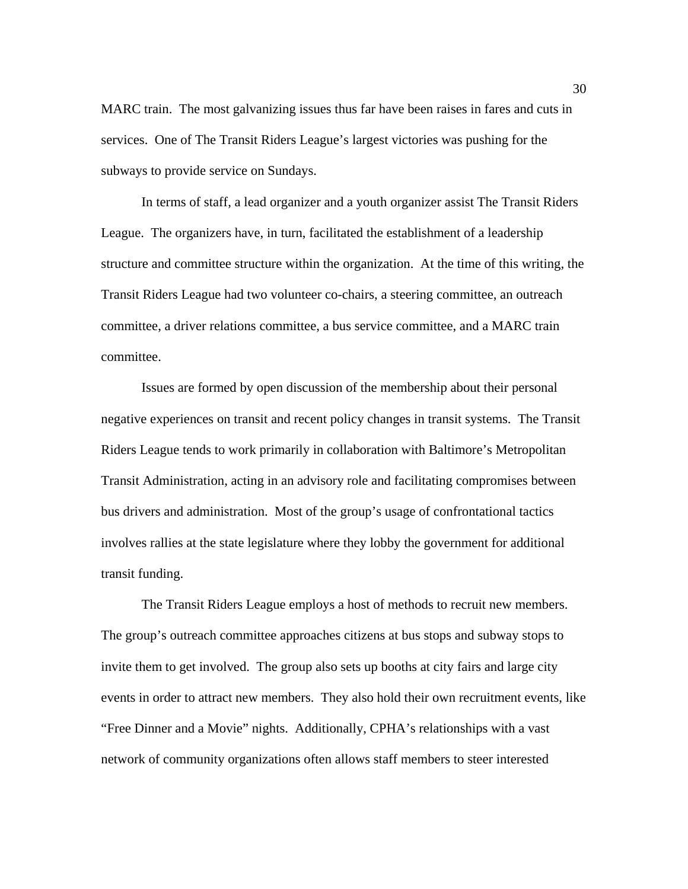MARC train. The most galvanizing issues thus far have been raises in fares and cuts in services. One of The Transit Riders League's largest victories was pushing for the subways to provide service on Sundays.

 In terms of staff, a lead organizer and a youth organizer assist The Transit Riders League. The organizers have, in turn, facilitated the establishment of a leadership structure and committee structure within the organization. At the time of this writing, the Transit Riders League had two volunteer co-chairs, a steering committee, an outreach committee, a driver relations committee, a bus service committee, and a MARC train committee.

Issues are formed by open discussion of the membership about their personal negative experiences on transit and recent policy changes in transit systems. The Transit Riders League tends to work primarily in collaboration with Baltimore's Metropolitan Transit Administration, acting in an advisory role and facilitating compromises between bus drivers and administration. Most of the group's usage of confrontational tactics involves rallies at the state legislature where they lobby the government for additional transit funding.

 The Transit Riders League employs a host of methods to recruit new members. The group's outreach committee approaches citizens at bus stops and subway stops to invite them to get involved. The group also sets up booths at city fairs and large city events in order to attract new members. They also hold their own recruitment events, like "Free Dinner and a Movie" nights. Additionally, CPHA's relationships with a vast network of community organizations often allows staff members to steer interested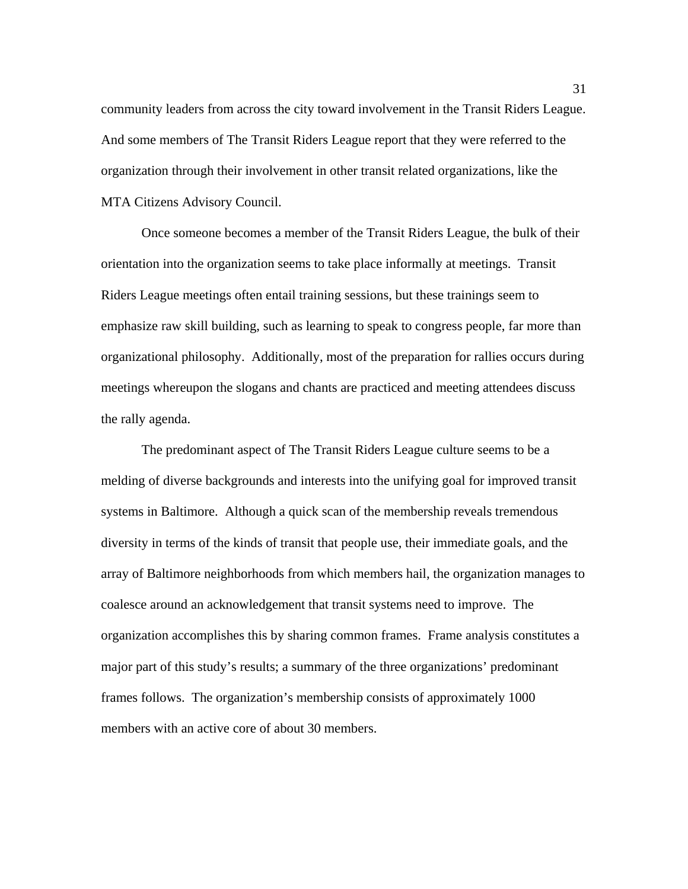community leaders from across the city toward involvement in the Transit Riders League. And some members of The Transit Riders League report that they were referred to the organization through their involvement in other transit related organizations, like the MTA Citizens Advisory Council.

 Once someone becomes a member of the Transit Riders League, the bulk of their orientation into the organization seems to take place informally at meetings. Transit Riders League meetings often entail training sessions, but these trainings seem to emphasize raw skill building, such as learning to speak to congress people, far more than organizational philosophy. Additionally, most of the preparation for rallies occurs during meetings whereupon the slogans and chants are practiced and meeting attendees discuss the rally agenda.

The predominant aspect of The Transit Riders League culture seems to be a melding of diverse backgrounds and interests into the unifying goal for improved transit systems in Baltimore. Although a quick scan of the membership reveals tremendous diversity in terms of the kinds of transit that people use, their immediate goals, and the array of Baltimore neighborhoods from which members hail, the organization manages to coalesce around an acknowledgement that transit systems need to improve. The organization accomplishes this by sharing common frames. Frame analysis constitutes a major part of this study's results; a summary of the three organizations' predominant frames follows. The organization's membership consists of approximately 1000 members with an active core of about 30 members.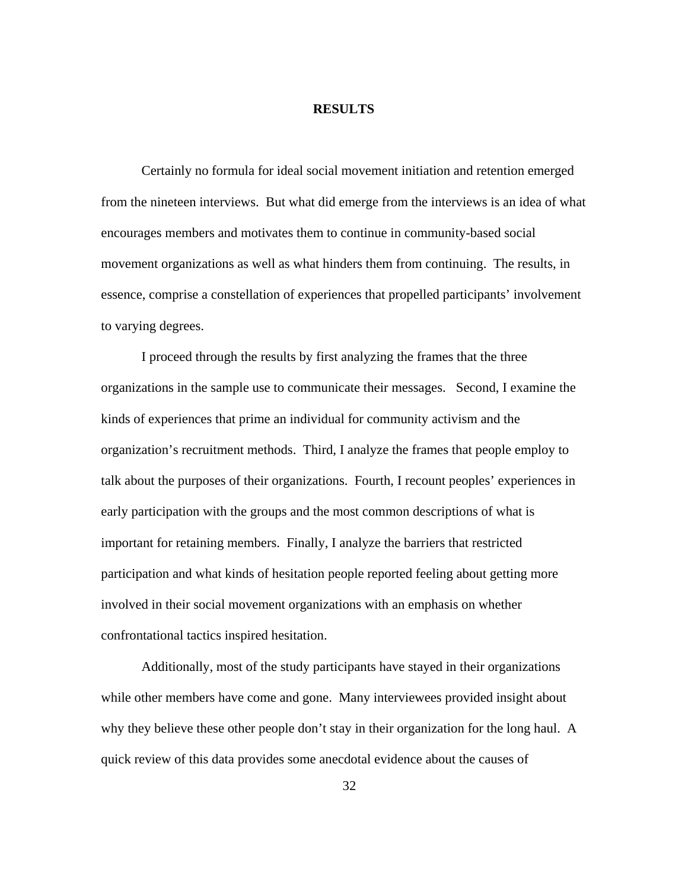### **RESULTS**

Certainly no formula for ideal social movement initiation and retention emerged from the nineteen interviews. But what did emerge from the interviews is an idea of what encourages members and motivates them to continue in community-based social movement organizations as well as what hinders them from continuing. The results, in essence, comprise a constellation of experiences that propelled participants' involvement to varying degrees.

 I proceed through the results by first analyzing the frames that the three organizations in the sample use to communicate their messages. Second, I examine the kinds of experiences that prime an individual for community activism and the organization's recruitment methods. Third, I analyze the frames that people employ to talk about the purposes of their organizations. Fourth, I recount peoples' experiences in early participation with the groups and the most common descriptions of what is important for retaining members. Finally, I analyze the barriers that restricted participation and what kinds of hesitation people reported feeling about getting more involved in their social movement organizations with an emphasis on whether confrontational tactics inspired hesitation.

Additionally, most of the study participants have stayed in their organizations while other members have come and gone. Many interviewees provided insight about why they believe these other people don't stay in their organization for the long haul. A quick review of this data provides some anecdotal evidence about the causes of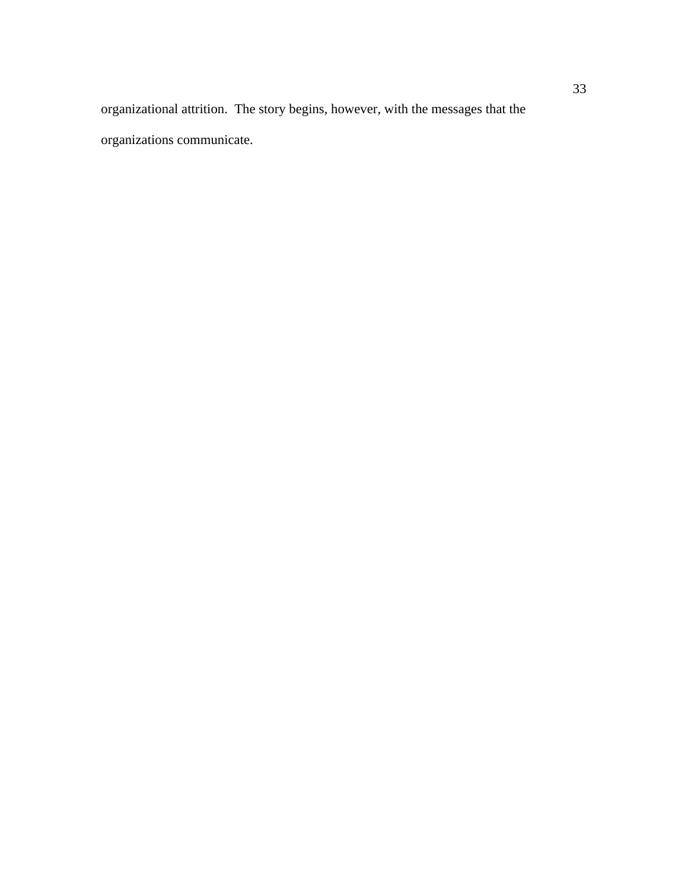organizational attrition. The story begins, however, with the messages that the organizations communicate.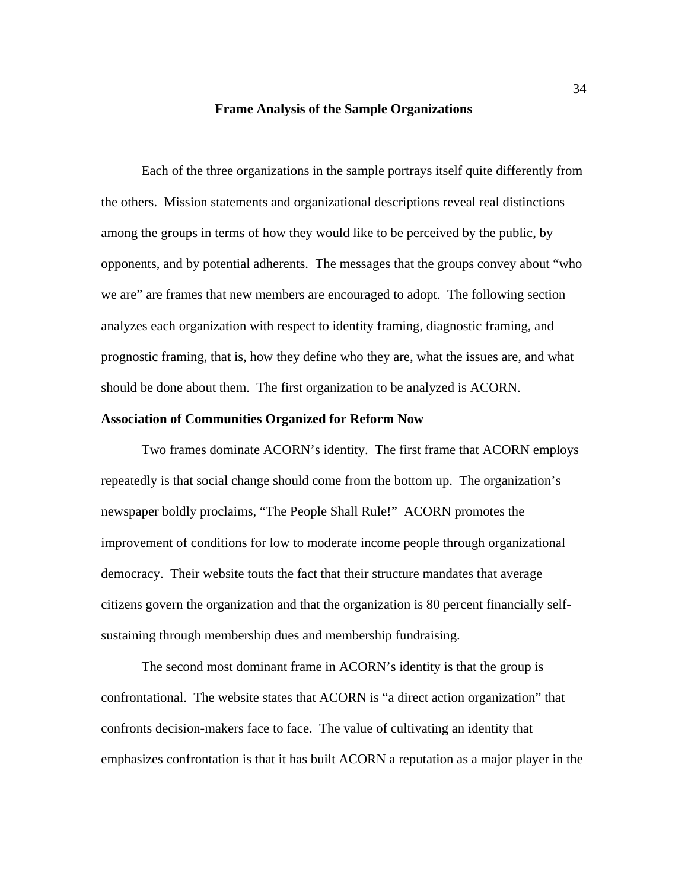#### **Frame Analysis of the Sample Organizations**

 Each of the three organizations in the sample portrays itself quite differently from the others. Mission statements and organizational descriptions reveal real distinctions among the groups in terms of how they would like to be perceived by the public, by opponents, and by potential adherents. The messages that the groups convey about "who we are" are frames that new members are encouraged to adopt. The following section analyzes each organization with respect to identity framing, diagnostic framing, and prognostic framing, that is, how they define who they are, what the issues are, and what should be done about them. The first organization to be analyzed is ACORN.

## **Association of Communities Organized for Reform Now**

 Two frames dominate ACORN's identity. The first frame that ACORN employs repeatedly is that social change should come from the bottom up. The organization's newspaper boldly proclaims, "The People Shall Rule!" ACORN promotes the improvement of conditions for low to moderate income people through organizational democracy. Their website touts the fact that their structure mandates that average citizens govern the organization and that the organization is 80 percent financially selfsustaining through membership dues and membership fundraising.

 The second most dominant frame in ACORN's identity is that the group is confrontational. The website states that ACORN is "a direct action organization" that confronts decision-makers face to face. The value of cultivating an identity that emphasizes confrontation is that it has built ACORN a reputation as a major player in the

34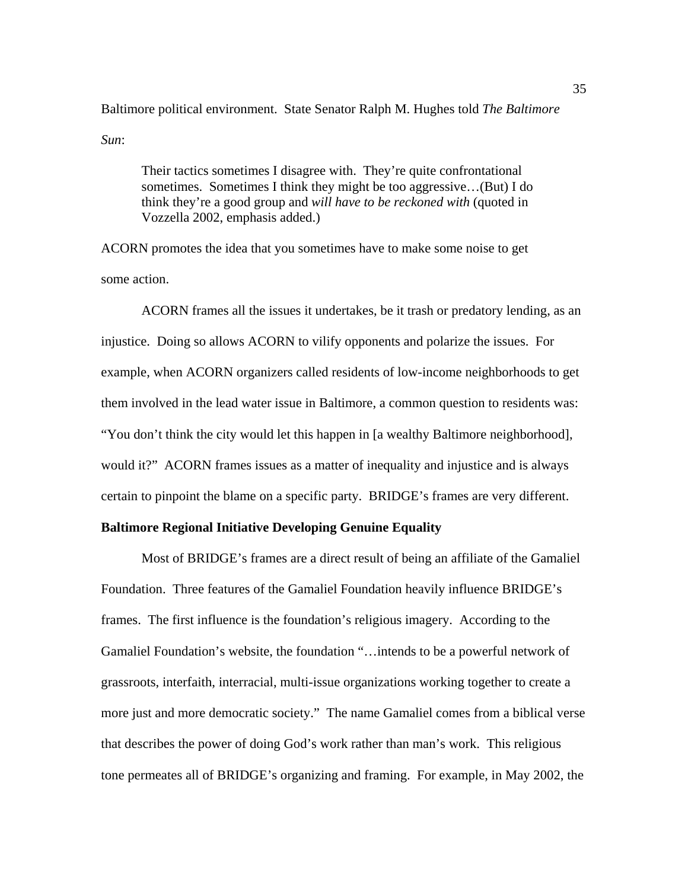Baltimore political environment. State Senator Ralph M. Hughes told *The Baltimore Sun*:

Their tactics sometimes I disagree with. They're quite confrontational sometimes. Sometimes I think they might be too aggressive…(But) I do think they're a good group and *will have to be reckoned with* (quoted in Vozzella 2002, emphasis added.)

ACORN promotes the idea that you sometimes have to make some noise to get some action.

 ACORN frames all the issues it undertakes, be it trash or predatory lending, as an injustice. Doing so allows ACORN to vilify opponents and polarize the issues. For example, when ACORN organizers called residents of low-income neighborhoods to get them involved in the lead water issue in Baltimore, a common question to residents was: "You don't think the city would let this happen in [a wealthy Baltimore neighborhood], would it?" ACORN frames issues as a matter of inequality and injustice and is always certain to pinpoint the blame on a specific party. BRIDGE's frames are very different.

# **Baltimore Regional Initiative Developing Genuine Equality**

 Most of BRIDGE's frames are a direct result of being an affiliate of the Gamaliel Foundation. Three features of the Gamaliel Foundation heavily influence BRIDGE's frames. The first influence is the foundation's religious imagery. According to the Gamaliel Foundation's website, the foundation "…intends to be a powerful network of grassroots, interfaith, interracial, multi-issue organizations working together to create a more just and more democratic society." The name Gamaliel comes from a biblical verse that describes the power of doing God's work rather than man's work. This religious tone permeates all of BRIDGE's organizing and framing. For example, in May 2002, the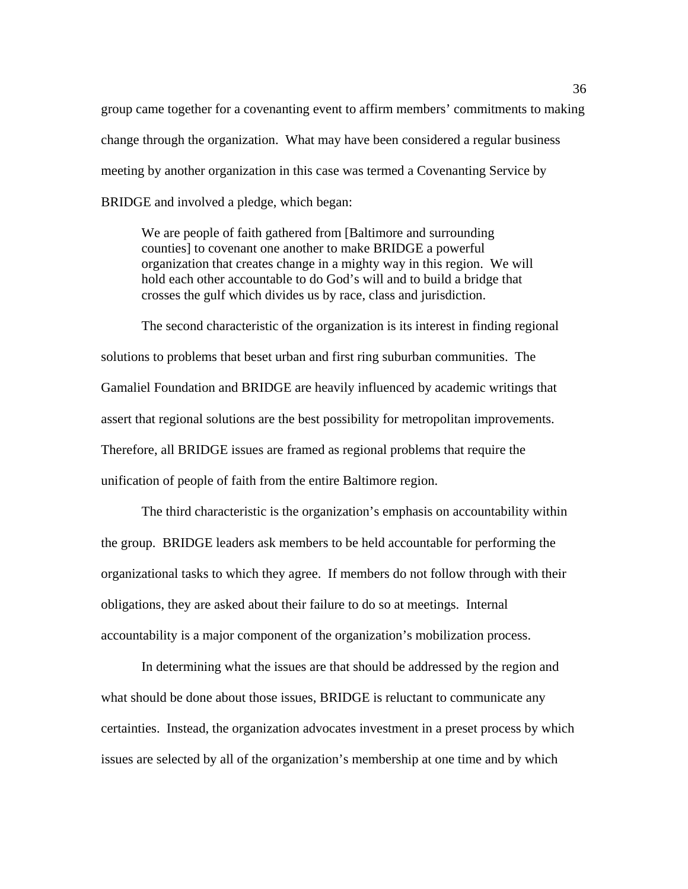group came together for a covenanting event to affirm members' commitments to making change through the organization. What may have been considered a regular business meeting by another organization in this case was termed a Covenanting Service by BRIDGE and involved a pledge, which began:

We are people of faith gathered from [Baltimore and surrounding counties] to covenant one another to make BRIDGE a powerful organization that creates change in a mighty way in this region. We will hold each other accountable to do God's will and to build a bridge that crosses the gulf which divides us by race, class and jurisdiction.

The second characteristic of the organization is its interest in finding regional solutions to problems that beset urban and first ring suburban communities. The Gamaliel Foundation and BRIDGE are heavily influenced by academic writings that assert that regional solutions are the best possibility for metropolitan improvements. Therefore, all BRIDGE issues are framed as regional problems that require the unification of people of faith from the entire Baltimore region.

The third characteristic is the organization's emphasis on accountability within the group. BRIDGE leaders ask members to be held accountable for performing the organizational tasks to which they agree. If members do not follow through with their obligations, they are asked about their failure to do so at meetings. Internal accountability is a major component of the organization's mobilization process.

In determining what the issues are that should be addressed by the region and what should be done about those issues, BRIDGE is reluctant to communicate any certainties. Instead, the organization advocates investment in a preset process by which issues are selected by all of the organization's membership at one time and by which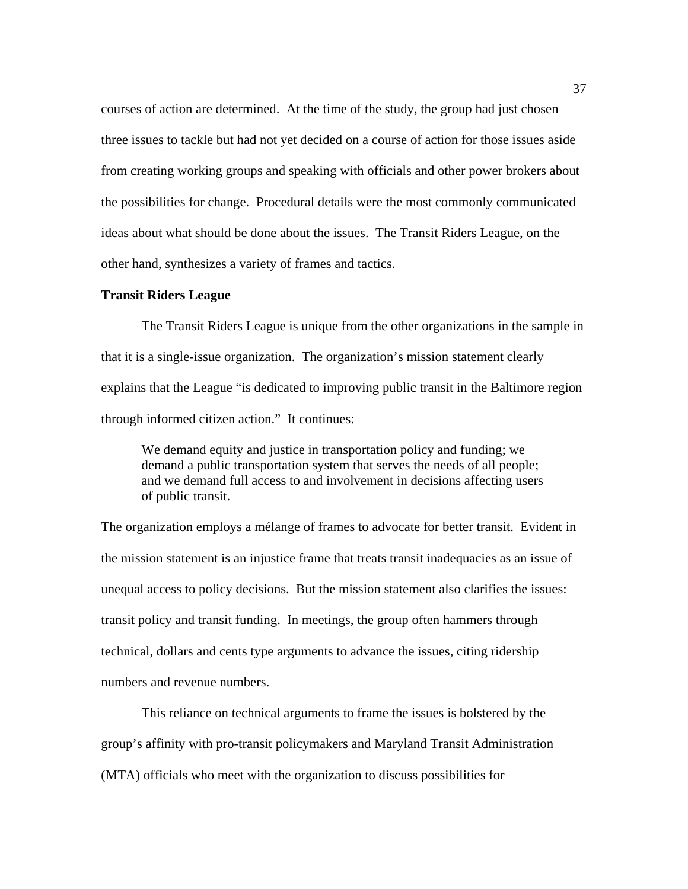courses of action are determined. At the time of the study, the group had just chosen three issues to tackle but had not yet decided on a course of action for those issues aside from creating working groups and speaking with officials and other power brokers about the possibilities for change. Procedural details were the most commonly communicated ideas about what should be done about the issues. The Transit Riders League, on the other hand, synthesizes a variety of frames and tactics.

# **Transit Riders League**

The Transit Riders League is unique from the other organizations in the sample in that it is a single-issue organization. The organization's mission statement clearly explains that the League "is dedicated to improving public transit in the Baltimore region through informed citizen action." It continues:

We demand equity and justice in transportation policy and funding; we demand a public transportation system that serves the needs of all people; and we demand full access to and involvement in decisions affecting users of public transit.

The organization employs a mélange of frames to advocate for better transit. Evident in the mission statement is an injustice frame that treats transit inadequacies as an issue of unequal access to policy decisions. But the mission statement also clarifies the issues: transit policy and transit funding. In meetings, the group often hammers through technical, dollars and cents type arguments to advance the issues, citing ridership numbers and revenue numbers.

 This reliance on technical arguments to frame the issues is bolstered by the group's affinity with pro-transit policymakers and Maryland Transit Administration (MTA) officials who meet with the organization to discuss possibilities for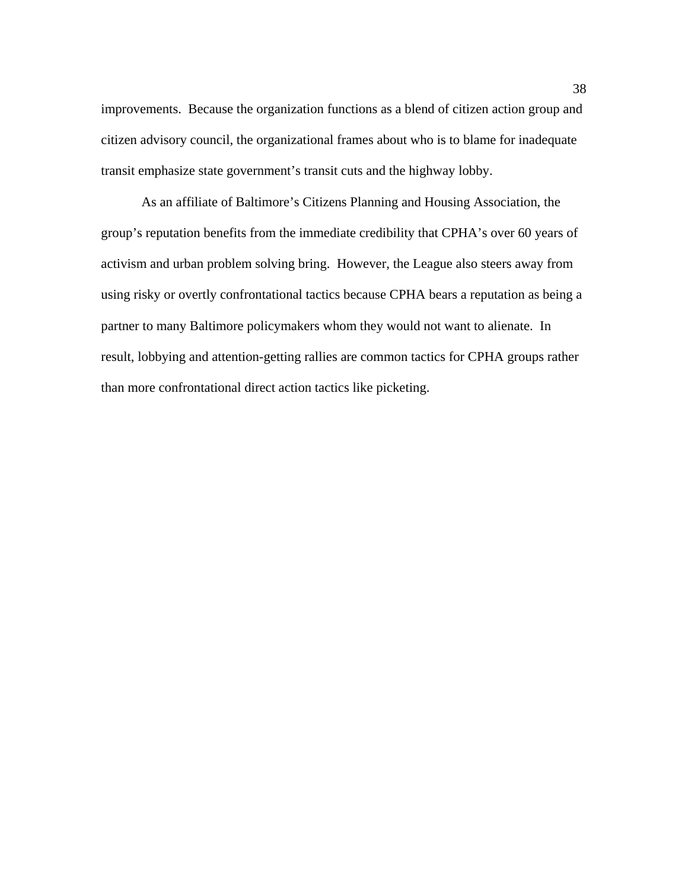improvements. Because the organization functions as a blend of citizen action group and citizen advisory council, the organizational frames about who is to blame for inadequate transit emphasize state government's transit cuts and the highway lobby.

 As an affiliate of Baltimore's Citizens Planning and Housing Association, the group's reputation benefits from the immediate credibility that CPHA's over 60 years of activism and urban problem solving bring. However, the League also steers away from using risky or overtly confrontational tactics because CPHA bears a reputation as being a partner to many Baltimore policymakers whom they would not want to alienate. In result, lobbying and attention-getting rallies are common tactics for CPHA groups rather than more confrontational direct action tactics like picketing.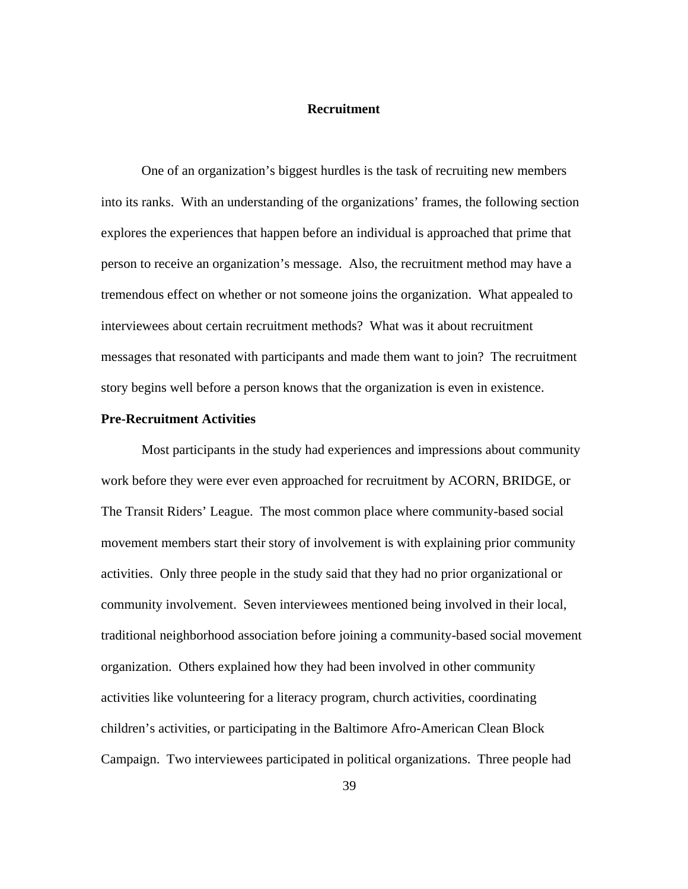# **Recruitment**

 One of an organization's biggest hurdles is the task of recruiting new members into its ranks. With an understanding of the organizations' frames, the following section explores the experiences that happen before an individual is approached that prime that person to receive an organization's message. Also, the recruitment method may have a tremendous effect on whether or not someone joins the organization. What appealed to interviewees about certain recruitment methods? What was it about recruitment messages that resonated with participants and made them want to join? The recruitment story begins well before a person knows that the organization is even in existence.

## **Pre-Recruitment Activities**

 Most participants in the study had experiences and impressions about community work before they were ever even approached for recruitment by ACORN, BRIDGE, or The Transit Riders' League. The most common place where community-based social movement members start their story of involvement is with explaining prior community activities. Only three people in the study said that they had no prior organizational or community involvement. Seven interviewees mentioned being involved in their local, traditional neighborhood association before joining a community-based social movement organization. Others explained how they had been involved in other community activities like volunteering for a literacy program, church activities, coordinating children's activities, or participating in the Baltimore Afro-American Clean Block Campaign. Two interviewees participated in political organizations. Three people had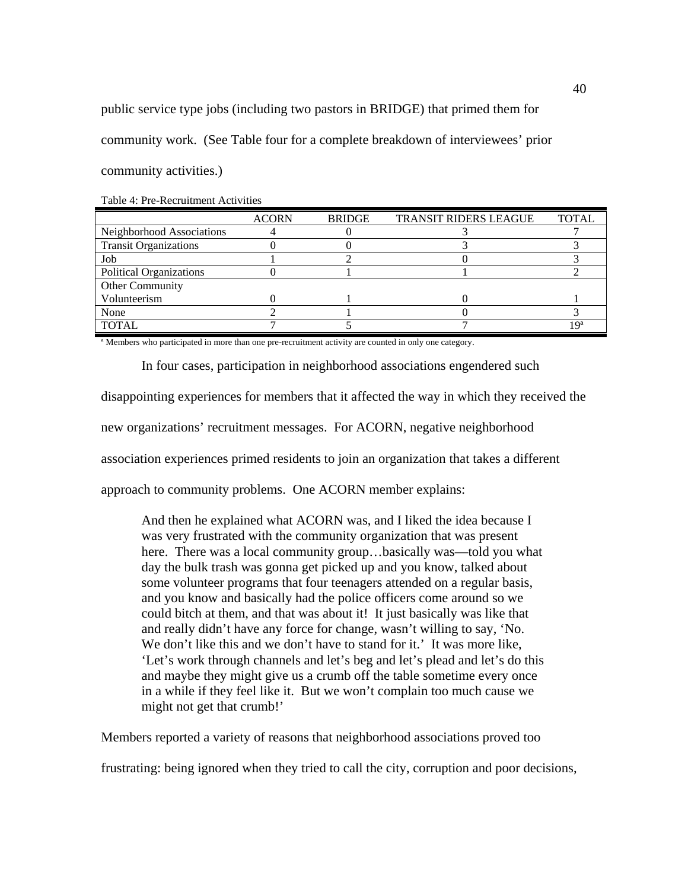public service type jobs (including two pastors in BRIDGE) that primed them for community work. (See Table four for a complete breakdown of interviewees' prior community activities.)

|                              | <b>ACORN</b> | <b>BRIDGE</b> | <b>TRANSIT RIDERS LEAGUE</b> | <b>TOTAL</b> |
|------------------------------|--------------|---------------|------------------------------|--------------|
| Neighborhood Associations    |              |               |                              |              |
| <b>Transit Organizations</b> |              |               |                              |              |
| Job                          |              |               |                              |              |
| Political Organizations      |              |               |                              |              |
| Other Community              |              |               |                              |              |
| Volunteerism                 |              |               |                              |              |
| None                         |              |               |                              |              |
| <b>TOTAL</b>                 |              |               |                              | l Qa         |

Table 4: Pre-Recruitment Activities

ª Members who participated in more than one pre-recruitment activity are counted in only one category.

In four cases, participation in neighborhood associations engendered such

disappointing experiences for members that it affected the way in which they received the

new organizations' recruitment messages. For ACORN, negative neighborhood

association experiences primed residents to join an organization that takes a different

approach to community problems. One ACORN member explains:

And then he explained what ACORN was, and I liked the idea because I was very frustrated with the community organization that was present here. There was a local community group...basically was—told you what day the bulk trash was gonna get picked up and you know, talked about some volunteer programs that four teenagers attended on a regular basis, and you know and basically had the police officers come around so we could bitch at them, and that was about it! It just basically was like that and really didn't have any force for change, wasn't willing to say, 'No. We don't like this and we don't have to stand for it.' It was more like, 'Let's work through channels and let's beg and let's plead and let's do this and maybe they might give us a crumb off the table sometime every once in a while if they feel like it. But we won't complain too much cause we might not get that crumb!'

Members reported a variety of reasons that neighborhood associations proved too

frustrating: being ignored when they tried to call the city, corruption and poor decisions,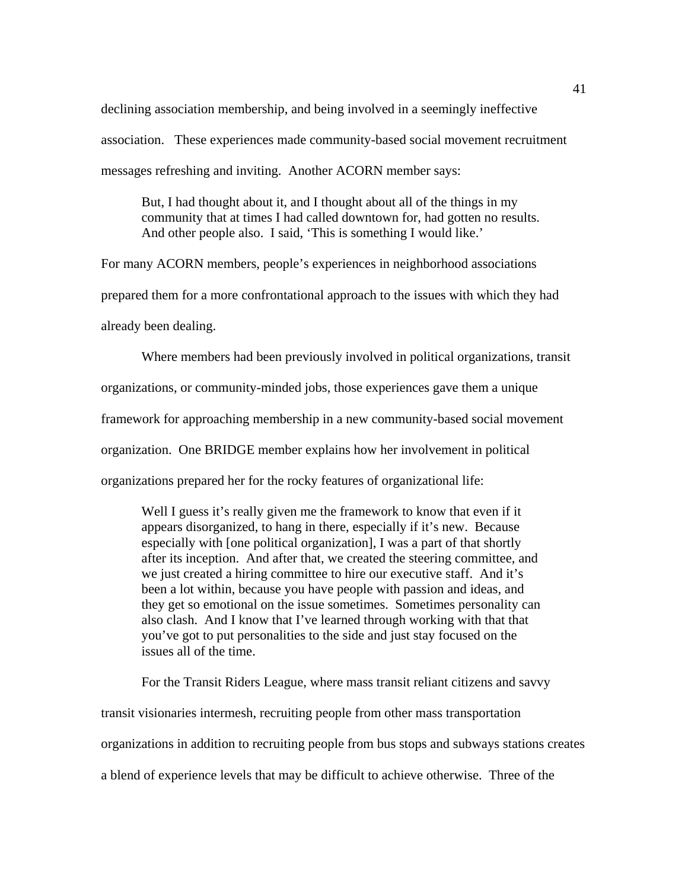declining association membership, and being involved in a seemingly ineffective association. These experiences made community-based social movement recruitment messages refreshing and inviting. Another ACORN member says:

But, I had thought about it, and I thought about all of the things in my community that at times I had called downtown for, had gotten no results. And other people also. I said, 'This is something I would like.'

For many ACORN members, people's experiences in neighborhood associations prepared them for a more confrontational approach to the issues with which they had already been dealing.

Where members had been previously involved in political organizations, transit organizations, or community-minded jobs, those experiences gave them a unique framework for approaching membership in a new community-based social movement organization. One BRIDGE member explains how her involvement in political organizations prepared her for the rocky features of organizational life:

Well I guess it's really given me the framework to know that even if it appears disorganized, to hang in there, especially if it's new. Because especially with [one political organization], I was a part of that shortly after its inception. And after that, we created the steering committee, and we just created a hiring committee to hire our executive staff. And it's been a lot within, because you have people with passion and ideas, and they get so emotional on the issue sometimes. Sometimes personality can also clash. And I know that I've learned through working with that that you've got to put personalities to the side and just stay focused on the issues all of the time.

 For the Transit Riders League, where mass transit reliant citizens and savvy transit visionaries intermesh, recruiting people from other mass transportation organizations in addition to recruiting people from bus stops and subways stations creates a blend of experience levels that may be difficult to achieve otherwise. Three of the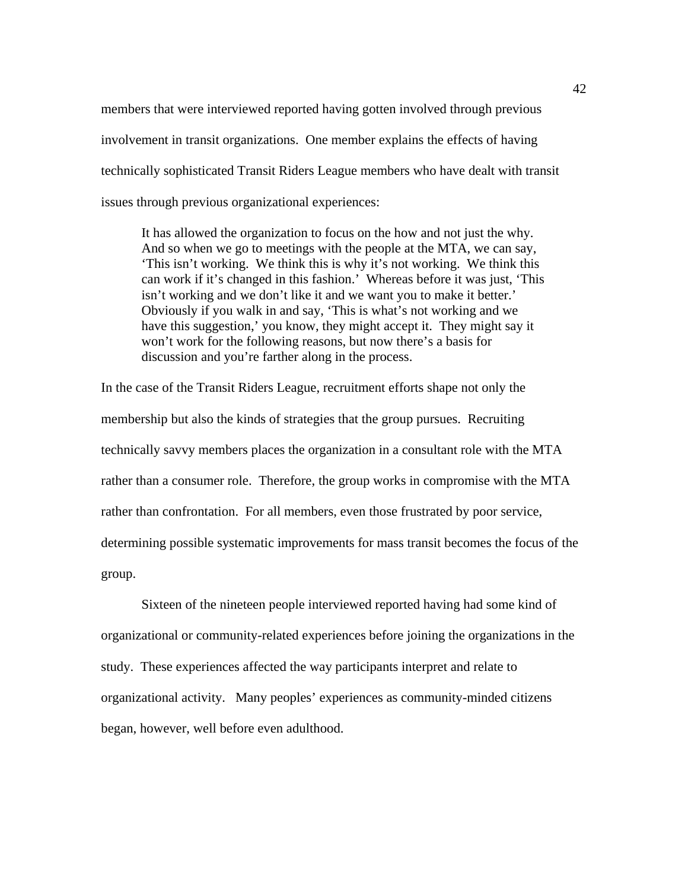members that were interviewed reported having gotten involved through previous involvement in transit organizations. One member explains the effects of having technically sophisticated Transit Riders League members who have dealt with transit issues through previous organizational experiences:

It has allowed the organization to focus on the how and not just the why. And so when we go to meetings with the people at the MTA, we can say, 'This isn't working. We think this is why it's not working. We think this can work if it's changed in this fashion.' Whereas before it was just, 'This isn't working and we don't like it and we want you to make it better.' Obviously if you walk in and say, 'This is what's not working and we have this suggestion,' you know, they might accept it. They might say it won't work for the following reasons, but now there's a basis for discussion and you're farther along in the process.

In the case of the Transit Riders League, recruitment efforts shape not only the membership but also the kinds of strategies that the group pursues. Recruiting technically savvy members places the organization in a consultant role with the MTA rather than a consumer role. Therefore, the group works in compromise with the MTA rather than confrontation. For all members, even those frustrated by poor service, determining possible systematic improvements for mass transit becomes the focus of the group.

 Sixteen of the nineteen people interviewed reported having had some kind of organizational or community-related experiences before joining the organizations in the study. These experiences affected the way participants interpret and relate to organizational activity. Many peoples' experiences as community-minded citizens began, however, well before even adulthood.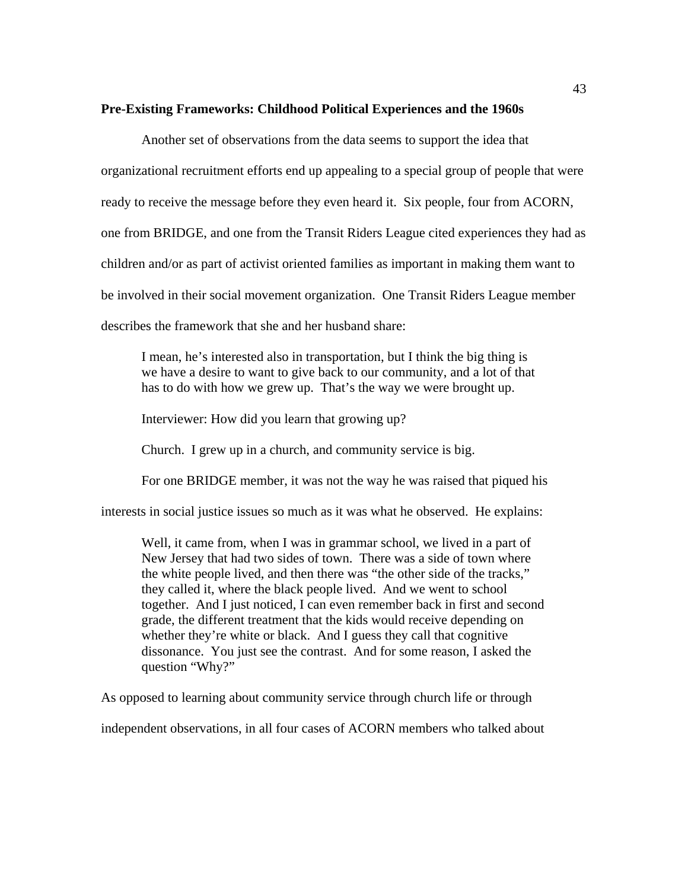# **Pre-Existing Frameworks: Childhood Political Experiences and the 1960s**

 Another set of observations from the data seems to support the idea that organizational recruitment efforts end up appealing to a special group of people that were ready to receive the message before they even heard it. Six people, four from ACORN, one from BRIDGE, and one from the Transit Riders League cited experiences they had as children and/or as part of activist oriented families as important in making them want to be involved in their social movement organization. One Transit Riders League member describes the framework that she and her husband share:

I mean, he's interested also in transportation, but I think the big thing is we have a desire to want to give back to our community, and a lot of that has to do with how we grew up. That's the way we were brought up.

Interviewer: How did you learn that growing up?

Church. I grew up in a church, and community service is big.

For one BRIDGE member, it was not the way he was raised that piqued his

interests in social justice issues so much as it was what he observed. He explains:

Well, it came from, when I was in grammar school, we lived in a part of New Jersey that had two sides of town. There was a side of town where the white people lived, and then there was "the other side of the tracks," they called it, where the black people lived. And we went to school together. And I just noticed, I can even remember back in first and second grade, the different treatment that the kids would receive depending on whether they're white or black. And I guess they call that cognitive dissonance. You just see the contrast. And for some reason, I asked the question "Why?"

As opposed to learning about community service through church life or through

independent observations, in all four cases of ACORN members who talked about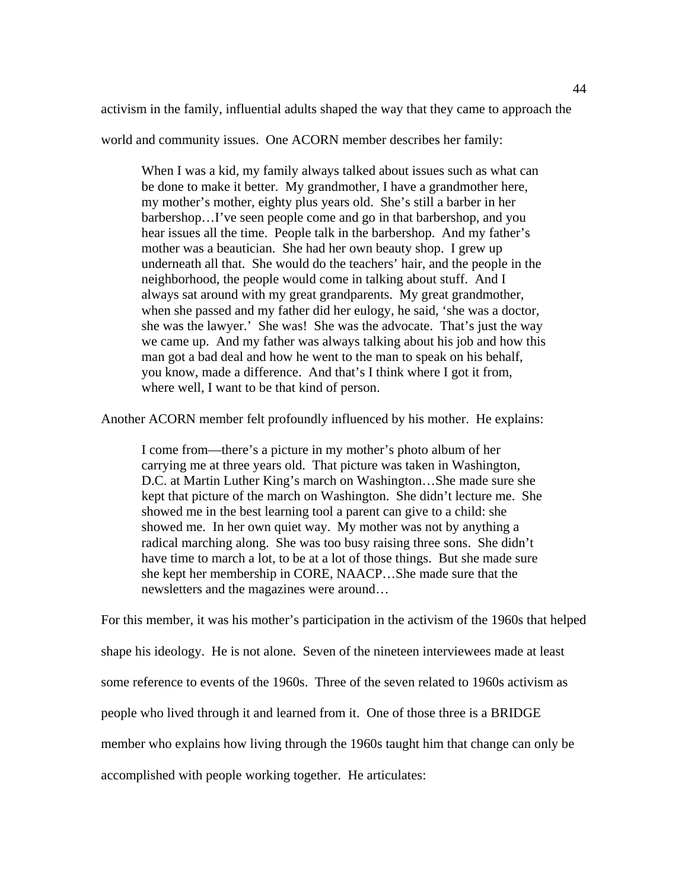activism in the family, influential adults shaped the way that they came to approach the

world and community issues. One ACORN member describes her family:

When I was a kid, my family always talked about issues such as what can be done to make it better. My grandmother, I have a grandmother here, my mother's mother, eighty plus years old. She's still a barber in her barbershop…I've seen people come and go in that barbershop, and you hear issues all the time. People talk in the barbershop. And my father's mother was a beautician. She had her own beauty shop. I grew up underneath all that. She would do the teachers' hair, and the people in the neighborhood, the people would come in talking about stuff. And I always sat around with my great grandparents. My great grandmother, when she passed and my father did her eulogy, he said, 'she was a doctor, she was the lawyer.' She was! She was the advocate. That's just the way we came up. And my father was always talking about his job and how this man got a bad deal and how he went to the man to speak on his behalf, you know, made a difference. And that's I think where I got it from, where well, I want to be that kind of person.

Another ACORN member felt profoundly influenced by his mother. He explains:

I come from—there's a picture in my mother's photo album of her carrying me at three years old. That picture was taken in Washington, D.C. at Martin Luther King's march on Washington…She made sure she kept that picture of the march on Washington. She didn't lecture me. She showed me in the best learning tool a parent can give to a child: she showed me. In her own quiet way. My mother was not by anything a radical marching along. She was too busy raising three sons. She didn't have time to march a lot, to be at a lot of those things. But she made sure she kept her membership in CORE, NAACP…She made sure that the newsletters and the magazines were around…

For this member, it was his mother's participation in the activism of the 1960s that helped shape his ideology. He is not alone. Seven of the nineteen interviewees made at least some reference to events of the 1960s. Three of the seven related to 1960s activism as people who lived through it and learned from it. One of those three is a BRIDGE member who explains how living through the 1960s taught him that change can only be accomplished with people working together. He articulates: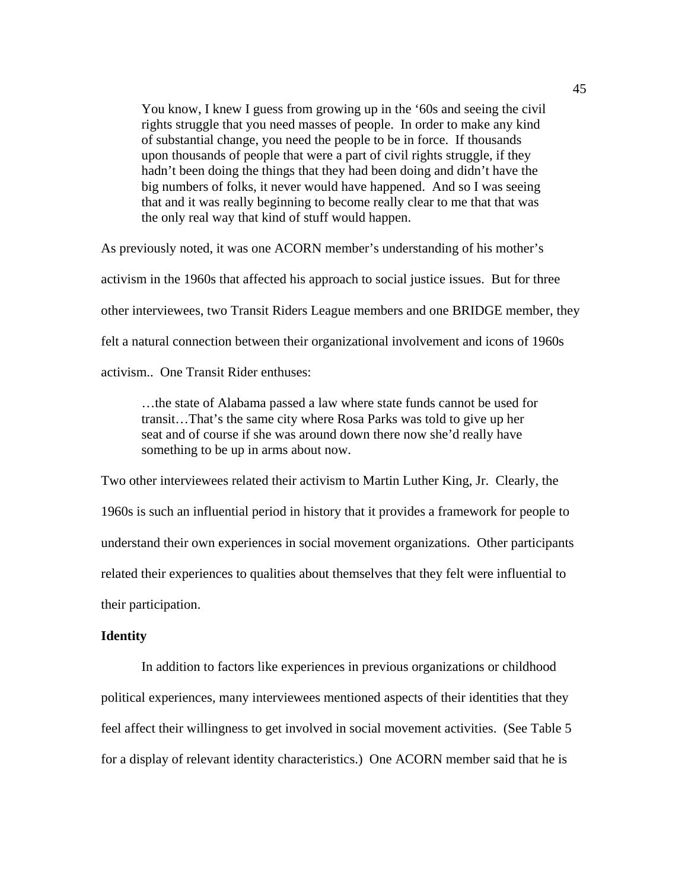You know, I knew I guess from growing up in the '60s and seeing the civil rights struggle that you need masses of people. In order to make any kind of substantial change, you need the people to be in force. If thousands upon thousands of people that were a part of civil rights struggle, if they hadn't been doing the things that they had been doing and didn't have the big numbers of folks, it never would have happened. And so I was seeing that and it was really beginning to become really clear to me that that was the only real way that kind of stuff would happen.

As previously noted, it was one ACORN member's understanding of his mother's activism in the 1960s that affected his approach to social justice issues. But for three other interviewees, two Transit Riders League members and one BRIDGE member, they felt a natural connection between their organizational involvement and icons of 1960s activism.. One Transit Rider enthuses:

…the state of Alabama passed a law where state funds cannot be used for transit…That's the same city where Rosa Parks was told to give up her seat and of course if she was around down there now she'd really have something to be up in arms about now.

Two other interviewees related their activism to Martin Luther King, Jr. Clearly, the 1960s is such an influential period in history that it provides a framework for people to understand their own experiences in social movement organizations. Other participants related their experiences to qualities about themselves that they felt were influential to their participation.

# **Identity**

In addition to factors like experiences in previous organizations or childhood political experiences, many interviewees mentioned aspects of their identities that they feel affect their willingness to get involved in social movement activities. (See Table 5 for a display of relevant identity characteristics.) One ACORN member said that he is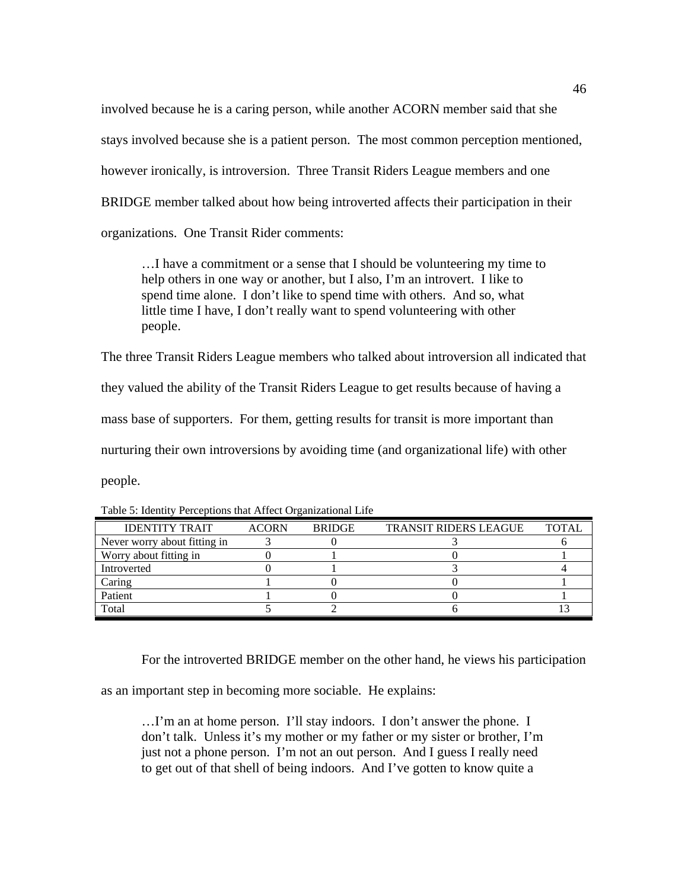involved because he is a caring person, while another ACORN member said that she stays involved because she is a patient person. The most common perception mentioned, however ironically, is introversion. Three Transit Riders League members and one BRIDGE member talked about how being introverted affects their participation in their organizations. One Transit Rider comments:

…I have a commitment or a sense that I should be volunteering my time to help others in one way or another, but I also, I'm an introvert. I like to spend time alone. I don't like to spend time with others. And so, what little time I have, I don't really want to spend volunteering with other people.

The three Transit Riders League members who talked about introversion all indicated that they valued the ability of the Transit Riders League to get results because of having a mass base of supporters. For them, getting results for transit is more important than nurturing their own introversions by avoiding time (and organizational life) with other people.

| <b>IDENTITY TRAIT</b>        | <b>ACORN</b> | <b>BRIDGE</b> | <b>TRANSIT RIDERS LEAGUE</b> | TOTAL |
|------------------------------|--------------|---------------|------------------------------|-------|
| Never worry about fitting in |              |               |                              |       |
| Worry about fitting in       |              |               |                              |       |
| Introverted                  |              |               |                              |       |
| Caring                       |              |               |                              |       |
| Patient                      |              |               |                              |       |
| Total                        |              |               |                              |       |

Table 5: Identity Perceptions that Affect Organizational Life

For the introverted BRIDGE member on the other hand, he views his participation

as an important step in becoming more sociable. He explains:

…I'm an at home person. I'll stay indoors. I don't answer the phone. I don't talk. Unless it's my mother or my father or my sister or brother, I'm just not a phone person. I'm not an out person. And I guess I really need to get out of that shell of being indoors. And I've gotten to know quite a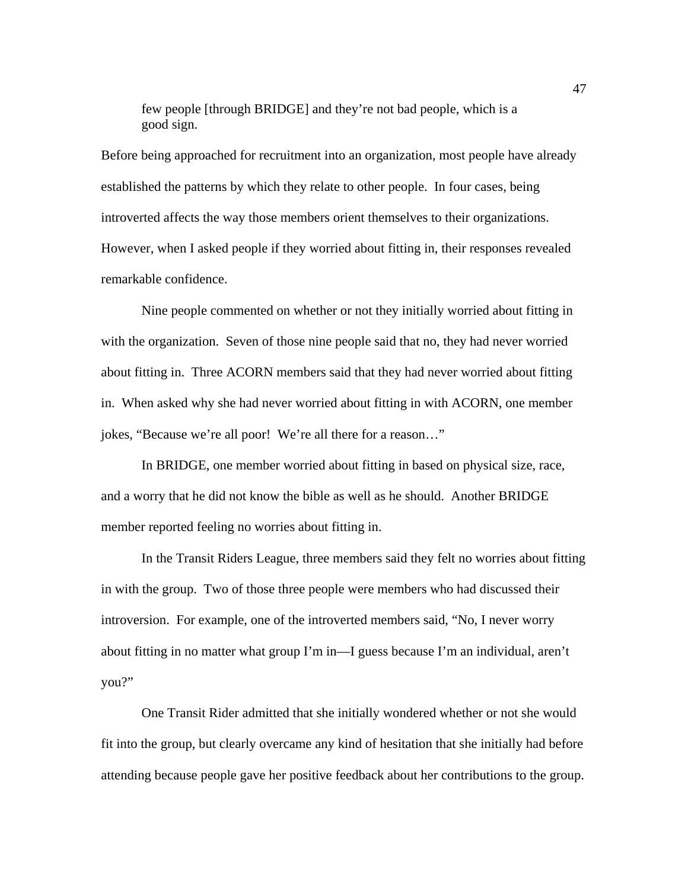few people [through BRIDGE] and they're not bad people, which is a good sign.

Before being approached for recruitment into an organization, most people have already established the patterns by which they relate to other people. In four cases, being introverted affects the way those members orient themselves to their organizations. However, when I asked people if they worried about fitting in, their responses revealed remarkable confidence.

Nine people commented on whether or not they initially worried about fitting in with the organization. Seven of those nine people said that no, they had never worried about fitting in. Three ACORN members said that they had never worried about fitting in. When asked why she had never worried about fitting in with ACORN, one member jokes, "Because we're all poor! We're all there for a reason…"

In BRIDGE, one member worried about fitting in based on physical size, race, and a worry that he did not know the bible as well as he should. Another BRIDGE member reported feeling no worries about fitting in.

 In the Transit Riders League, three members said they felt no worries about fitting in with the group. Two of those three people were members who had discussed their introversion. For example, one of the introverted members said, "No, I never worry about fitting in no matter what group I'm in—I guess because I'm an individual, aren't you?"

One Transit Rider admitted that she initially wondered whether or not she would fit into the group, but clearly overcame any kind of hesitation that she initially had before attending because people gave her positive feedback about her contributions to the group.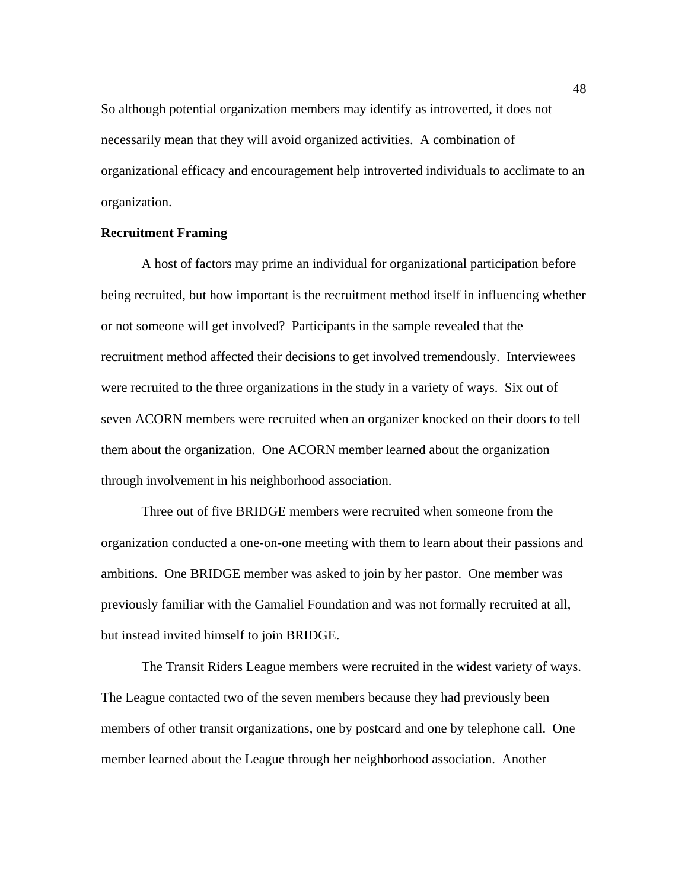So although potential organization members may identify as introverted, it does not necessarily mean that they will avoid organized activities. A combination of organizational efficacy and encouragement help introverted individuals to acclimate to an organization.

### **Recruitment Framing**

A host of factors may prime an individual for organizational participation before being recruited, but how important is the recruitment method itself in influencing whether or not someone will get involved? Participants in the sample revealed that the recruitment method affected their decisions to get involved tremendously. Interviewees were recruited to the three organizations in the study in a variety of ways. Six out of seven ACORN members were recruited when an organizer knocked on their doors to tell them about the organization. One ACORN member learned about the organization through involvement in his neighborhood association.

Three out of five BRIDGE members were recruited when someone from the organization conducted a one-on-one meeting with them to learn about their passions and ambitions. One BRIDGE member was asked to join by her pastor. One member was previously familiar with the Gamaliel Foundation and was not formally recruited at all, but instead invited himself to join BRIDGE.

The Transit Riders League members were recruited in the widest variety of ways. The League contacted two of the seven members because they had previously been members of other transit organizations, one by postcard and one by telephone call. One member learned about the League through her neighborhood association. Another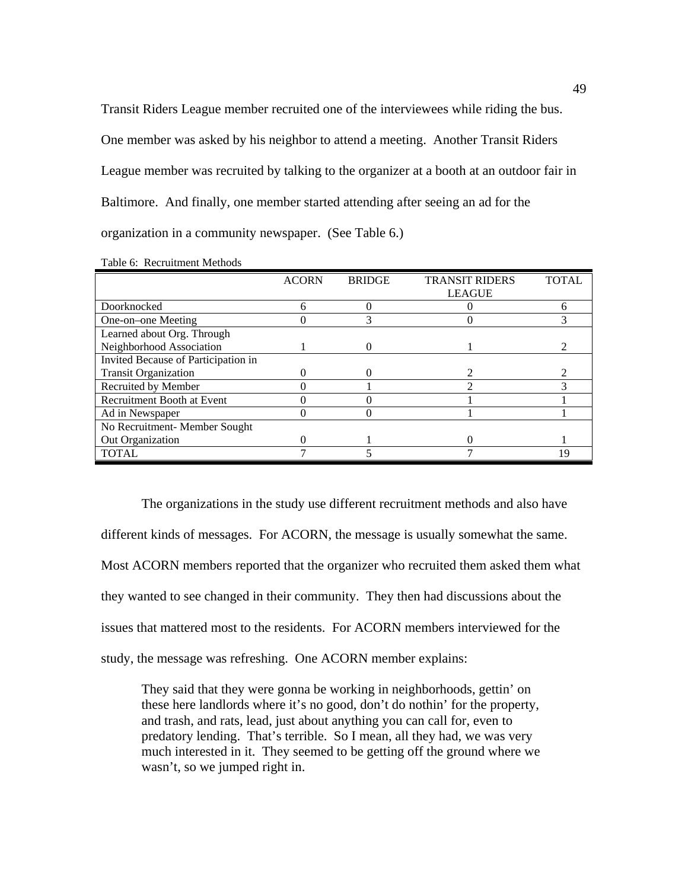Transit Riders League member recruited one of the interviewees while riding the bus. One member was asked by his neighbor to attend a meeting. Another Transit Riders League member was recruited by talking to the organizer at a booth at an outdoor fair in Baltimore. And finally, one member started attending after seeing an ad for the organization in a community newspaper. (See Table 6.)

|                                     | <b>ACORN</b> | <b>BRIDGE</b> | <b>TRANSIT RIDERS</b> | <b>TOTAL</b> |
|-------------------------------------|--------------|---------------|-----------------------|--------------|
|                                     |              |               | <b>LEAGUE</b>         |              |
| Doorknocked                         |              |               |                       |              |
| One-on-one Meeting                  |              |               |                       |              |
| Learned about Org. Through          |              |               |                       |              |
| Neighborhood Association            |              |               |                       |              |
| Invited Because of Participation in |              |               |                       |              |
| <b>Transit Organization</b>         |              |               |                       |              |
| Recruited by Member                 |              |               |                       |              |
| Recruitment Booth at Event          |              |               |                       |              |
| Ad in Newspaper                     |              |               |                       |              |
| No Recruitment- Member Sought       |              |               |                       |              |
| Out Organization                    |              |               |                       |              |
| <b>TOTAL</b>                        |              |               |                       | 19           |

Table 6: Recruitment Methods

 The organizations in the study use different recruitment methods and also have different kinds of messages. For ACORN, the message is usually somewhat the same. Most ACORN members reported that the organizer who recruited them asked them what they wanted to see changed in their community. They then had discussions about the issues that mattered most to the residents. For ACORN members interviewed for the study, the message was refreshing. One ACORN member explains:

They said that they were gonna be working in neighborhoods, gettin' on these here landlords where it's no good, don't do nothin' for the property, and trash, and rats, lead, just about anything you can call for, even to predatory lending. That's terrible. So I mean, all they had, we was very much interested in it. They seemed to be getting off the ground where we wasn't, so we jumped right in.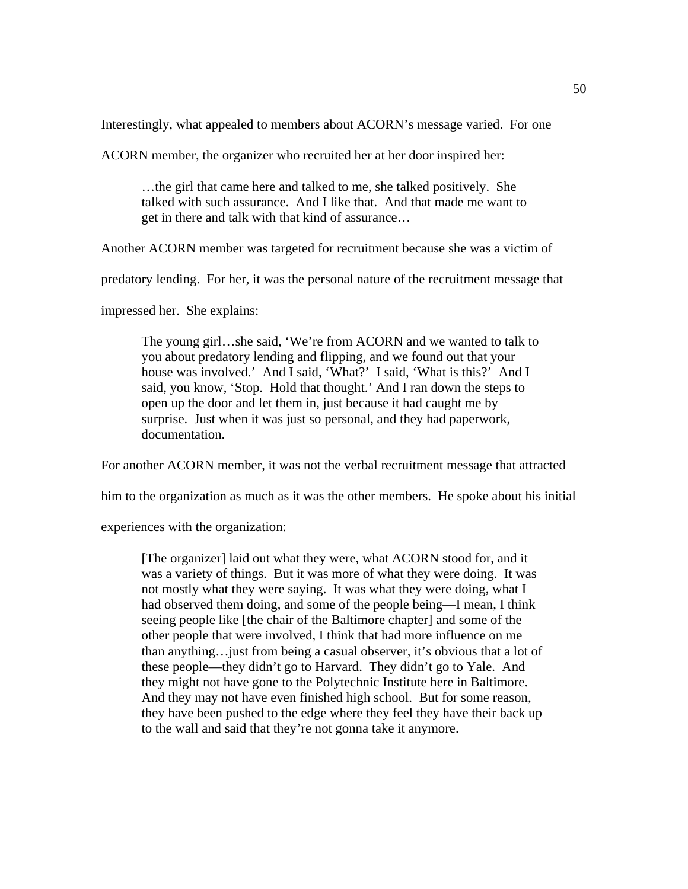Interestingly, what appealed to members about ACORN's message varied. For one

ACORN member, the organizer who recruited her at her door inspired her:

…the girl that came here and talked to me, she talked positively. She talked with such assurance. And I like that. And that made me want to get in there and talk with that kind of assurance…

Another ACORN member was targeted for recruitment because she was a victim of

predatory lending. For her, it was the personal nature of the recruitment message that

impressed her. She explains:

The young girl…she said, 'We're from ACORN and we wanted to talk to you about predatory lending and flipping, and we found out that your house was involved.' And I said, 'What?' I said, 'What is this?' And I said, you know, 'Stop. Hold that thought.' And I ran down the steps to open up the door and let them in, just because it had caught me by surprise. Just when it was just so personal, and they had paperwork, documentation.

For another ACORN member, it was not the verbal recruitment message that attracted

him to the organization as much as it was the other members. He spoke about his initial

experiences with the organization:

[The organizer] laid out what they were, what ACORN stood for, and it was a variety of things. But it was more of what they were doing. It was not mostly what they were saying. It was what they were doing, what I had observed them doing, and some of the people being—I mean, I think seeing people like [the chair of the Baltimore chapter] and some of the other people that were involved, I think that had more influence on me than anything…just from being a casual observer, it's obvious that a lot of these people—they didn't go to Harvard. They didn't go to Yale. And they might not have gone to the Polytechnic Institute here in Baltimore. And they may not have even finished high school. But for some reason, they have been pushed to the edge where they feel they have their back up to the wall and said that they're not gonna take it anymore.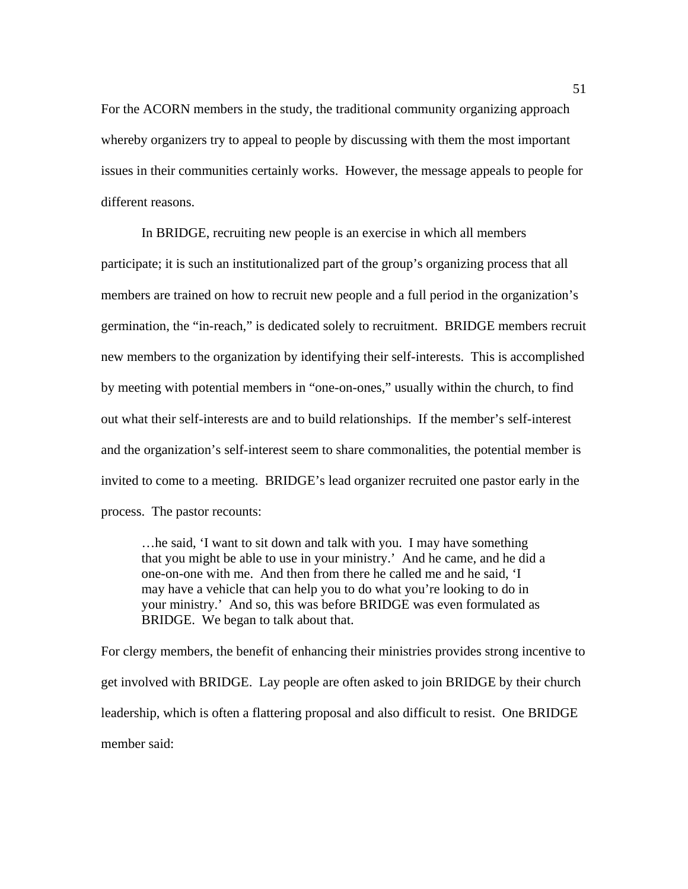For the ACORN members in the study, the traditional community organizing approach whereby organizers try to appeal to people by discussing with them the most important issues in their communities certainly works. However, the message appeals to people for different reasons.

 In BRIDGE, recruiting new people is an exercise in which all members participate; it is such an institutionalized part of the group's organizing process that all members are trained on how to recruit new people and a full period in the organization's germination, the "in-reach," is dedicated solely to recruitment. BRIDGE members recruit new members to the organization by identifying their self-interests. This is accomplished by meeting with potential members in "one-on-ones," usually within the church, to find out what their self-interests are and to build relationships. If the member's self-interest and the organization's self-interest seem to share commonalities, the potential member is invited to come to a meeting. BRIDGE's lead organizer recruited one pastor early in the process. The pastor recounts:

…he said, 'I want to sit down and talk with you. I may have something that you might be able to use in your ministry.' And he came, and he did a one-on-one with me. And then from there he called me and he said, 'I may have a vehicle that can help you to do what you're looking to do in your ministry.' And so, this was before BRIDGE was even formulated as BRIDGE. We began to talk about that.

For clergy members, the benefit of enhancing their ministries provides strong incentive to get involved with BRIDGE. Lay people are often asked to join BRIDGE by their church leadership, which is often a flattering proposal and also difficult to resist. One BRIDGE member said: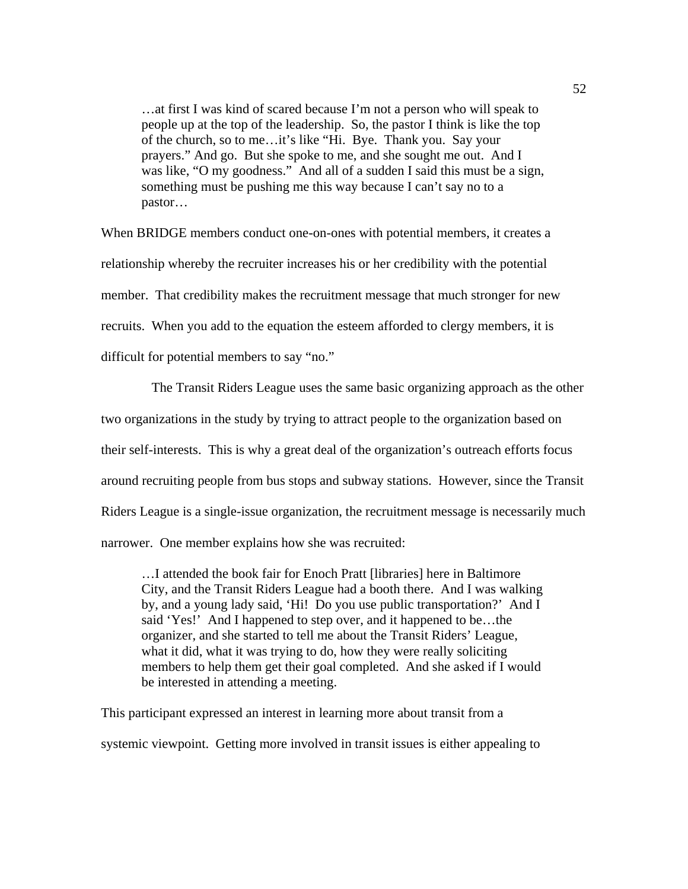…at first I was kind of scared because I'm not a person who will speak to people up at the top of the leadership. So, the pastor I think is like the top of the church, so to me…it's like "Hi. Bye. Thank you. Say your prayers." And go. But she spoke to me, and she sought me out. And I was like, "O my goodness." And all of a sudden I said this must be a sign, something must be pushing me this way because I can't say no to a pastor…

When BRIDGE members conduct one-on-ones with potential members, it creates a relationship whereby the recruiter increases his or her credibility with the potential member. That credibility makes the recruitment message that much stronger for new recruits. When you add to the equation the esteem afforded to clergy members, it is difficult for potential members to say "no."

 The Transit Riders League uses the same basic organizing approach as the other two organizations in the study by trying to attract people to the organization based on their self-interests. This is why a great deal of the organization's outreach efforts focus around recruiting people from bus stops and subway stations. However, since the Transit Riders League is a single-issue organization, the recruitment message is necessarily much narrower. One member explains how she was recruited:

…I attended the book fair for Enoch Pratt [libraries] here in Baltimore City, and the Transit Riders League had a booth there. And I was walking by, and a young lady said, 'Hi! Do you use public transportation?' And I said 'Yes!' And I happened to step over, and it happened to be…the organizer, and she started to tell me about the Transit Riders' League, what it did, what it was trying to do, how they were really soliciting members to help them get their goal completed. And she asked if I would be interested in attending a meeting.

This participant expressed an interest in learning more about transit from a systemic viewpoint. Getting more involved in transit issues is either appealing to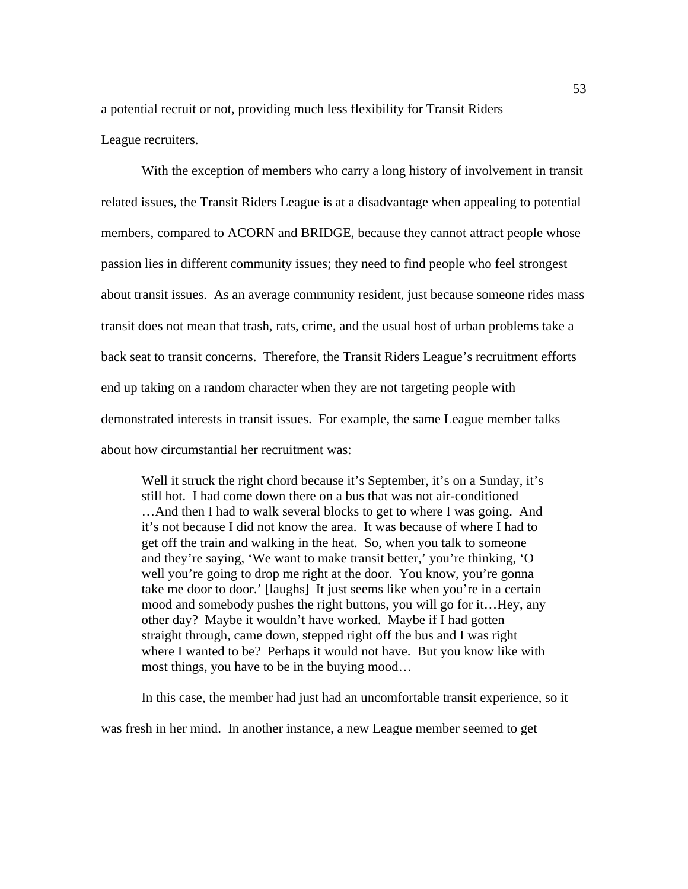a potential recruit or not, providing much less flexibility for Transit Riders

## League recruiters.

With the exception of members who carry a long history of involvement in transit related issues, the Transit Riders League is at a disadvantage when appealing to potential members, compared to ACORN and BRIDGE, because they cannot attract people whose passion lies in different community issues; they need to find people who feel strongest about transit issues. As an average community resident, just because someone rides mass transit does not mean that trash, rats, crime, and the usual host of urban problems take a back seat to transit concerns. Therefore, the Transit Riders League's recruitment efforts end up taking on a random character when they are not targeting people with demonstrated interests in transit issues. For example, the same League member talks about how circumstantial her recruitment was:

Well it struck the right chord because it's September, it's on a Sunday, it's still hot. I had come down there on a bus that was not air-conditioned …And then I had to walk several blocks to get to where I was going. And it's not because I did not know the area. It was because of where I had to get off the train and walking in the heat. So, when you talk to someone and they're saying, 'We want to make transit better,' you're thinking, 'O well you're going to drop me right at the door. You know, you're gonna take me door to door.' [laughs] It just seems like when you're in a certain mood and somebody pushes the right buttons, you will go for it…Hey, any other day? Maybe it wouldn't have worked. Maybe if I had gotten straight through, came down, stepped right off the bus and I was right where I wanted to be? Perhaps it would not have. But you know like with most things, you have to be in the buying mood…

In this case, the member had just had an uncomfortable transit experience, so it

was fresh in her mind. In another instance, a new League member seemed to get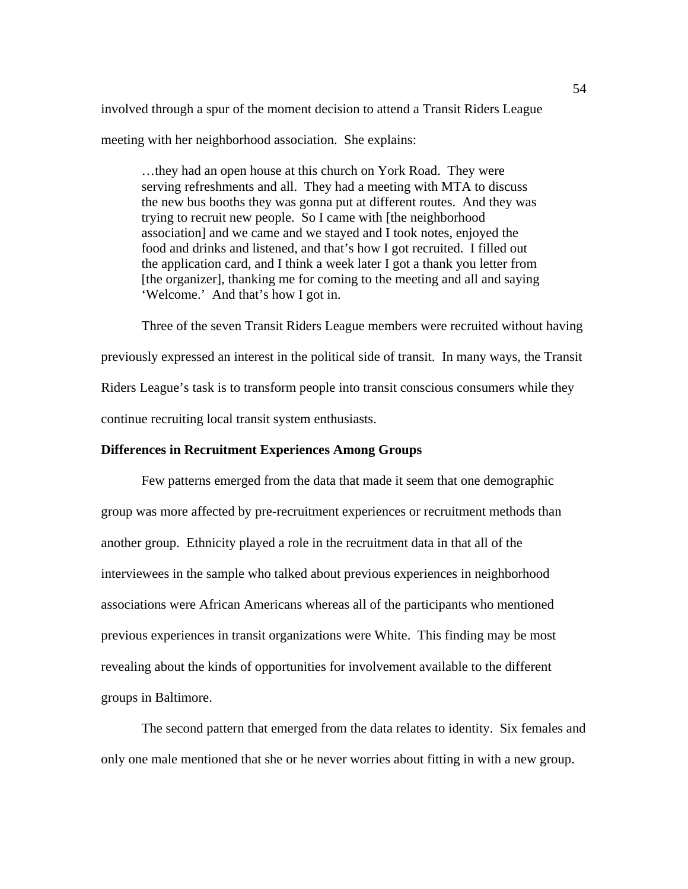involved through a spur of the moment decision to attend a Transit Riders League meeting with her neighborhood association. She explains:

…they had an open house at this church on York Road. They were serving refreshments and all. They had a meeting with MTA to discuss the new bus booths they was gonna put at different routes. And they was trying to recruit new people. So I came with [the neighborhood association] and we came and we stayed and I took notes, enjoyed the food and drinks and listened, and that's how I got recruited. I filled out the application card, and I think a week later I got a thank you letter from [the organizer], thanking me for coming to the meeting and all and saying 'Welcome.' And that's how I got in.

 Three of the seven Transit Riders League members were recruited without having previously expressed an interest in the political side of transit. In many ways, the Transit Riders League's task is to transform people into transit conscious consumers while they continue recruiting local transit system enthusiasts.

# **Differences in Recruitment Experiences Among Groups**

Few patterns emerged from the data that made it seem that one demographic group was more affected by pre-recruitment experiences or recruitment methods than another group. Ethnicity played a role in the recruitment data in that all of the interviewees in the sample who talked about previous experiences in neighborhood associations were African Americans whereas all of the participants who mentioned previous experiences in transit organizations were White. This finding may be most revealing about the kinds of opportunities for involvement available to the different groups in Baltimore.

 The second pattern that emerged from the data relates to identity. Six females and only one male mentioned that she or he never worries about fitting in with a new group.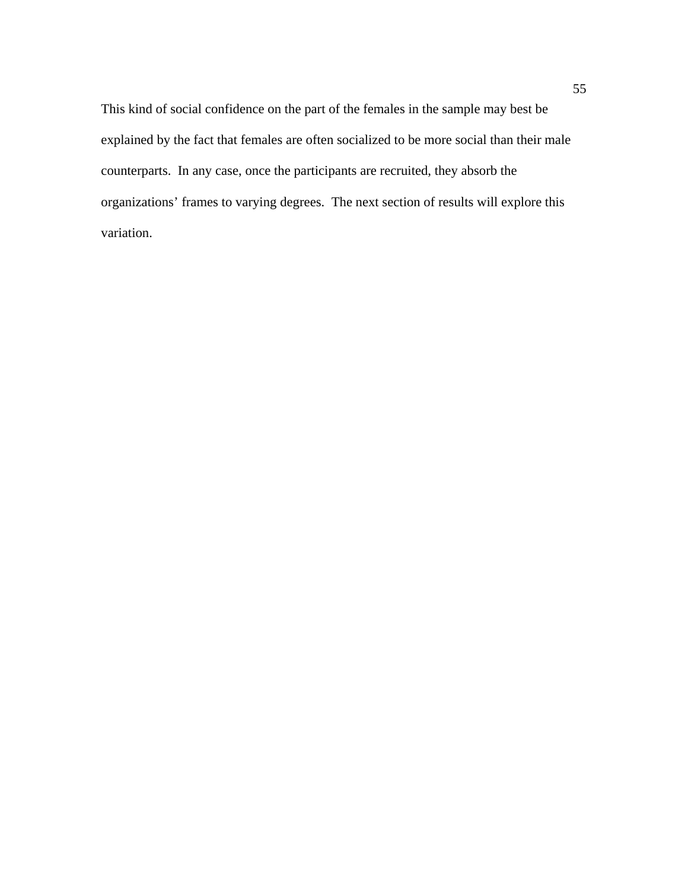This kind of social confidence on the part of the females in the sample may best be explained by the fact that females are often socialized to be more social than their male counterparts. In any case, once the participants are recruited, they absorb the organizations' frames to varying degrees. The next section of results will explore this variation.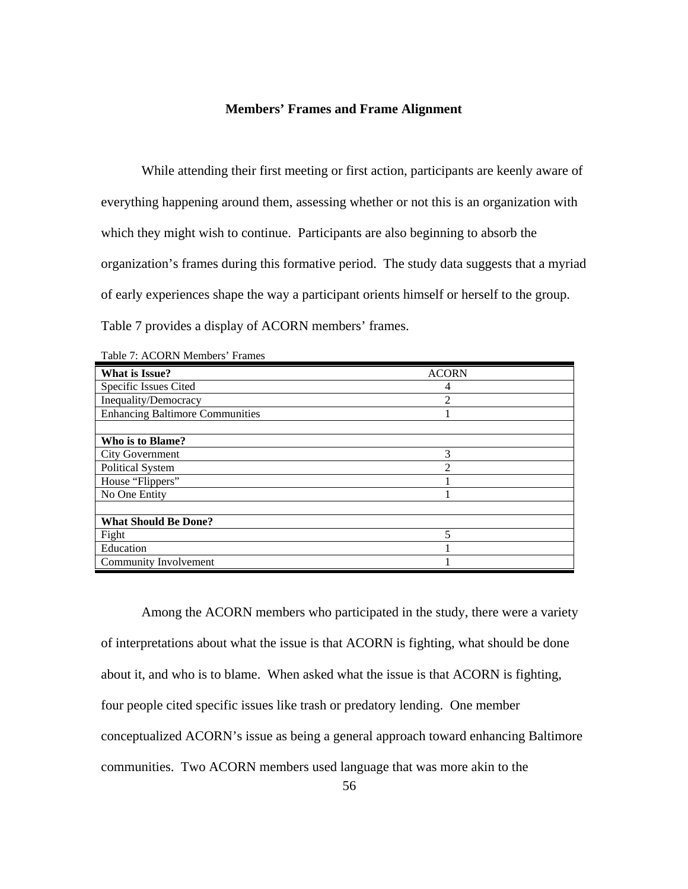### **Members' Frames and Frame Alignment**

 While attending their first meeting or first action, participants are keenly aware of everything happening around them, assessing whether or not this is an organization with which they might wish to continue. Participants are also beginning to absorb the organization's frames during this formative period. The study data suggests that a myriad of early experiences shape the way a participant orients himself or herself to the group. Table 7 provides a display of ACORN members' frames.

| <b>What is Issue?</b>                  | <b>ACORN</b>   |  |  |
|----------------------------------------|----------------|--|--|
| Specific Issues Cited                  | 4              |  |  |
| Inequality/Democracy                   | $\overline{2}$ |  |  |
| <b>Enhancing Baltimore Communities</b> |                |  |  |
|                                        |                |  |  |
| Who is to Blame?                       |                |  |  |
| <b>City Government</b>                 | 3              |  |  |
| Political System                       | $\mathfrak{D}$ |  |  |
| House "Flippers"                       |                |  |  |
| No One Entity                          |                |  |  |
|                                        |                |  |  |
| <b>What Should Be Done?</b>            |                |  |  |
| Fight                                  | 5              |  |  |
| Education                              |                |  |  |
| Community Involvement                  |                |  |  |

Table 7: ACORN Members' Frames

Among the ACORN members who participated in the study, there were a variety of interpretations about what the issue is that ACORN is fighting, what should be done about it, and who is to blame. When asked what the issue is that ACORN is fighting, four people cited specific issues like trash or predatory lending. One member conceptualized ACORN's issue as being a general approach toward enhancing Baltimore communities. Two ACORN members used language that was more akin to the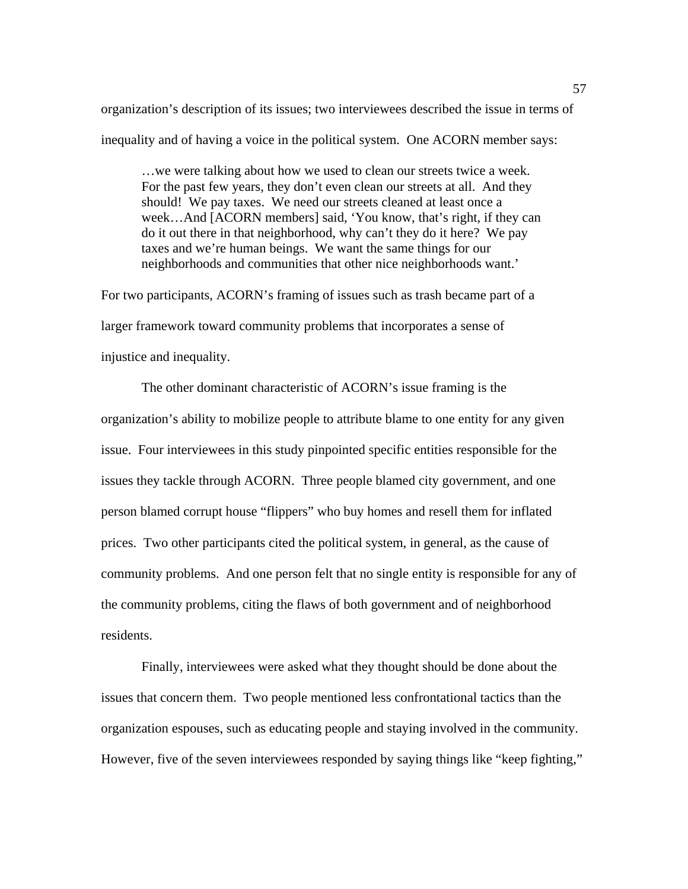organization's description of its issues; two interviewees described the issue in terms of inequality and of having a voice in the political system. One ACORN member says:

…we were talking about how we used to clean our streets twice a week. For the past few years, they don't even clean our streets at all. And they should! We pay taxes. We need our streets cleaned at least once a week…And [ACORN members] said, 'You know, that's right, if they can do it out there in that neighborhood, why can't they do it here? We pay taxes and we're human beings. We want the same things for our neighborhoods and communities that other nice neighborhoods want.'

For two participants, ACORN's framing of issues such as trash became part of a larger framework toward community problems that incorporates a sense of injustice and inequality.

The other dominant characteristic of ACORN's issue framing is the organization's ability to mobilize people to attribute blame to one entity for any given issue. Four interviewees in this study pinpointed specific entities responsible for the issues they tackle through ACORN. Three people blamed city government, and one person blamed corrupt house "flippers" who buy homes and resell them for inflated prices. Two other participants cited the political system, in general, as the cause of community problems. And one person felt that no single entity is responsible for any of the community problems, citing the flaws of both government and of neighborhood residents.

Finally, interviewees were asked what they thought should be done about the issues that concern them. Two people mentioned less confrontational tactics than the organization espouses, such as educating people and staying involved in the community. However, five of the seven interviewees responded by saying things like "keep fighting,"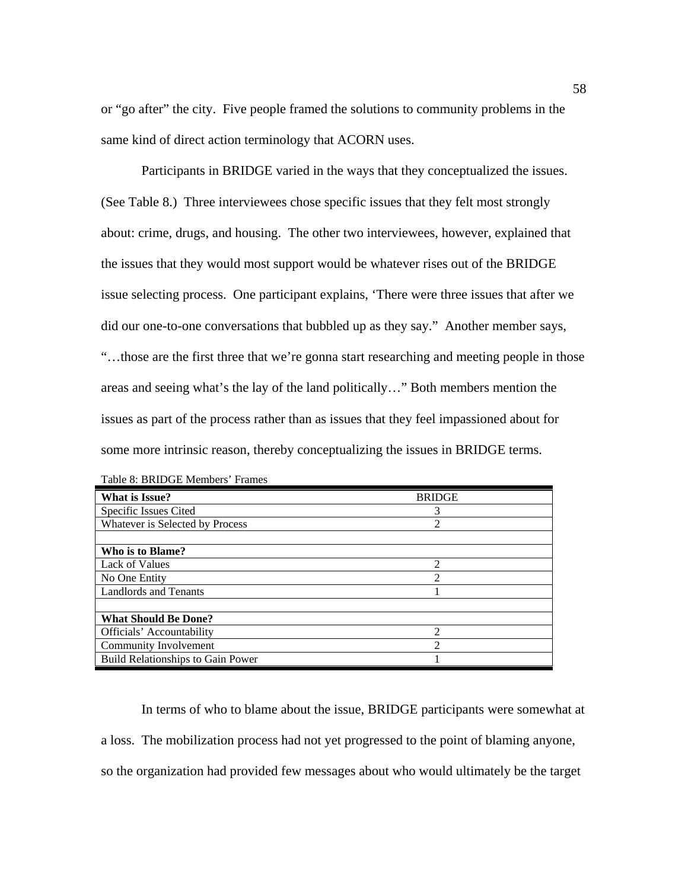or "go after" the city. Five people framed the solutions to community problems in the same kind of direct action terminology that ACORN uses.

Participants in BRIDGE varied in the ways that they conceptualized the issues. (See Table 8.) Three interviewees chose specific issues that they felt most strongly about: crime, drugs, and housing. The other two interviewees, however, explained that the issues that they would most support would be whatever rises out of the BRIDGE issue selecting process. One participant explains, 'There were three issues that after we did our one-to-one conversations that bubbled up as they say." Another member says, "…those are the first three that we're gonna start researching and meeting people in those areas and seeing what's the lay of the land politically…" Both members mention the issues as part of the process rather than as issues that they feel impassioned about for some more intrinsic reason, thereby conceptualizing the issues in BRIDGE terms.

| What is Issue?                    | <b>BRIDGE</b>  |
|-----------------------------------|----------------|
| Specific Issues Cited             | 3              |
| Whatever is Selected by Process   | $\overline{2}$ |
|                                   |                |
| Who is to Blame?                  |                |
| Lack of Values                    | 2              |
| No One Entity                     | $\mathfrak{D}$ |
| <b>Landlords and Tenants</b>      |                |
|                                   |                |
| <b>What Should Be Done?</b>       |                |
| Officials' Accountability         | ∍              |
| Community Involvement             | ി              |
| Build Relationships to Gain Power |                |

| Table 8: BRIDGE Members' Frames |  |
|---------------------------------|--|
|---------------------------------|--|

In terms of who to blame about the issue, BRIDGE participants were somewhat at a loss. The mobilization process had not yet progressed to the point of blaming anyone, so the organization had provided few messages about who would ultimately be the target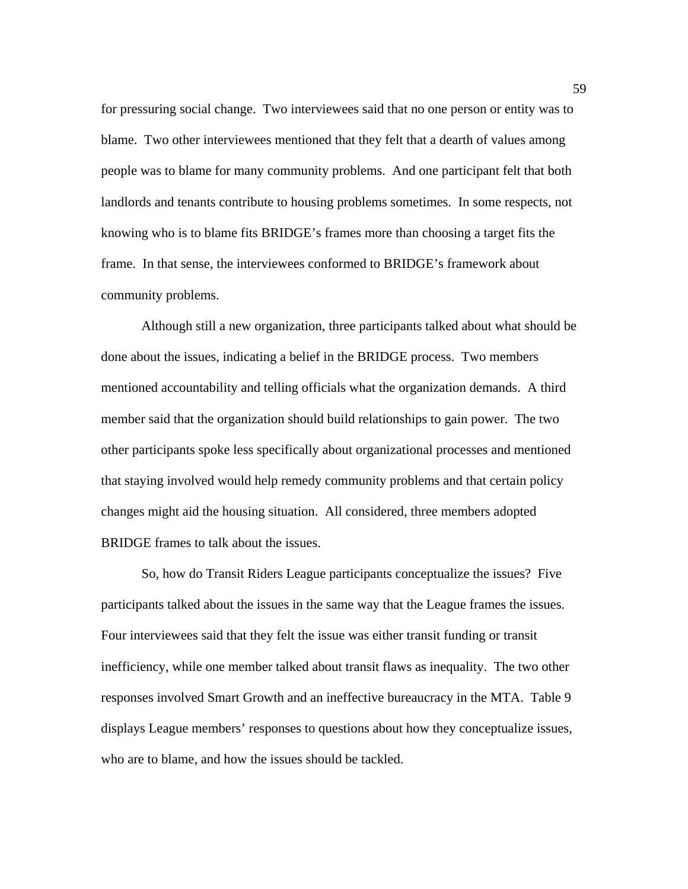for pressuring social change. Two interviewees said that no one person or entity was to blame. Two other interviewees mentioned that they felt that a dearth of values among people was to blame for many community problems. And one participant felt that both landlords and tenants contribute to housing problems sometimes. In some respects, not knowing who is to blame fits BRIDGE's frames more than choosing a target fits the frame. In that sense, the interviewees conformed to BRIDGE's framework about community problems.

Although still a new organization, three participants talked about what should be done about the issues, indicating a belief in the BRIDGE process. Two members mentioned accountability and telling officials what the organization demands. A third member said that the organization should build relationships to gain power. The two other participants spoke less specifically about organizational processes and mentioned that staying involved would help remedy community problems and that certain policy changes might aid the housing situation. All considered, three members adopted BRIDGE frames to talk about the issues.

So, how do Transit Riders League participants conceptualize the issues? Five participants talked about the issues in the same way that the League frames the issues. Four interviewees said that they felt the issue was either transit funding or transit inefficiency, while one member talked about transit flaws as inequality. The two other responses involved Smart Growth and an ineffective bureaucracy in the MTA. Table 9 displays League members' responses to questions about how they conceptualize issues, who are to blame, and how the issues should be tackled.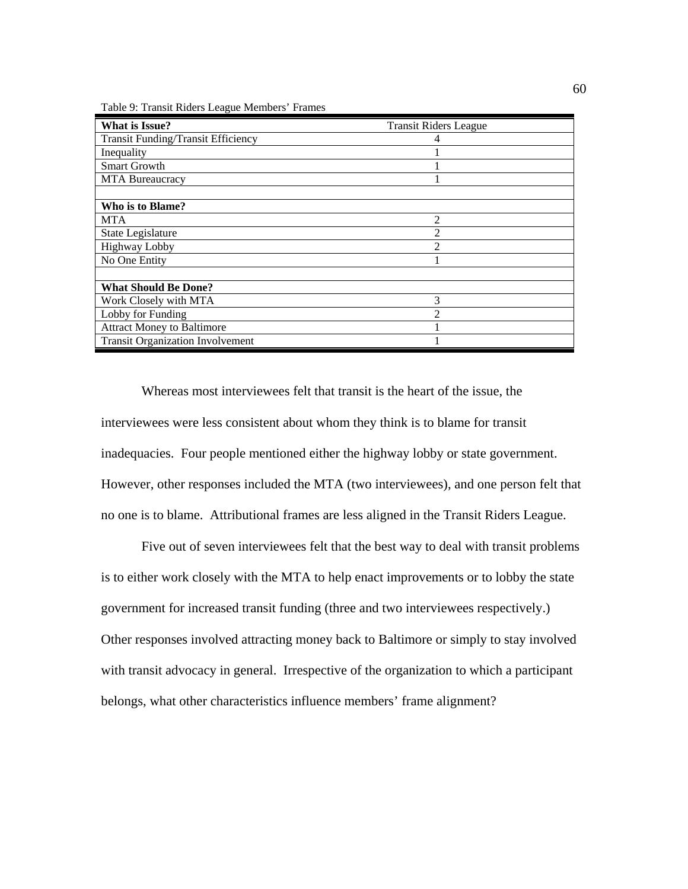Table 9: Transit Riders League Members' Frames

| <b>What is Issue?</b>                     | <b>Transit Riders League</b> |
|-------------------------------------------|------------------------------|
| <b>Transit Funding/Transit Efficiency</b> |                              |
| Inequality                                |                              |
| <b>Smart Growth</b>                       |                              |
| MTA Bureaucracy                           |                              |
|                                           |                              |
| Who is to Blame?                          |                              |
| MTA                                       | $\mathfrak{D}$               |
| State Legislature                         |                              |
| <b>Highway Lobby</b>                      | ◠                            |
| No One Entity                             |                              |
|                                           |                              |
| <b>What Should Be Done?</b>               |                              |
| Work Closely with MTA                     | 3                            |
| Lobby for Funding                         |                              |
| <b>Attract Money to Baltimore</b>         |                              |
| <b>Transit Organization Involvement</b>   |                              |

Whereas most interviewees felt that transit is the heart of the issue, the interviewees were less consistent about whom they think is to blame for transit inadequacies. Four people mentioned either the highway lobby or state government. However, other responses included the MTA (two interviewees), and one person felt that no one is to blame. Attributional frames are less aligned in the Transit Riders League.

 Five out of seven interviewees felt that the best way to deal with transit problems is to either work closely with the MTA to help enact improvements or to lobby the state government for increased transit funding (three and two interviewees respectively.) Other responses involved attracting money back to Baltimore or simply to stay involved with transit advocacy in general. Irrespective of the organization to which a participant belongs, what other characteristics influence members' frame alignment?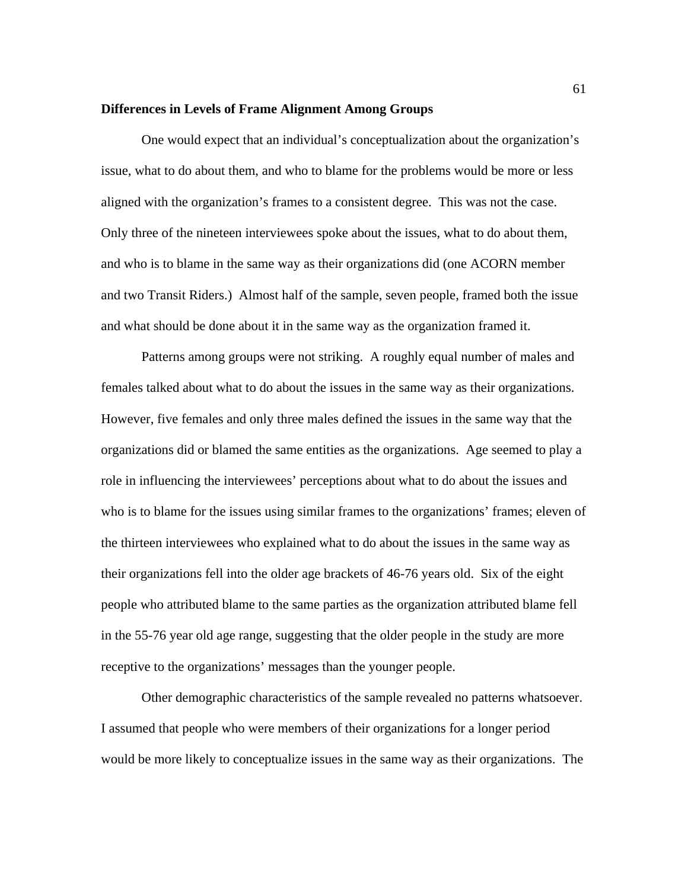#### **Differences in Levels of Frame Alignment Among Groups**

 One would expect that an individual's conceptualization about the organization's issue, what to do about them, and who to blame for the problems would be more or less aligned with the organization's frames to a consistent degree. This was not the case. Only three of the nineteen interviewees spoke about the issues, what to do about them, and who is to blame in the same way as their organizations did (one ACORN member and two Transit Riders.) Almost half of the sample, seven people, framed both the issue and what should be done about it in the same way as the organization framed it.

Patterns among groups were not striking. A roughly equal number of males and females talked about what to do about the issues in the same way as their organizations. However, five females and only three males defined the issues in the same way that the organizations did or blamed the same entities as the organizations. Age seemed to play a role in influencing the interviewees' perceptions about what to do about the issues and who is to blame for the issues using similar frames to the organizations' frames; eleven of the thirteen interviewees who explained what to do about the issues in the same way as their organizations fell into the older age brackets of 46-76 years old. Six of the eight people who attributed blame to the same parties as the organization attributed blame fell in the 55-76 year old age range, suggesting that the older people in the study are more receptive to the organizations' messages than the younger people.

Other demographic characteristics of the sample revealed no patterns whatsoever. I assumed that people who were members of their organizations for a longer period would be more likely to conceptualize issues in the same way as their organizations. The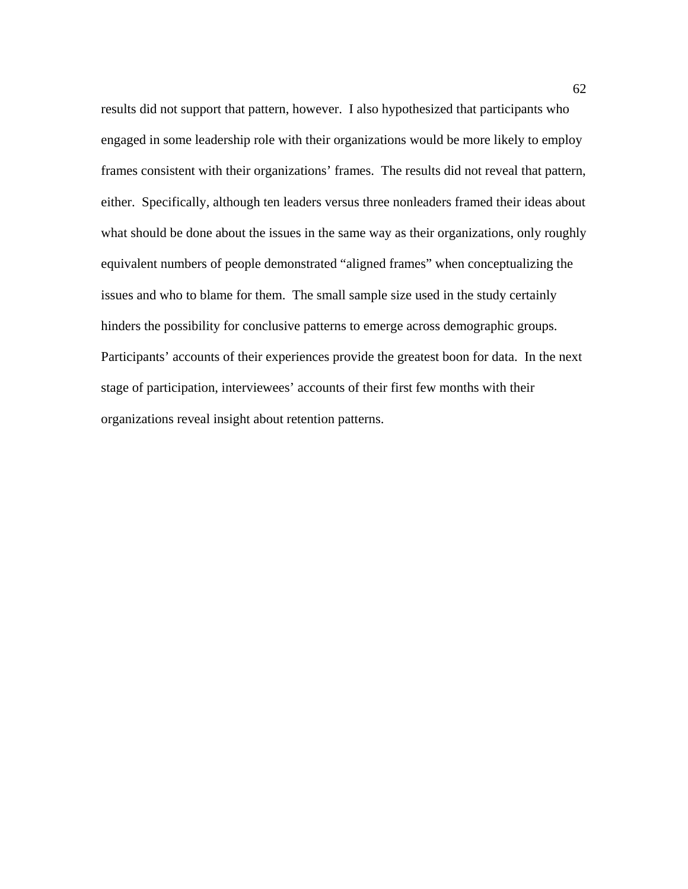results did not support that pattern, however. I also hypothesized that participants who engaged in some leadership role with their organizations would be more likely to employ frames consistent with their organizations' frames. The results did not reveal that pattern, either. Specifically, although ten leaders versus three nonleaders framed their ideas about what should be done about the issues in the same way as their organizations, only roughly equivalent numbers of people demonstrated "aligned frames" when conceptualizing the issues and who to blame for them. The small sample size used in the study certainly hinders the possibility for conclusive patterns to emerge across demographic groups. Participants' accounts of their experiences provide the greatest boon for data. In the next stage of participation, interviewees' accounts of their first few months with their organizations reveal insight about retention patterns.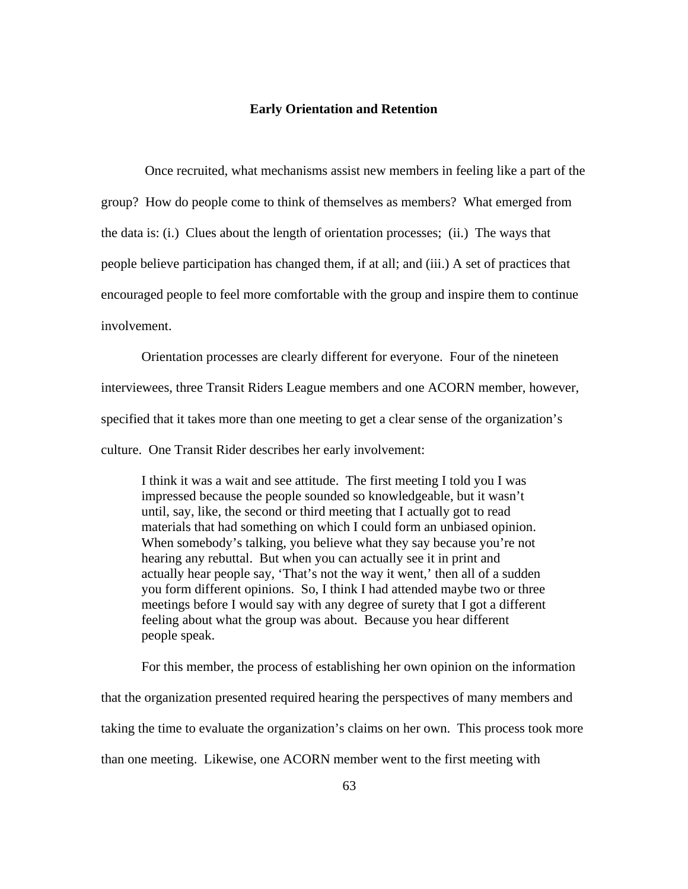### **Early Orientation and Retention**

 Once recruited, what mechanisms assist new members in feeling like a part of the group? How do people come to think of themselves as members? What emerged from the data is: (i.) Clues about the length of orientation processes; (ii.) The ways that people believe participation has changed them, if at all; and (iii.) A set of practices that encouraged people to feel more comfortable with the group and inspire them to continue involvement.

Orientation processes are clearly different for everyone. Four of the nineteen interviewees, three Transit Riders League members and one ACORN member, however, specified that it takes more than one meeting to get a clear sense of the organization's culture. One Transit Rider describes her early involvement:

I think it was a wait and see attitude. The first meeting I told you I was impressed because the people sounded so knowledgeable, but it wasn't until, say, like, the second or third meeting that I actually got to read materials that had something on which I could form an unbiased opinion. When somebody's talking, you believe what they say because you're not hearing any rebuttal. But when you can actually see it in print and actually hear people say, 'That's not the way it went,' then all of a sudden you form different opinions. So, I think I had attended maybe two or three meetings before I would say with any degree of surety that I got a different feeling about what the group was about. Because you hear different people speak.

 For this member, the process of establishing her own opinion on the information that the organization presented required hearing the perspectives of many members and taking the time to evaluate the organization's claims on her own. This process took more than one meeting. Likewise, one ACORN member went to the first meeting with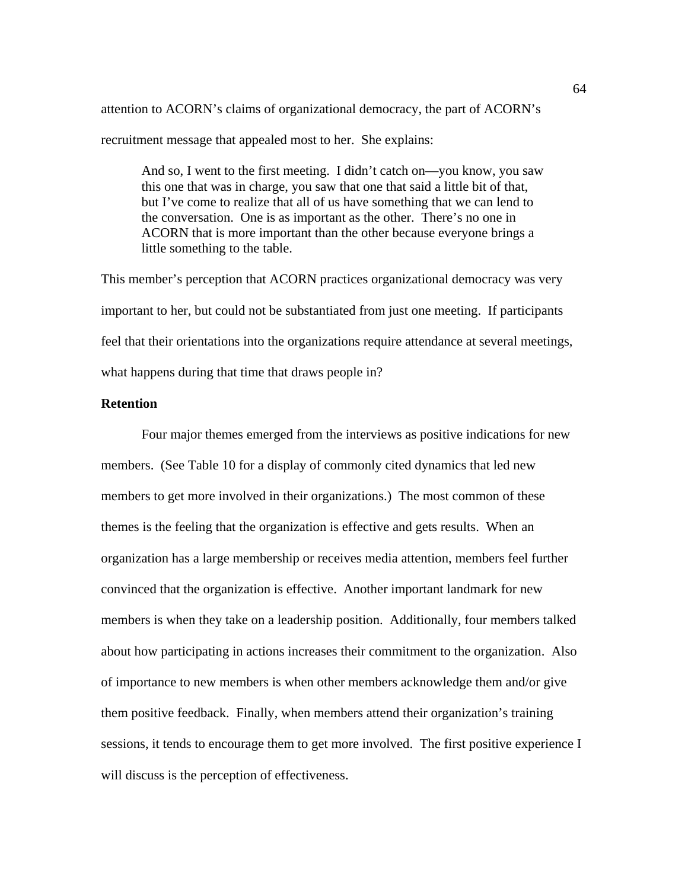attention to ACORN's claims of organizational democracy, the part of ACORN's recruitment message that appealed most to her. She explains:

And so, I went to the first meeting. I didn't catch on—you know, you saw this one that was in charge, you saw that one that said a little bit of that, but I've come to realize that all of us have something that we can lend to the conversation. One is as important as the other. There's no one in ACORN that is more important than the other because everyone brings a little something to the table.

This member's perception that ACORN practices organizational democracy was very important to her, but could not be substantiated from just one meeting. If participants feel that their orientations into the organizations require attendance at several meetings, what happens during that time that draws people in?

### **Retention**

 Four major themes emerged from the interviews as positive indications for new members. (See Table 10 for a display of commonly cited dynamics that led new members to get more involved in their organizations.) The most common of these themes is the feeling that the organization is effective and gets results. When an organization has a large membership or receives media attention, members feel further convinced that the organization is effective. Another important landmark for new members is when they take on a leadership position. Additionally, four members talked about how participating in actions increases their commitment to the organization. Also of importance to new members is when other members acknowledge them and/or give them positive feedback. Finally, when members attend their organization's training sessions, it tends to encourage them to get more involved. The first positive experience I will discuss is the perception of effectiveness.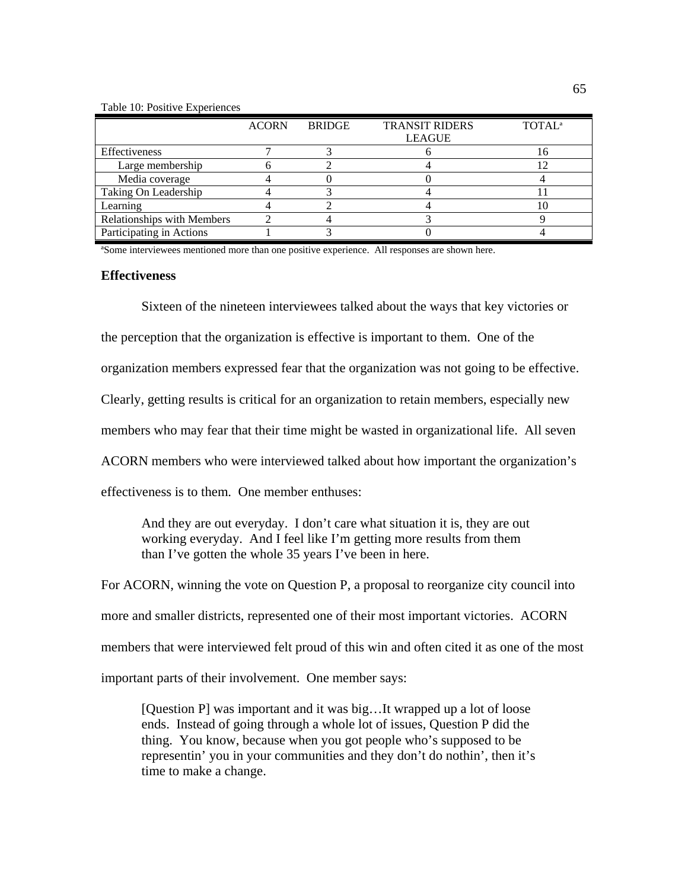#### Table 10: Positive Experiences

|                                   | <b>ACORN</b> | <b>BRIDGE</b> | <b>TRANSIT RIDERS</b> | <b>TOTAL</b> <sup>a</sup> |
|-----------------------------------|--------------|---------------|-----------------------|---------------------------|
|                                   |              |               | <b>LEAGUE</b>         |                           |
| Effectiveness                     |              |               |                       |                           |
| Large membership                  |              |               |                       |                           |
| Media coverage                    |              |               |                       |                           |
| Taking On Leadership              |              |               |                       |                           |
| Learning                          |              |               |                       |                           |
| <b>Relationships with Members</b> |              |               |                       |                           |
| Participating in Actions          |              |               |                       |                           |

ªSome interviewees mentioned more than one positive experience. All responses are shown here.

### **Effectiveness**

Sixteen of the nineteen interviewees talked about the ways that key victories or

the perception that the organization is effective is important to them. One of the

organization members expressed fear that the organization was not going to be effective.

Clearly, getting results is critical for an organization to retain members, especially new

members who may fear that their time might be wasted in organizational life. All seven

ACORN members who were interviewed talked about how important the organization's

effectiveness is to them. One member enthuses:

And they are out everyday. I don't care what situation it is, they are out working everyday. And I feel like I'm getting more results from them than I've gotten the whole 35 years I've been in here.

For ACORN, winning the vote on Question P, a proposal to reorganize city council into more and smaller districts, represented one of their most important victories. ACORN members that were interviewed felt proud of this win and often cited it as one of the most important parts of their involvement. One member says:

[Question P] was important and it was big…It wrapped up a lot of loose ends. Instead of going through a whole lot of issues, Question P did the thing. You know, because when you got people who's supposed to be representin' you in your communities and they don't do nothin', then it's time to make a change.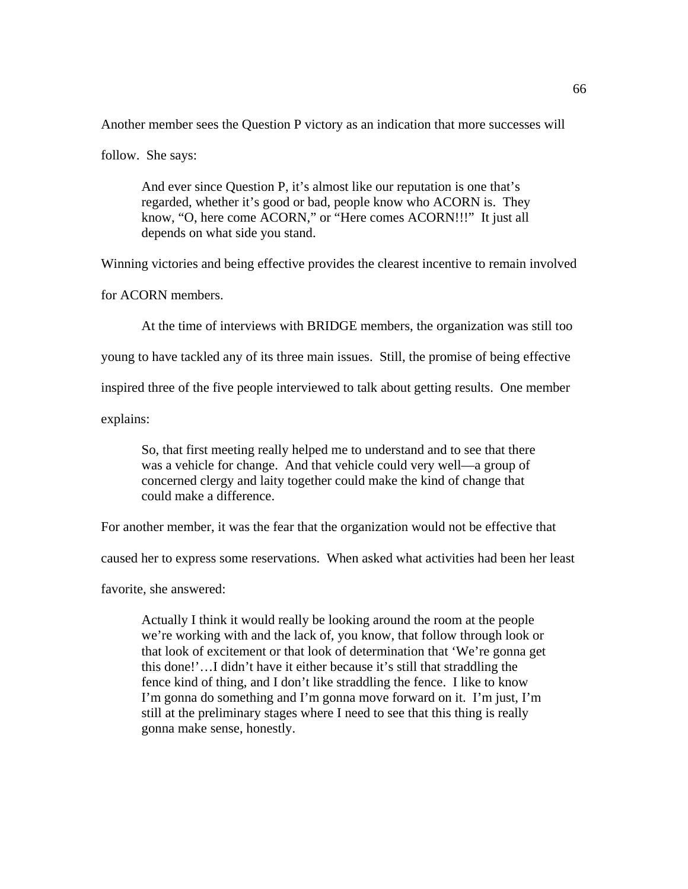Another member sees the Question P victory as an indication that more successes will

follow. She says:

And ever since Question P, it's almost like our reputation is one that's regarded, whether it's good or bad, people know who ACORN is. They know, "O, here come ACORN," or "Here comes ACORN!!!" It just all depends on what side you stand.

Winning victories and being effective provides the clearest incentive to remain involved

for ACORN members.

At the time of interviews with BRIDGE members, the organization was still too

young to have tackled any of its three main issues. Still, the promise of being effective

inspired three of the five people interviewed to talk about getting results. One member

explains:

So, that first meeting really helped me to understand and to see that there was a vehicle for change. And that vehicle could very well—a group of concerned clergy and laity together could make the kind of change that could make a difference.

For another member, it was the fear that the organization would not be effective that

caused her to express some reservations. When asked what activities had been her least

favorite, she answered:

Actually I think it would really be looking around the room at the people we're working with and the lack of, you know, that follow through look or that look of excitement or that look of determination that 'We're gonna get this done!'…I didn't have it either because it's still that straddling the fence kind of thing, and I don't like straddling the fence. I like to know I'm gonna do something and I'm gonna move forward on it. I'm just, I'm still at the preliminary stages where I need to see that this thing is really gonna make sense, honestly.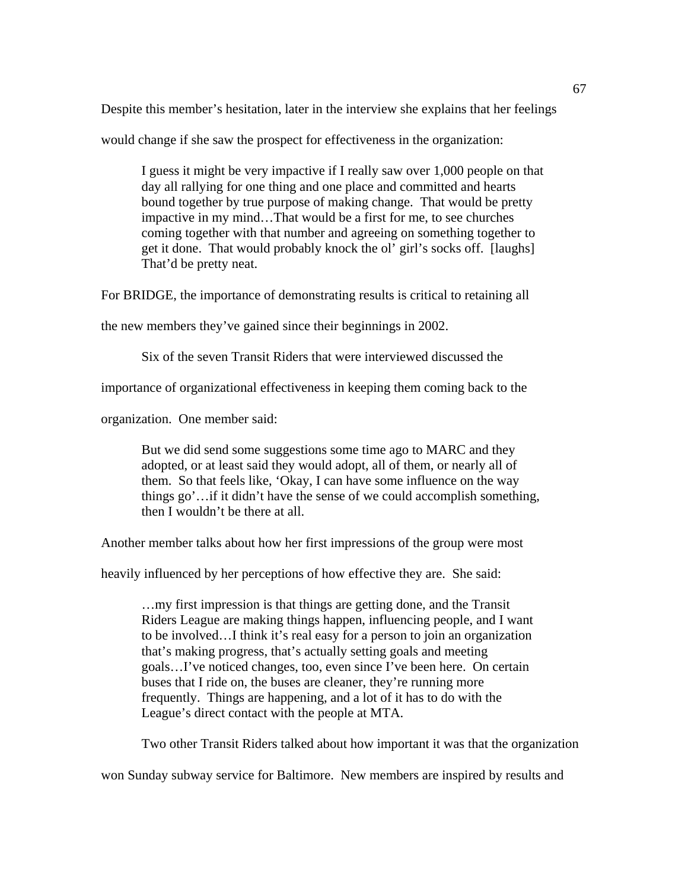Despite this member's hesitation, later in the interview she explains that her feelings

would change if she saw the prospect for effectiveness in the organization:

I guess it might be very impactive if I really saw over 1,000 people on that day all rallying for one thing and one place and committed and hearts bound together by true purpose of making change. That would be pretty impactive in my mind…That would be a first for me, to see churches coming together with that number and agreeing on something together to get it done. That would probably knock the ol' girl's socks off. [laughs] That'd be pretty neat.

For BRIDGE, the importance of demonstrating results is critical to retaining all

the new members they've gained since their beginnings in 2002.

Six of the seven Transit Riders that were interviewed discussed the

importance of organizational effectiveness in keeping them coming back to the

organization. One member said:

But we did send some suggestions some time ago to MARC and they adopted, or at least said they would adopt, all of them, or nearly all of them. So that feels like, 'Okay, I can have some influence on the way things go'…if it didn't have the sense of we could accomplish something, then I wouldn't be there at all.

Another member talks about how her first impressions of the group were most

heavily influenced by her perceptions of how effective they are. She said:

…my first impression is that things are getting done, and the Transit Riders League are making things happen, influencing people, and I want to be involved…I think it's real easy for a person to join an organization that's making progress, that's actually setting goals and meeting goals…I've noticed changes, too, even since I've been here. On certain buses that I ride on, the buses are cleaner, they're running more frequently. Things are happening, and a lot of it has to do with the League's direct contact with the people at MTA.

Two other Transit Riders talked about how important it was that the organization

won Sunday subway service for Baltimore. New members are inspired by results and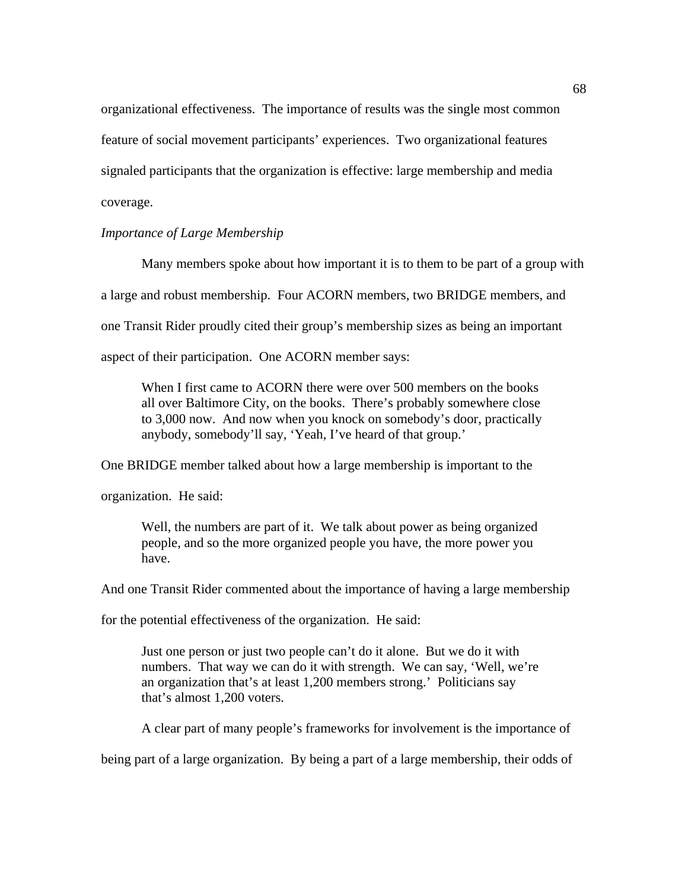organizational effectiveness. The importance of results was the single most common feature of social movement participants' experiences. Two organizational features signaled participants that the organization is effective: large membership and media coverage.

# *Importance of Large Membership*

Many members spoke about how important it is to them to be part of a group with a large and robust membership. Four ACORN members, two BRIDGE members, and one Transit Rider proudly cited their group's membership sizes as being an important aspect of their participation. One ACORN member says:

When I first came to ACORN there were over 500 members on the books all over Baltimore City, on the books. There's probably somewhere close to 3,000 now. And now when you knock on somebody's door, practically anybody, somebody'll say, 'Yeah, I've heard of that group.'

One BRIDGE member talked about how a large membership is important to the

organization. He said:

Well, the numbers are part of it. We talk about power as being organized people, and so the more organized people you have, the more power you have.

And one Transit Rider commented about the importance of having a large membership

for the potential effectiveness of the organization. He said:

Just one person or just two people can't do it alone. But we do it with numbers. That way we can do it with strength. We can say, 'Well, we're an organization that's at least 1,200 members strong.' Politicians say that's almost 1,200 voters.

A clear part of many people's frameworks for involvement is the importance of

being part of a large organization. By being a part of a large membership, their odds of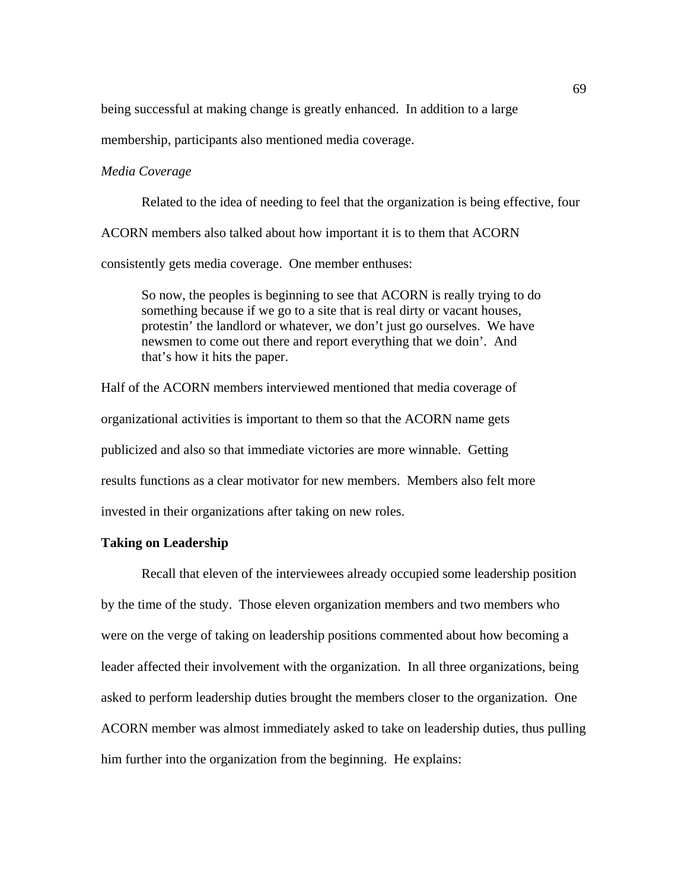being successful at making change is greatly enhanced. In addition to a large

membership, participants also mentioned media coverage.

#### *Media Coverage*

 Related to the idea of needing to feel that the organization is being effective, four ACORN members also talked about how important it is to them that ACORN consistently gets media coverage. One member enthuses:

So now, the peoples is beginning to see that ACORN is really trying to do something because if we go to a site that is real dirty or vacant houses, protestin' the landlord or whatever, we don't just go ourselves. We have newsmen to come out there and report everything that we doin'. And that's how it hits the paper.

Half of the ACORN members interviewed mentioned that media coverage of organizational activities is important to them so that the ACORN name gets publicized and also so that immediate victories are more winnable. Getting results functions as a clear motivator for new members. Members also felt more invested in their organizations after taking on new roles.

## **Taking on Leadership**

 Recall that eleven of the interviewees already occupied some leadership position by the time of the study. Those eleven organization members and two members who were on the verge of taking on leadership positions commented about how becoming a leader affected their involvement with the organization. In all three organizations, being asked to perform leadership duties brought the members closer to the organization. One ACORN member was almost immediately asked to take on leadership duties, thus pulling him further into the organization from the beginning. He explains: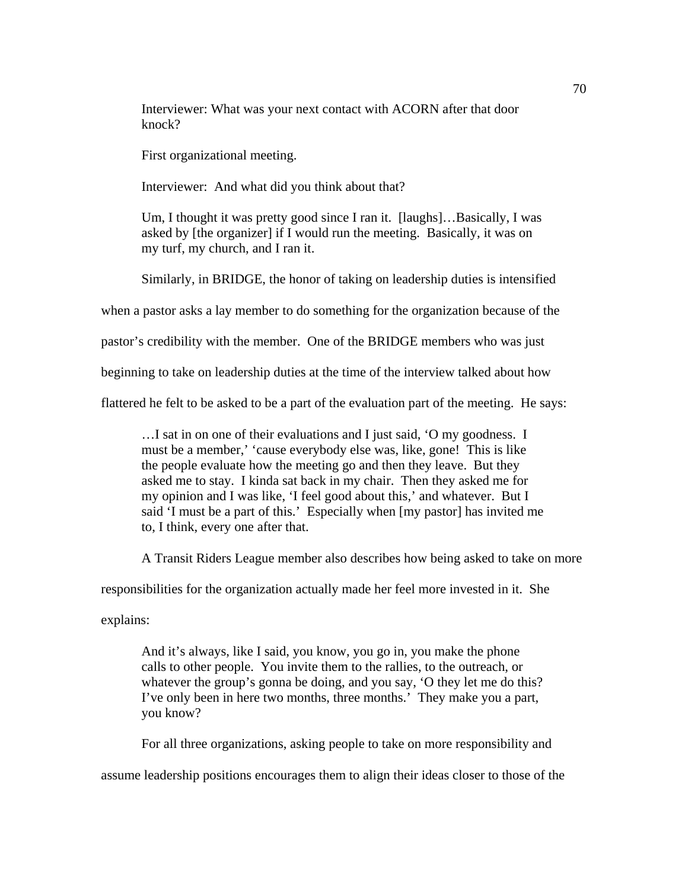Interviewer: What was your next contact with ACORN after that door knock?

First organizational meeting.

Interviewer: And what did you think about that?

Um, I thought it was pretty good since I ran it. [laughs]…Basically, I was asked by [the organizer] if I would run the meeting. Basically, it was on my turf, my church, and I ran it.

Similarly, in BRIDGE, the honor of taking on leadership duties is intensified

when a pastor asks a lay member to do something for the organization because of the

pastor's credibility with the member. One of the BRIDGE members who was just

beginning to take on leadership duties at the time of the interview talked about how

flattered he felt to be asked to be a part of the evaluation part of the meeting. He says:

…I sat in on one of their evaluations and I just said, 'O my goodness. I must be a member,' 'cause everybody else was, like, gone! This is like the people evaluate how the meeting go and then they leave. But they asked me to stay. I kinda sat back in my chair. Then they asked me for my opinion and I was like, 'I feel good about this,' and whatever. But I said 'I must be a part of this.' Especially when [my pastor] has invited me to, I think, every one after that.

A Transit Riders League member also describes how being asked to take on more

responsibilities for the organization actually made her feel more invested in it. She

explains:

And it's always, like I said, you know, you go in, you make the phone calls to other people. You invite them to the rallies, to the outreach, or whatever the group's gonna be doing, and you say, 'O they let me do this? I've only been in here two months, three months.' They make you a part, you know?

For all three organizations, asking people to take on more responsibility and

assume leadership positions encourages them to align their ideas closer to those of the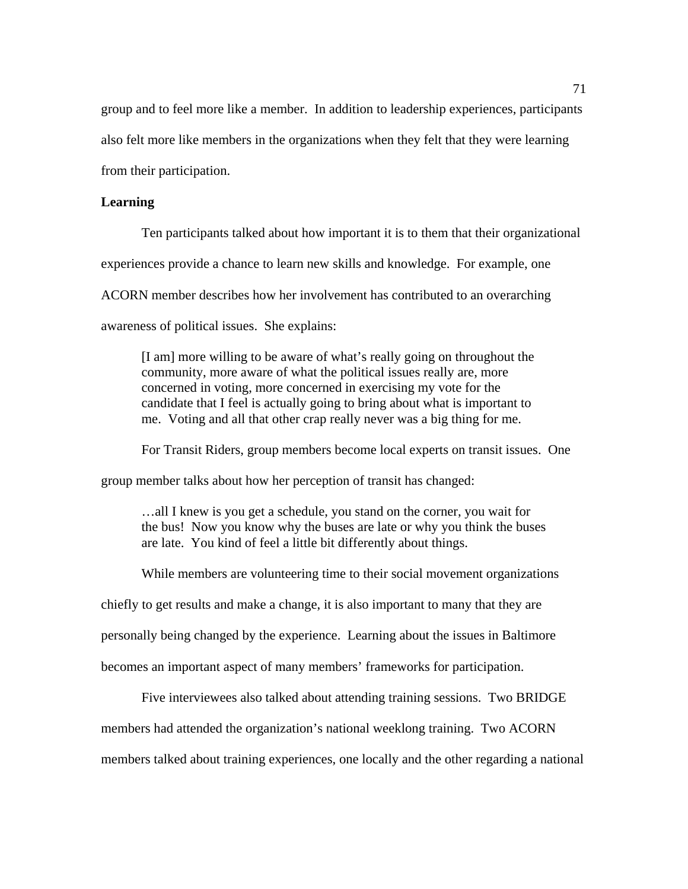group and to feel more like a member. In addition to leadership experiences, participants also felt more like members in the organizations when they felt that they were learning from their participation.

#### **Learning**

Ten participants talked about how important it is to them that their organizational experiences provide a chance to learn new skills and knowledge. For example, one ACORN member describes how her involvement has contributed to an overarching awareness of political issues. She explains:

[I am] more willing to be aware of what's really going on throughout the community, more aware of what the political issues really are, more concerned in voting, more concerned in exercising my vote for the candidate that I feel is actually going to bring about what is important to me. Voting and all that other crap really never was a big thing for me.

 For Transit Riders, group members become local experts on transit issues. One group member talks about how her perception of transit has changed:

…all I knew is you get a schedule, you stand on the corner, you wait for the bus! Now you know why the buses are late or why you think the buses are late. You kind of feel a little bit differently about things.

 While members are volunteering time to their social movement organizations chiefly to get results and make a change, it is also important to many that they are personally being changed by the experience. Learning about the issues in Baltimore becomes an important aspect of many members' frameworks for participation.

Five interviewees also talked about attending training sessions. Two BRIDGE members had attended the organization's national weeklong training. Two ACORN members talked about training experiences, one locally and the other regarding a national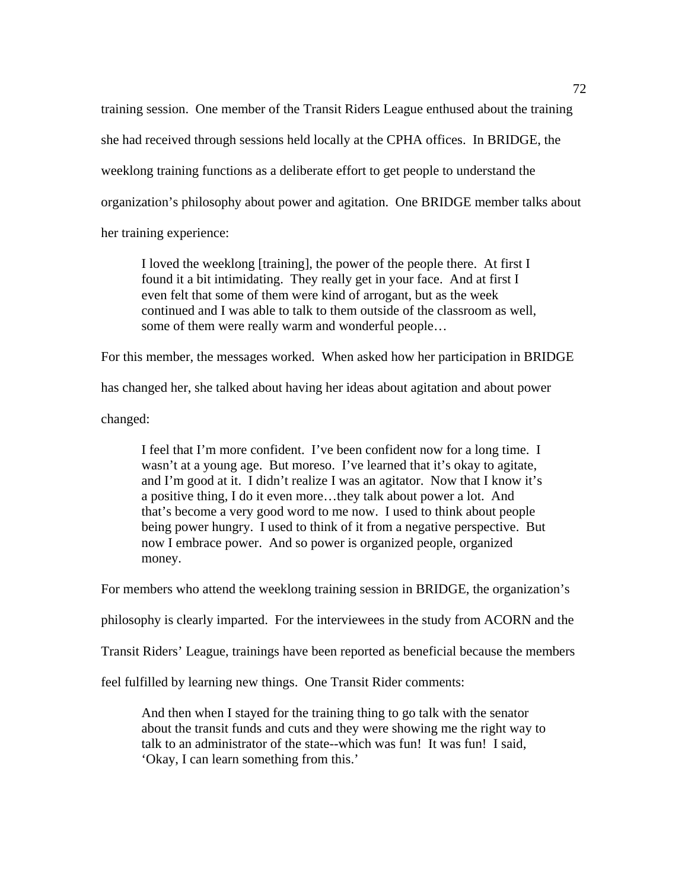training session. One member of the Transit Riders League enthused about the training she had received through sessions held locally at the CPHA offices. In BRIDGE, the weeklong training functions as a deliberate effort to get people to understand the organization's philosophy about power and agitation. One BRIDGE member talks about her training experience:

I loved the weeklong [training], the power of the people there. At first I found it a bit intimidating. They really get in your face. And at first I even felt that some of them were kind of arrogant, but as the week continued and I was able to talk to them outside of the classroom as well, some of them were really warm and wonderful people…

For this member, the messages worked. When asked how her participation in BRIDGE

has changed her, she talked about having her ideas about agitation and about power

changed:

I feel that I'm more confident. I've been confident now for a long time. I wasn't at a young age. But moreso. I've learned that it's okay to agitate, and I'm good at it. I didn't realize I was an agitator. Now that I know it's a positive thing, I do it even more…they talk about power a lot. And that's become a very good word to me now. I used to think about people being power hungry. I used to think of it from a negative perspective. But now I embrace power. And so power is organized people, organized money.

For members who attend the weeklong training session in BRIDGE, the organization's

philosophy is clearly imparted. For the interviewees in the study from ACORN and the

Transit Riders' League, trainings have been reported as beneficial because the members

feel fulfilled by learning new things. One Transit Rider comments:

And then when I stayed for the training thing to go talk with the senator about the transit funds and cuts and they were showing me the right way to talk to an administrator of the state--which was fun! It was fun! I said, 'Okay, I can learn something from this.'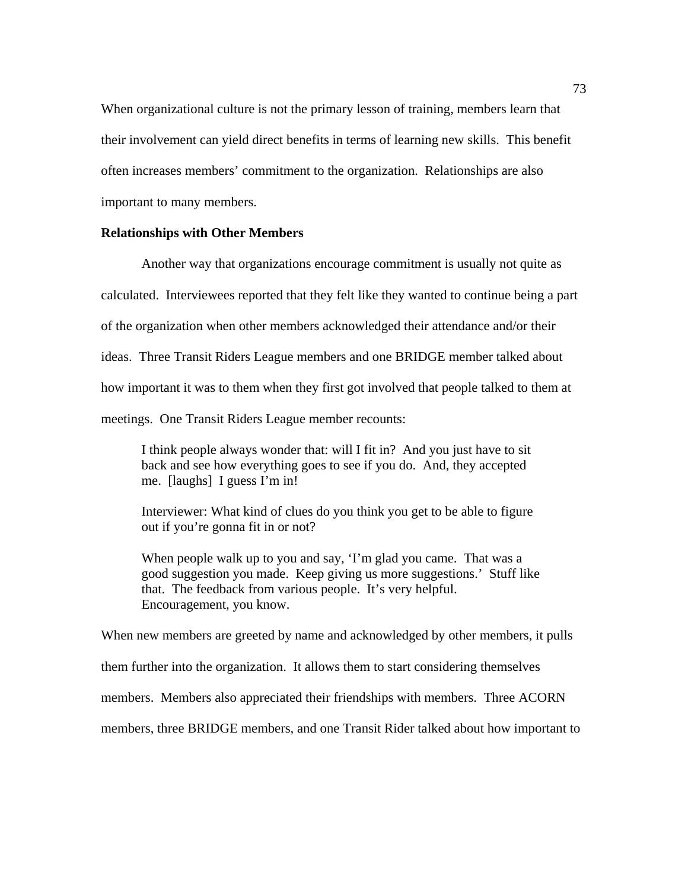When organizational culture is not the primary lesson of training, members learn that their involvement can yield direct benefits in terms of learning new skills. This benefit often increases members' commitment to the organization. Relationships are also important to many members.

#### **Relationships with Other Members**

Another way that organizations encourage commitment is usually not quite as calculated. Interviewees reported that they felt like they wanted to continue being a part of the organization when other members acknowledged their attendance and/or their ideas. Three Transit Riders League members and one BRIDGE member talked about how important it was to them when they first got involved that people talked to them at meetings. One Transit Riders League member recounts:

I think people always wonder that: will I fit in? And you just have to sit back and see how everything goes to see if you do. And, they accepted me. [laughs] I guess I'm in!

Interviewer: What kind of clues do you think you get to be able to figure out if you're gonna fit in or not?

When people walk up to you and say, 'I'm glad you came. That was a good suggestion you made. Keep giving us more suggestions.' Stuff like that. The feedback from various people. It's very helpful. Encouragement, you know.

When new members are greeted by name and acknowledged by other members, it pulls them further into the organization. It allows them to start considering themselves members. Members also appreciated their friendships with members. Three ACORN members, three BRIDGE members, and one Transit Rider talked about how important to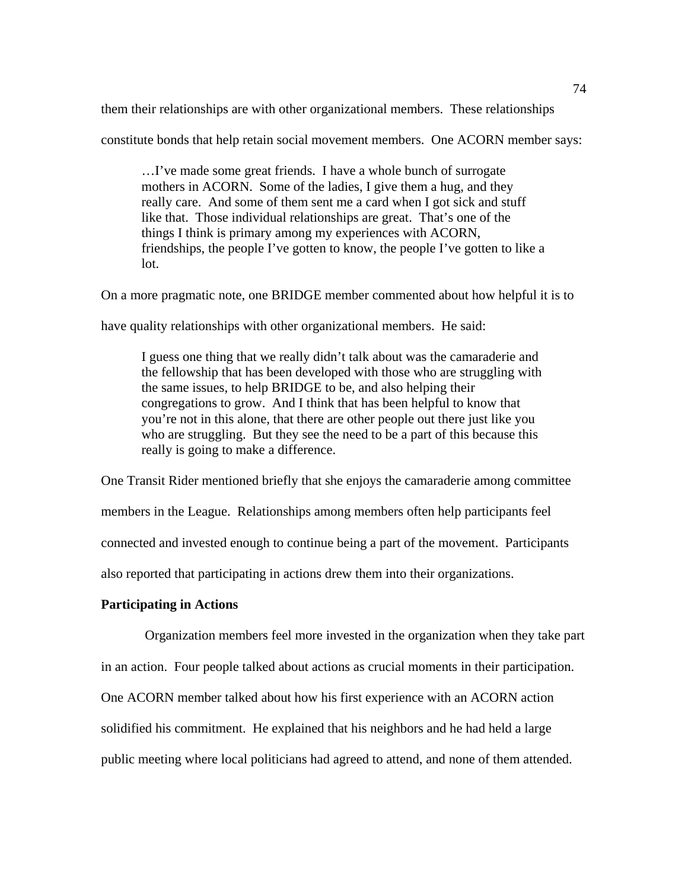them their relationships are with other organizational members. These relationships

constitute bonds that help retain social movement members. One ACORN member says:

…I've made some great friends. I have a whole bunch of surrogate mothers in ACORN. Some of the ladies, I give them a hug, and they really care. And some of them sent me a card when I got sick and stuff like that. Those individual relationships are great. That's one of the things I think is primary among my experiences with ACORN, friendships, the people I've gotten to know, the people I've gotten to like a lot.

On a more pragmatic note, one BRIDGE member commented about how helpful it is to

have quality relationships with other organizational members. He said:

I guess one thing that we really didn't talk about was the camaraderie and the fellowship that has been developed with those who are struggling with the same issues, to help BRIDGE to be, and also helping their congregations to grow. And I think that has been helpful to know that you're not in this alone, that there are other people out there just like you who are struggling. But they see the need to be a part of this because this really is going to make a difference.

One Transit Rider mentioned briefly that she enjoys the camaraderie among committee members in the League. Relationships among members often help participants feel connected and invested enough to continue being a part of the movement. Participants also reported that participating in actions drew them into their organizations.

# **Participating in Actions**

Organization members feel more invested in the organization when they take part

in an action. Four people talked about actions as crucial moments in their participation.

One ACORN member talked about how his first experience with an ACORN action

solidified his commitment. He explained that his neighbors and he had held a large

public meeting where local politicians had agreed to attend, and none of them attended.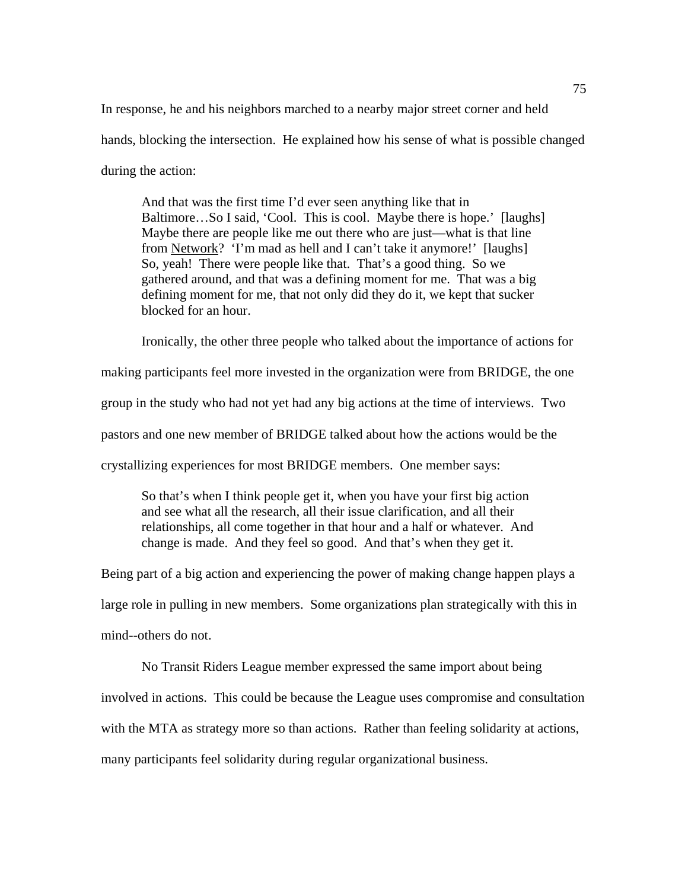In response, he and his neighbors marched to a nearby major street corner and held hands, blocking the intersection. He explained how his sense of what is possible changed during the action:

And that was the first time I'd ever seen anything like that in Baltimore...So I said, 'Cool. This is cool. Maybe there is hope.' [laughs] Maybe there are people like me out there who are just—what is that line from Network? 'I'm mad as hell and I can't take it anymore!' [laughs] So, yeah! There were people like that. That's a good thing. So we gathered around, and that was a defining moment for me. That was a big defining moment for me, that not only did they do it, we kept that sucker blocked for an hour.

 Ironically, the other three people who talked about the importance of actions for making participants feel more invested in the organization were from BRIDGE, the one group in the study who had not yet had any big actions at the time of interviews. Two pastors and one new member of BRIDGE talked about how the actions would be the crystallizing experiences for most BRIDGE members. One member says:

So that's when I think people get it, when you have your first big action and see what all the research, all their issue clarification, and all their relationships, all come together in that hour and a half or whatever. And change is made. And they feel so good. And that's when they get it.

Being part of a big action and experiencing the power of making change happen plays a large role in pulling in new members. Some organizations plan strategically with this in mind--others do not.

No Transit Riders League member expressed the same import about being involved in actions. This could be because the League uses compromise and consultation with the MTA as strategy more so than actions. Rather than feeling solidarity at actions, many participants feel solidarity during regular organizational business.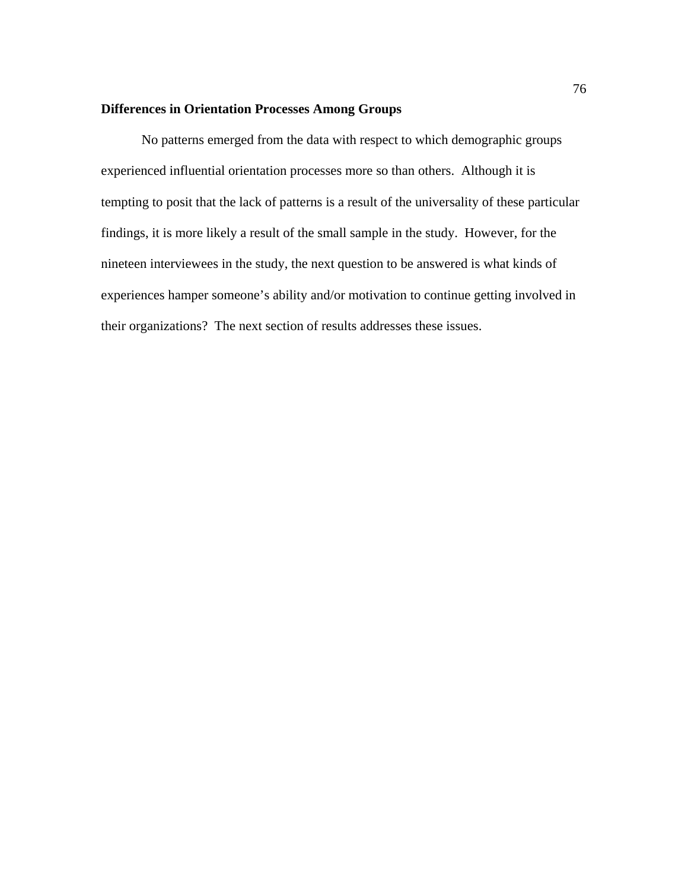# **Differences in Orientation Processes Among Groups**

No patterns emerged from the data with respect to which demographic groups experienced influential orientation processes more so than others. Although it is tempting to posit that the lack of patterns is a result of the universality of these particular findings, it is more likely a result of the small sample in the study. However, for the nineteen interviewees in the study, the next question to be answered is what kinds of experiences hamper someone's ability and/or motivation to continue getting involved in their organizations? The next section of results addresses these issues.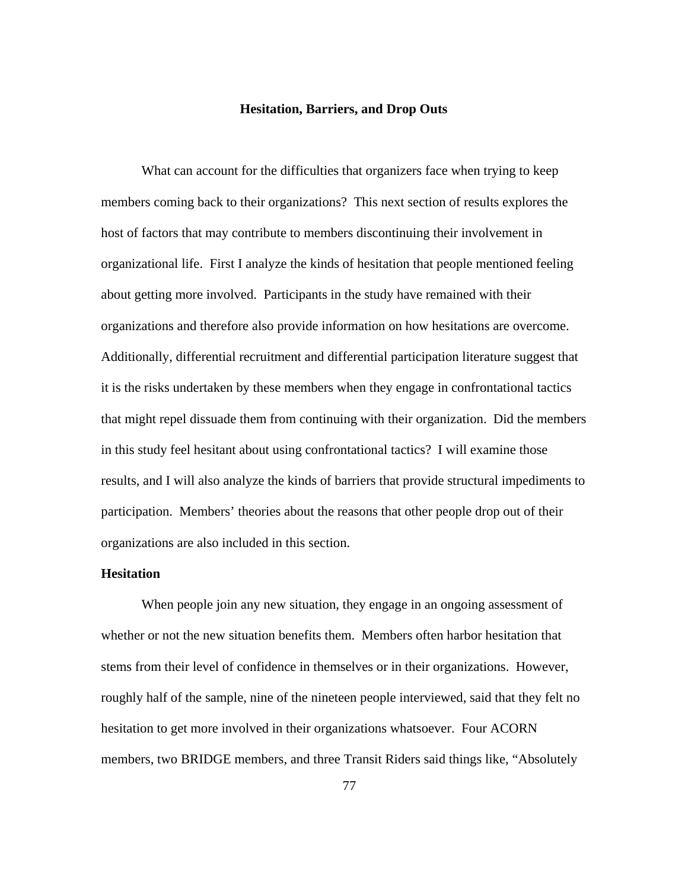#### **Hesitation, Barriers, and Drop Outs**

What can account for the difficulties that organizers face when trying to keep members coming back to their organizations? This next section of results explores the host of factors that may contribute to members discontinuing their involvement in organizational life. First I analyze the kinds of hesitation that people mentioned feeling about getting more involved. Participants in the study have remained with their organizations and therefore also provide information on how hesitations are overcome. Additionally, differential recruitment and differential participation literature suggest that it is the risks undertaken by these members when they engage in confrontational tactics that might repel dissuade them from continuing with their organization. Did the members in this study feel hesitant about using confrontational tactics? I will examine those results, and I will also analyze the kinds of barriers that provide structural impediments to participation. Members' theories about the reasons that other people drop out of their organizations are also included in this section.

# **Hesitation**

When people join any new situation, they engage in an ongoing assessment of whether or not the new situation benefits them. Members often harbor hesitation that stems from their level of confidence in themselves or in their organizations. However, roughly half of the sample, nine of the nineteen people interviewed, said that they felt no hesitation to get more involved in their organizations whatsoever. Four ACORN members, two BRIDGE members, and three Transit Riders said things like, "Absolutely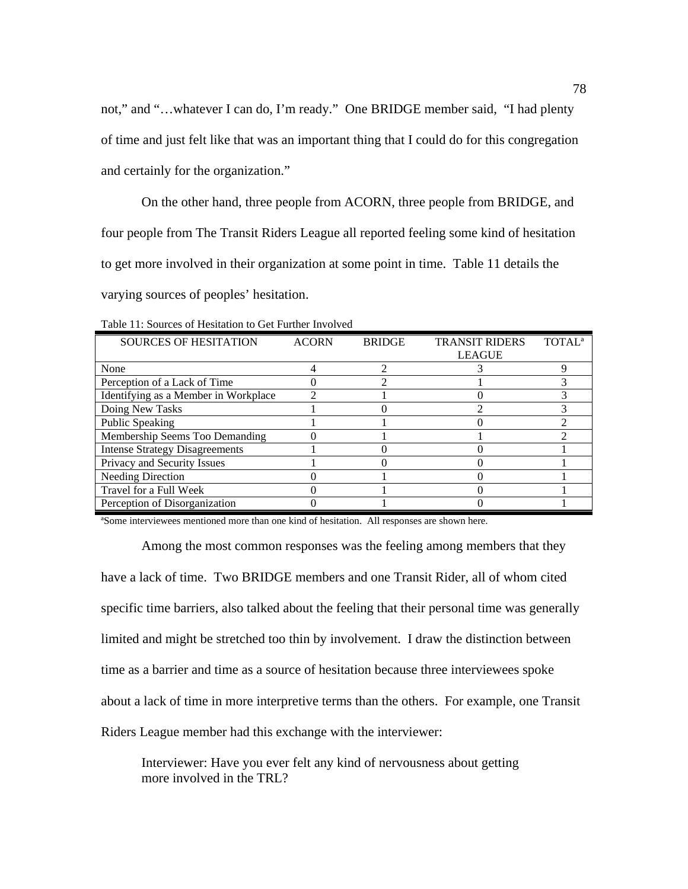not," and "…whatever I can do, I'm ready." One BRIDGE member said, "I had plenty of time and just felt like that was an important thing that I could do for this congregation and certainly for the organization."

On the other hand, three people from ACORN, three people from BRIDGE, and four people from The Transit Riders League all reported feeling some kind of hesitation to get more involved in their organization at some point in time. Table 11 details the varying sources of peoples' hesitation.

| <b>SOURCES OF HESITATION</b>          | <b>ACORN</b> | <b>BRIDGE</b> | <b>TRANSIT RIDERS</b> | <b>TOTAL<sup>a</sup></b> |
|---------------------------------------|--------------|---------------|-----------------------|--------------------------|
|                                       |              |               | <b>LEAGUE</b>         |                          |
| None                                  |              |               |                       |                          |
| Perception of a Lack of Time          |              |               |                       |                          |
| Identifying as a Member in Workplace  |              |               |                       |                          |
| Doing New Tasks                       |              |               |                       |                          |
| <b>Public Speaking</b>                |              |               |                       |                          |
| Membership Seems Too Demanding        |              |               |                       |                          |
| <b>Intense Strategy Disagreements</b> |              |               |                       |                          |
| Privacy and Security Issues           |              |               |                       |                          |
| <b>Needing Direction</b>              |              |               |                       |                          |
| Travel for a Full Week                |              |               |                       |                          |
| Perception of Disorganization         |              |               |                       |                          |

Table 11: Sources of Hesitation to Get Further Involved

ªSome interviewees mentioned more than one kind of hesitation. All responses are shown here.

Among the most common responses was the feeling among members that they have a lack of time. Two BRIDGE members and one Transit Rider, all of whom cited specific time barriers, also talked about the feeling that their personal time was generally limited and might be stretched too thin by involvement. I draw the distinction between time as a barrier and time as a source of hesitation because three interviewees spoke about a lack of time in more interpretive terms than the others. For example, one Transit Riders League member had this exchange with the interviewer:

Interviewer: Have you ever felt any kind of nervousness about getting more involved in the TRL?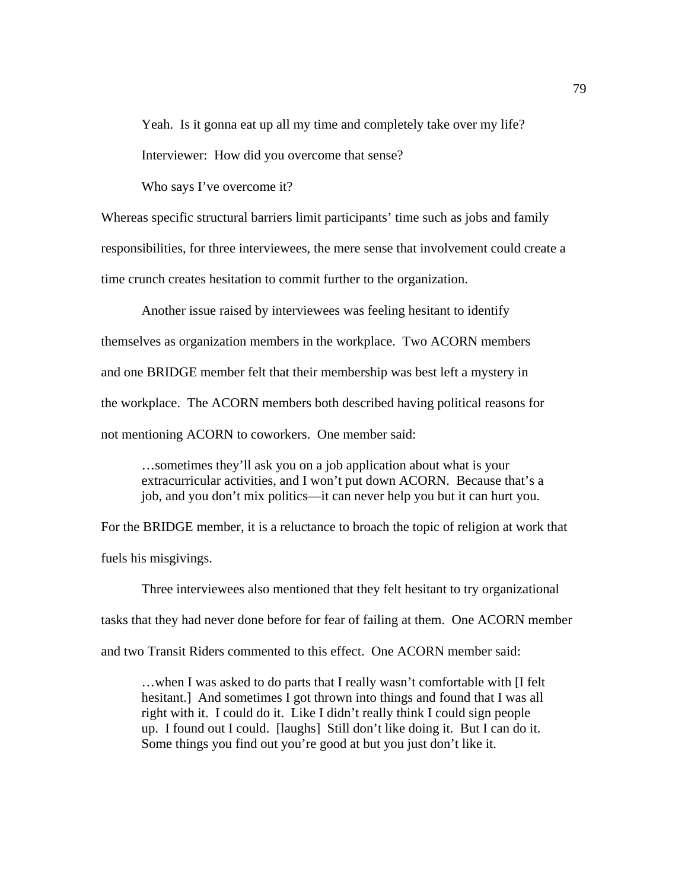Yeah. Is it gonna eat up all my time and completely take over my life?

Interviewer: How did you overcome that sense?

Who says I've overcome it?

Whereas specific structural barriers limit participants' time such as jobs and family responsibilities, for three interviewees, the mere sense that involvement could create a time crunch creates hesitation to commit further to the organization.

 Another issue raised by interviewees was feeling hesitant to identify themselves as organization members in the workplace. Two ACORN members and one BRIDGE member felt that their membership was best left a mystery in the workplace. The ACORN members both described having political reasons for not mentioning ACORN to coworkers. One member said:

…sometimes they'll ask you on a job application about what is your extracurricular activities, and I won't put down ACORN. Because that's a job, and you don't mix politics—it can never help you but it can hurt you.

For the BRIDGE member, it is a reluctance to broach the topic of religion at work that fuels his misgivings.

Three interviewees also mentioned that they felt hesitant to try organizational tasks that they had never done before for fear of failing at them. One ACORN member and two Transit Riders commented to this effect. One ACORN member said:

…when I was asked to do parts that I really wasn't comfortable with [I felt hesitant.] And sometimes I got thrown into things and found that I was all right with it. I could do it. Like I didn't really think I could sign people up. I found out I could. [laughs] Still don't like doing it. But I can do it. Some things you find out you're good at but you just don't like it.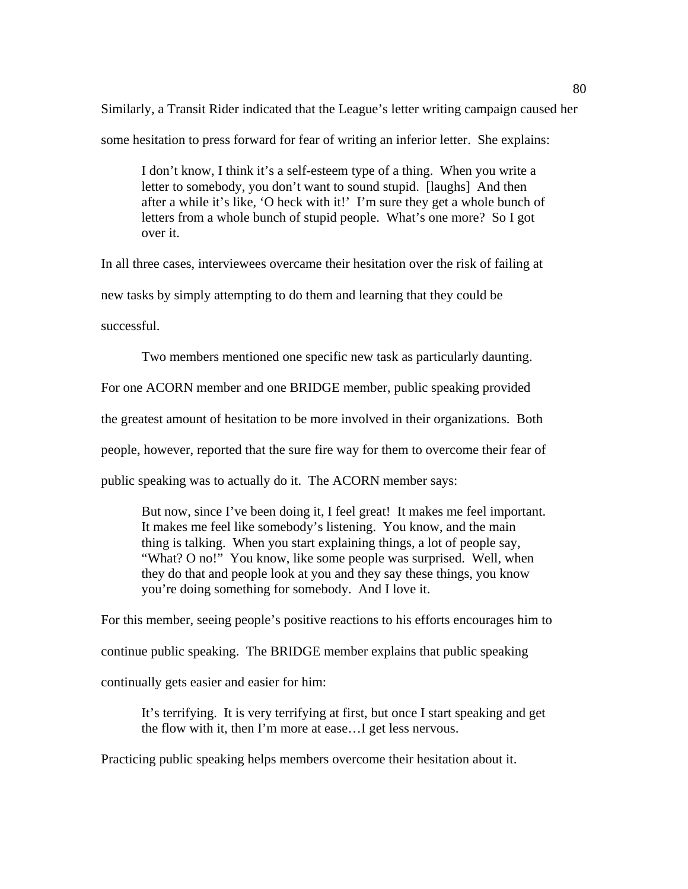Similarly, a Transit Rider indicated that the League's letter writing campaign caused her some hesitation to press forward for fear of writing an inferior letter. She explains:

I don't know, I think it's a self-esteem type of a thing. When you write a letter to somebody, you don't want to sound stupid. [laughs] And then after a while it's like, 'O heck with it!' I'm sure they get a whole bunch of letters from a whole bunch of stupid people. What's one more? So I got over it.

In all three cases, interviewees overcame their hesitation over the risk of failing at new tasks by simply attempting to do them and learning that they could be successful.

Two members mentioned one specific new task as particularly daunting.

For one ACORN member and one BRIDGE member, public speaking provided

the greatest amount of hesitation to be more involved in their organizations. Both

people, however, reported that the sure fire way for them to overcome their fear of

public speaking was to actually do it. The ACORN member says:

But now, since I've been doing it, I feel great! It makes me feel important. It makes me feel like somebody's listening. You know, and the main thing is talking. When you start explaining things, a lot of people say, "What? O no!" You know, like some people was surprised. Well, when they do that and people look at you and they say these things, you know you're doing something for somebody. And I love it.

For this member, seeing people's positive reactions to his efforts encourages him to continue public speaking. The BRIDGE member explains that public speaking continually gets easier and easier for him:

It's terrifying. It is very terrifying at first, but once I start speaking and get the flow with it, then I'm more at ease…I get less nervous.

Practicing public speaking helps members overcome their hesitation about it.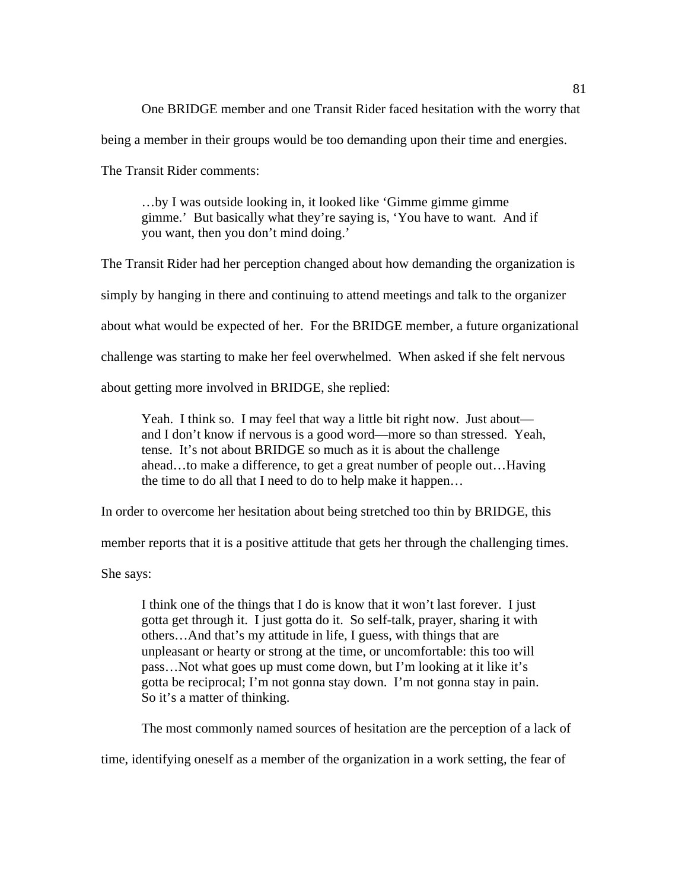One BRIDGE member and one Transit Rider faced hesitation with the worry that being a member in their groups would be too demanding upon their time and energies.

The Transit Rider comments:

…by I was outside looking in, it looked like 'Gimme gimme gimme gimme.' But basically what they're saying is, 'You have to want. And if you want, then you don't mind doing.'

The Transit Rider had her perception changed about how demanding the organization is simply by hanging in there and continuing to attend meetings and talk to the organizer about what would be expected of her. For the BRIDGE member, a future organizational challenge was starting to make her feel overwhelmed. When asked if she felt nervous about getting more involved in BRIDGE, she replied:

Yeah. I think so. I may feel that way a little bit right now. Just about and I don't know if nervous is a good word—more so than stressed. Yeah, tense. It's not about BRIDGE so much as it is about the challenge ahead…to make a difference, to get a great number of people out…Having the time to do all that I need to do to help make it happen…

In order to overcome her hesitation about being stretched too thin by BRIDGE, this

member reports that it is a positive attitude that gets her through the challenging times.

She says:

I think one of the things that I do is know that it won't last forever. I just gotta get through it. I just gotta do it. So self-talk, prayer, sharing it with others…And that's my attitude in life, I guess, with things that are unpleasant or hearty or strong at the time, or uncomfortable: this too will pass…Not what goes up must come down, but I'm looking at it like it's gotta be reciprocal; I'm not gonna stay down. I'm not gonna stay in pain. So it's a matter of thinking.

The most commonly named sources of hesitation are the perception of a lack of

time, identifying oneself as a member of the organization in a work setting, the fear of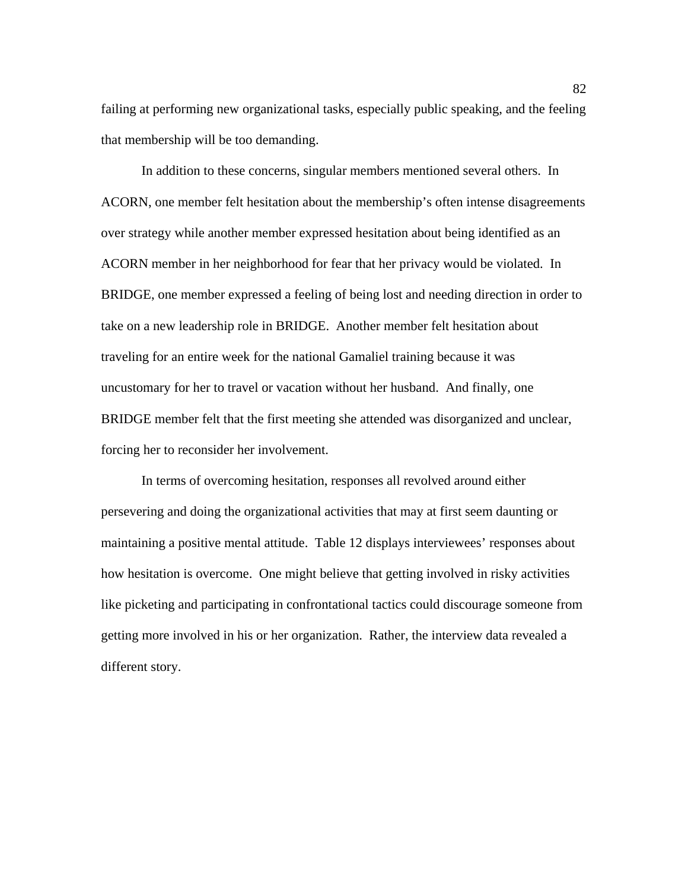failing at performing new organizational tasks, especially public speaking, and the feeling that membership will be too demanding.

In addition to these concerns, singular members mentioned several others. In ACORN, one member felt hesitation about the membership's often intense disagreements over strategy while another member expressed hesitation about being identified as an ACORN member in her neighborhood for fear that her privacy would be violated. In BRIDGE, one member expressed a feeling of being lost and needing direction in order to take on a new leadership role in BRIDGE. Another member felt hesitation about traveling for an entire week for the national Gamaliel training because it was uncustomary for her to travel or vacation without her husband. And finally, one BRIDGE member felt that the first meeting she attended was disorganized and unclear, forcing her to reconsider her involvement.

 In terms of overcoming hesitation, responses all revolved around either persevering and doing the organizational activities that may at first seem daunting or maintaining a positive mental attitude. Table 12 displays interviewees' responses about how hesitation is overcome. One might believe that getting involved in risky activities like picketing and participating in confrontational tactics could discourage someone from getting more involved in his or her organization. Rather, the interview data revealed a different story.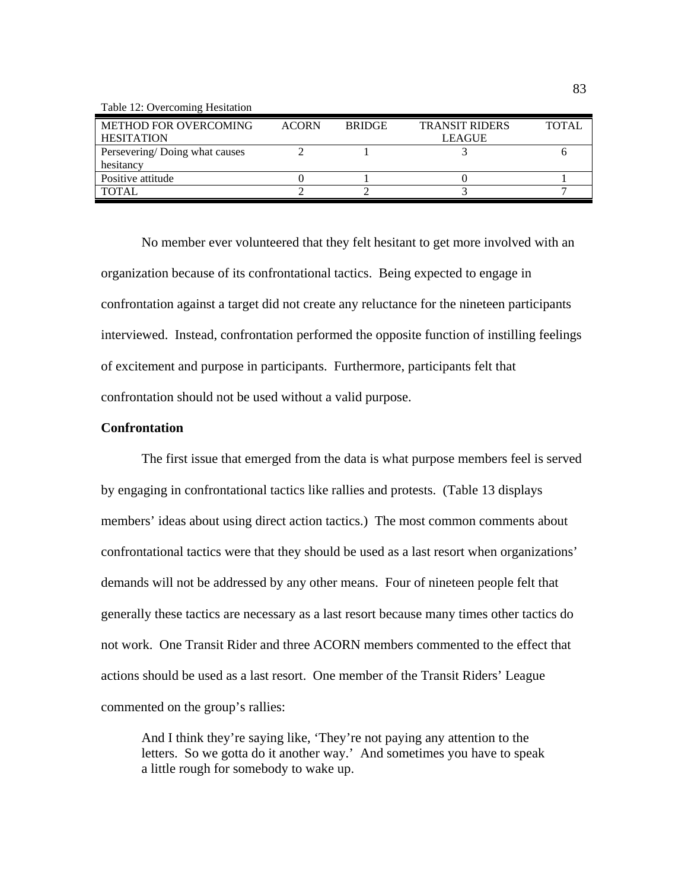Table 12: Overcoming Hesitation

| <b>METHOD FOR OVERCOMING</b>  | <b>ACORN</b> | <b>BRIDGE</b> | <b>TRANSIT RIDERS</b> | <b>TOTAL</b> |
|-------------------------------|--------------|---------------|-----------------------|--------------|
| <b>HESITATION</b>             |              |               | <b>LEAGUE</b>         |              |
| Persevering/Doing what causes |              |               |                       |              |
| hesitancy                     |              |               |                       |              |
| Positive attitude             |              |               |                       |              |
| TOTAL                         |              |               |                       |              |

No member ever volunteered that they felt hesitant to get more involved with an organization because of its confrontational tactics. Being expected to engage in confrontation against a target did not create any reluctance for the nineteen participants interviewed. Instead, confrontation performed the opposite function of instilling feelings of excitement and purpose in participants. Furthermore, participants felt that confrontation should not be used without a valid purpose.

# **Confrontation**

 The first issue that emerged from the data is what purpose members feel is served by engaging in confrontational tactics like rallies and protests. (Table 13 displays members' ideas about using direct action tactics.) The most common comments about confrontational tactics were that they should be used as a last resort when organizations' demands will not be addressed by any other means. Four of nineteen people felt that generally these tactics are necessary as a last resort because many times other tactics do not work. One Transit Rider and three ACORN members commented to the effect that actions should be used as a last resort. One member of the Transit Riders' League commented on the group's rallies:

And I think they're saying like, 'They're not paying any attention to the letters. So we gotta do it another way.' And sometimes you have to speak a little rough for somebody to wake up.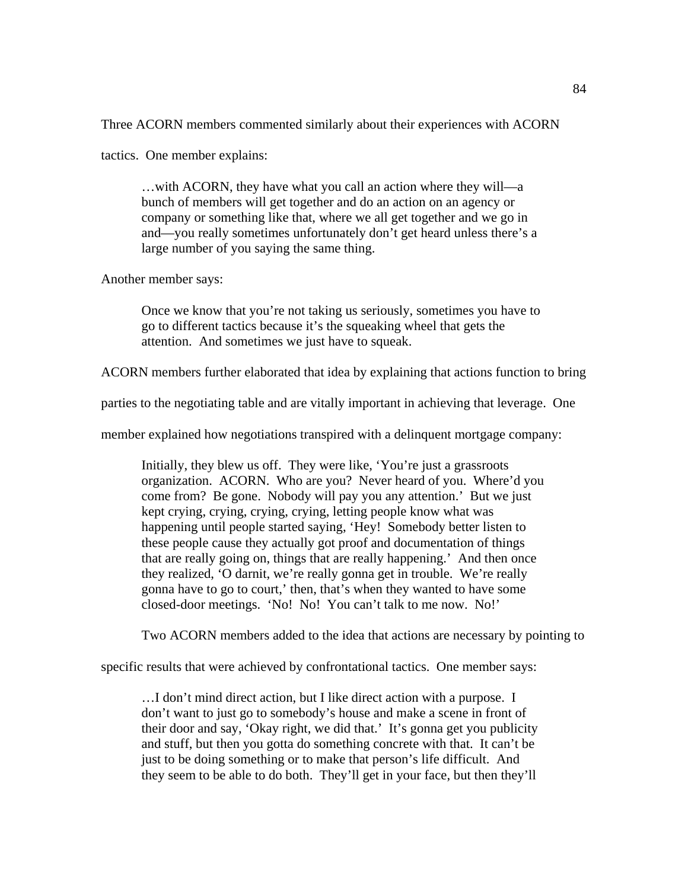Three ACORN members commented similarly about their experiences with ACORN

tactics. One member explains:

…with ACORN, they have what you call an action where they will—a bunch of members will get together and do an action on an agency or company or something like that, where we all get together and we go in and—you really sometimes unfortunately don't get heard unless there's a large number of you saying the same thing.

Another member says:

Once we know that you're not taking us seriously, sometimes you have to go to different tactics because it's the squeaking wheel that gets the attention. And sometimes we just have to squeak.

ACORN members further elaborated that idea by explaining that actions function to bring

parties to the negotiating table and are vitally important in achieving that leverage. One

member explained how negotiations transpired with a delinquent mortgage company:

Initially, they blew us off. They were like, 'You're just a grassroots organization. ACORN. Who are you? Never heard of you. Where'd you come from? Be gone. Nobody will pay you any attention.' But we just kept crying, crying, crying, crying, letting people know what was happening until people started saying, 'Hey! Somebody better listen to these people cause they actually got proof and documentation of things that are really going on, things that are really happening.' And then once they realized, 'O darnit, we're really gonna get in trouble. We're really gonna have to go to court,' then, that's when they wanted to have some closed-door meetings. 'No! No! You can't talk to me now. No!'

Two ACORN members added to the idea that actions are necessary by pointing to

specific results that were achieved by confrontational tactics. One member says:

…I don't mind direct action, but I like direct action with a purpose. I don't want to just go to somebody's house and make a scene in front of their door and say, 'Okay right, we did that.' It's gonna get you publicity and stuff, but then you gotta do something concrete with that. It can't be just to be doing something or to make that person's life difficult. And they seem to be able to do both. They'll get in your face, but then they'll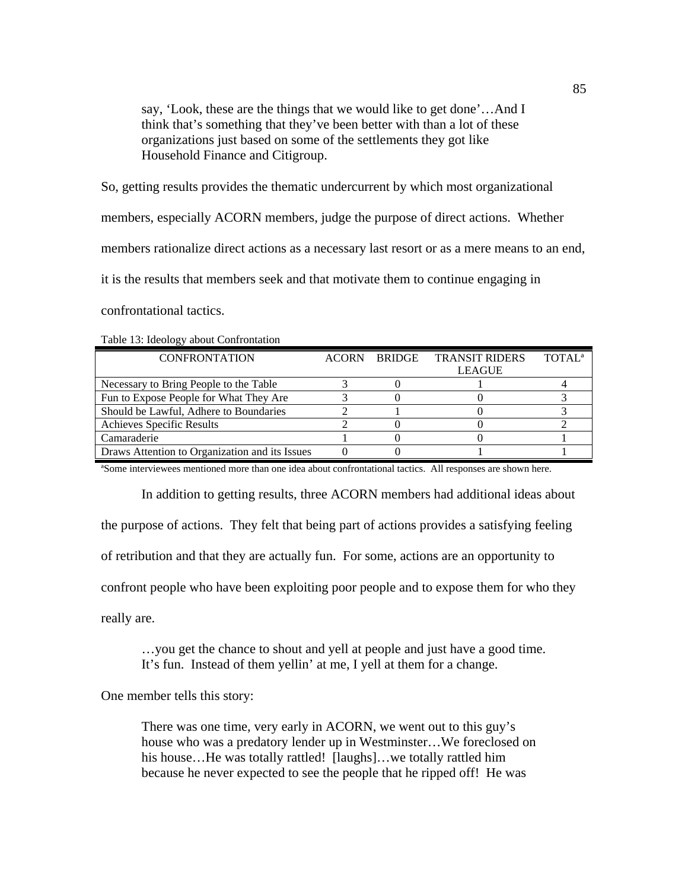say, 'Look, these are the things that we would like to get done'…And I think that's something that they've been better with than a lot of these organizations just based on some of the settlements they got like Household Finance and Citigroup.

So, getting results provides the thematic undercurrent by which most organizational members, especially ACORN members, judge the purpose of direct actions. Whether members rationalize direct actions as a necessary last resort or as a mere means to an end, it is the results that members seek and that motivate them to continue engaging in confrontational tactics.

| <b>CONFRONTATION</b>                           | <b>ACORN</b> | <b>BRIDGE</b> | <b>TRANSIT RIDERS</b> | TOTAL <sup>a</sup> |
|------------------------------------------------|--------------|---------------|-----------------------|--------------------|
|                                                |              |               | LEAGUE                |                    |
| Necessary to Bring People to the Table         |              |               |                       |                    |
| Fun to Expose People for What They Are         |              |               |                       |                    |
| Should be Lawful, Adhere to Boundaries         |              |               |                       |                    |
| Achieves Specific Results                      |              |               |                       |                    |
| Camaraderie                                    |              |               |                       |                    |
| Draws Attention to Organization and its Issues |              |               |                       |                    |

Table 13: Ideology about Confrontation

ªSome interviewees mentioned more than one idea about confrontational tactics. All responses are shown here.

In addition to getting results, three ACORN members had additional ideas about the purpose of actions. They felt that being part of actions provides a satisfying feeling of retribution and that they are actually fun. For some, actions are an opportunity to confront people who have been exploiting poor people and to expose them for who they really are.

…you get the chance to shout and yell at people and just have a good time. It's fun. Instead of them yellin' at me, I yell at them for a change.

One member tells this story:

There was one time, very early in ACORN, we went out to this guy's house who was a predatory lender up in Westminster…We foreclosed on his house...He was totally rattled! [laughs]...we totally rattled him because he never expected to see the people that he ripped off! He was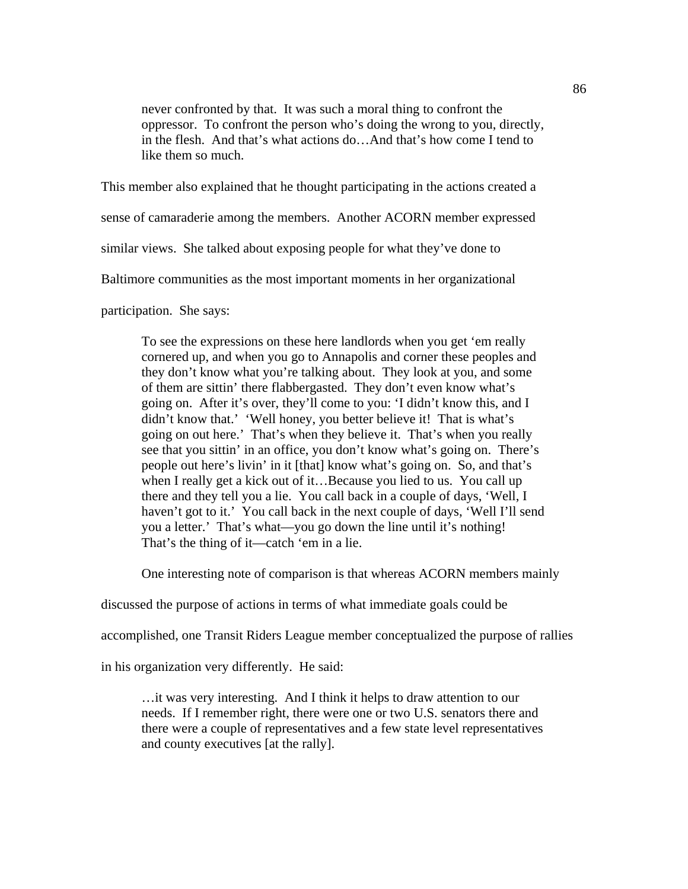never confronted by that. It was such a moral thing to confront the oppressor. To confront the person who's doing the wrong to you, directly, in the flesh. And that's what actions do…And that's how come I tend to like them so much.

This member also explained that he thought participating in the actions created a

sense of camaraderie among the members. Another ACORN member expressed

similar views. She talked about exposing people for what they've done to

Baltimore communities as the most important moments in her organizational

participation. She says:

To see the expressions on these here landlords when you get 'em really cornered up, and when you go to Annapolis and corner these peoples and they don't know what you're talking about. They look at you, and some of them are sittin' there flabbergasted. They don't even know what's going on. After it's over, they'll come to you: 'I didn't know this, and I didn't know that.' 'Well honey, you better believe it! That is what's going on out here.' That's when they believe it. That's when you really see that you sittin' in an office, you don't know what's going on. There's people out here's livin' in it [that] know what's going on. So, and that's when I really get a kick out of it…Because you lied to us. You call up there and they tell you a lie. You call back in a couple of days, 'Well, I haven't got to it.' You call back in the next couple of days, 'Well I'll send you a letter.' That's what—you go down the line until it's nothing! That's the thing of it—catch 'em in a lie.

One interesting note of comparison is that whereas ACORN members mainly

discussed the purpose of actions in terms of what immediate goals could be

accomplished, one Transit Riders League member conceptualized the purpose of rallies

in his organization very differently. He said:

…it was very interesting. And I think it helps to draw attention to our needs. If I remember right, there were one or two U.S. senators there and there were a couple of representatives and a few state level representatives and county executives [at the rally].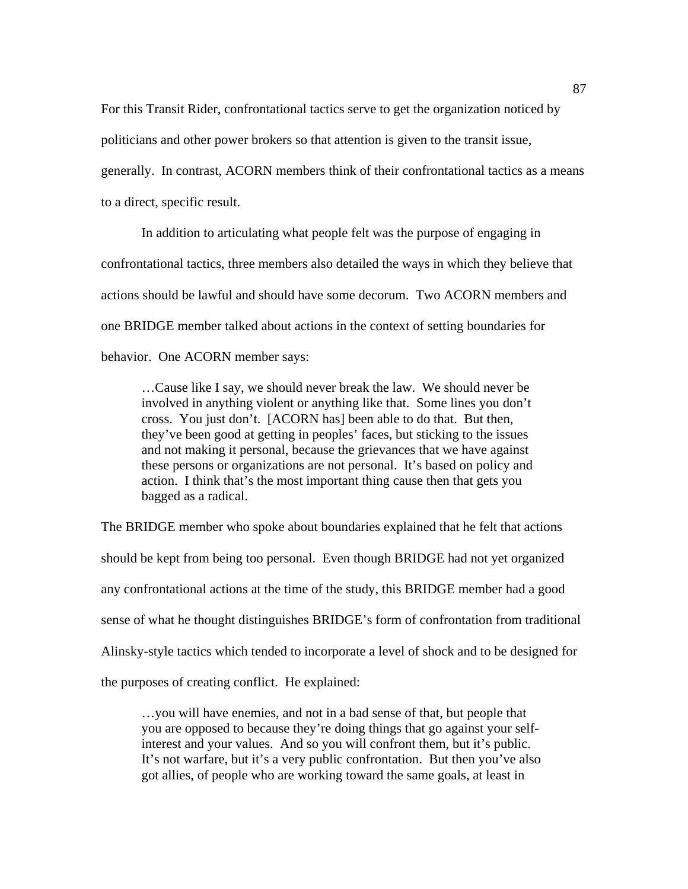For this Transit Rider, confrontational tactics serve to get the organization noticed by politicians and other power brokers so that attention is given to the transit issue, generally. In contrast, ACORN members think of their confrontational tactics as a means to a direct, specific result.

 In addition to articulating what people felt was the purpose of engaging in confrontational tactics, three members also detailed the ways in which they believe that actions should be lawful and should have some decorum. Two ACORN members and one BRIDGE member talked about actions in the context of setting boundaries for behavior. One ACORN member says:

…Cause like I say, we should never break the law. We should never be involved in anything violent or anything like that. Some lines you don't cross. You just don't. [ACORN has] been able to do that. But then, they've been good at getting in peoples' faces, but sticking to the issues and not making it personal, because the grievances that we have against these persons or organizations are not personal. It's based on policy and action. I think that's the most important thing cause then that gets you bagged as a radical.

The BRIDGE member who spoke about boundaries explained that he felt that actions should be kept from being too personal. Even though BRIDGE had not yet organized any confrontational actions at the time of the study, this BRIDGE member had a good sense of what he thought distinguishes BRIDGE's form of confrontation from traditional Alinsky-style tactics which tended to incorporate a level of shock and to be designed for the purposes of creating conflict. He explained:

…you will have enemies, and not in a bad sense of that, but people that you are opposed to because they're doing things that go against your selfinterest and your values. And so you will confront them, but it's public. It's not warfare, but it's a very public confrontation. But then you've also got allies, of people who are working toward the same goals, at least in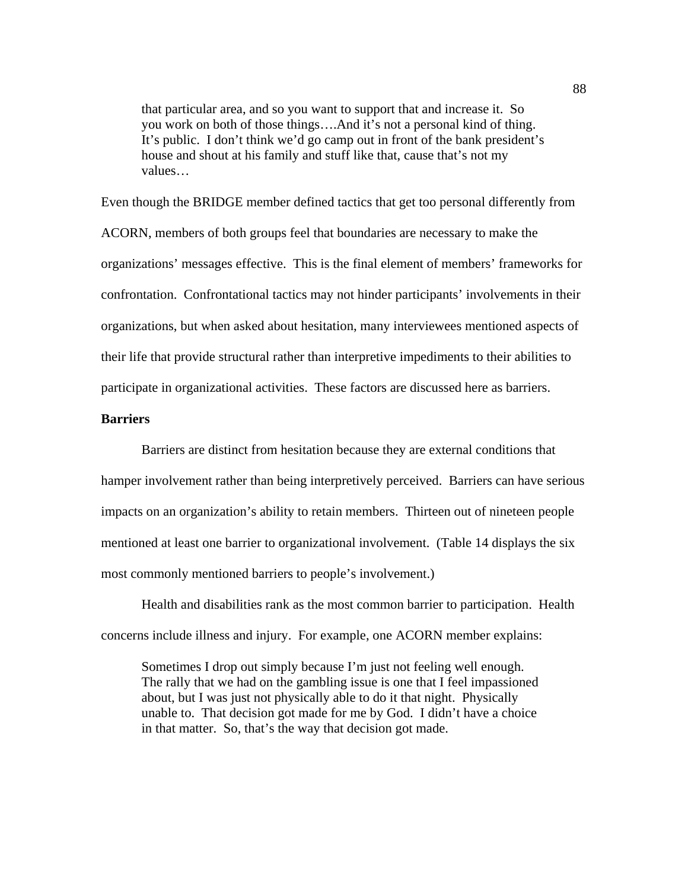that particular area, and so you want to support that and increase it. So you work on both of those things….And it's not a personal kind of thing. It's public. I don't think we'd go camp out in front of the bank president's house and shout at his family and stuff like that, cause that's not my values…

Even though the BRIDGE member defined tactics that get too personal differently from ACORN, members of both groups feel that boundaries are necessary to make the organizations' messages effective. This is the final element of members' frameworks for confrontation. Confrontational tactics may not hinder participants' involvements in their organizations, but when asked about hesitation, many interviewees mentioned aspects of their life that provide structural rather than interpretive impediments to their abilities to participate in organizational activities. These factors are discussed here as barriers.

### **Barriers**

Barriers are distinct from hesitation because they are external conditions that hamper involvement rather than being interpretively perceived. Barriers can have serious impacts on an organization's ability to retain members. Thirteen out of nineteen people mentioned at least one barrier to organizational involvement. (Table 14 displays the six most commonly mentioned barriers to people's involvement.)

Health and disabilities rank as the most common barrier to participation. Health concerns include illness and injury. For example, one ACORN member explains:

Sometimes I drop out simply because I'm just not feeling well enough. The rally that we had on the gambling issue is one that I feel impassioned about, but I was just not physically able to do it that night. Physically unable to. That decision got made for me by God. I didn't have a choice in that matter. So, that's the way that decision got made.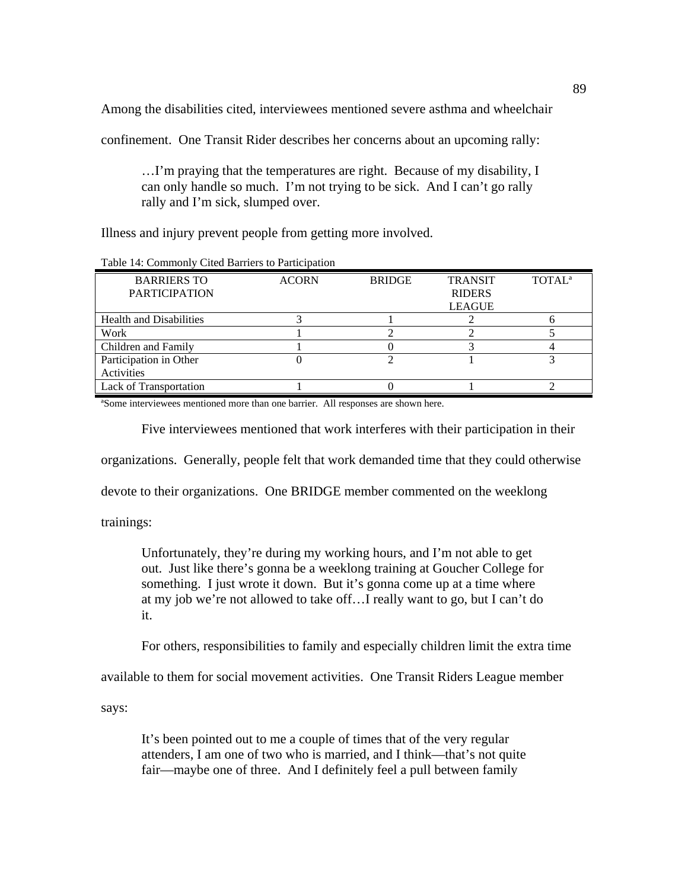Among the disabilities cited, interviewees mentioned severe asthma and wheelchair

confinement. One Transit Rider describes her concerns about an upcoming rally:

…I'm praying that the temperatures are right. Because of my disability, I can only handle so much. I'm not trying to be sick. And I can't go rally rally and I'm sick, slumped over.

Illness and injury prevent people from getting more involved.

| Tuble 1:1, Commont; Chea Dufflets to I differential |              |               |                |                          |  |
|-----------------------------------------------------|--------------|---------------|----------------|--------------------------|--|
| <b>BARRIERS TO</b>                                  | <b>ACORN</b> | <b>BRIDGE</b> | <b>TRANSIT</b> | <b>TOTAL<sup>a</sup></b> |  |
| <b>PARTICIPATION</b>                                |              |               | <b>RIDERS</b>  |                          |  |
|                                                     |              |               | <b>LEAGUE</b>  |                          |  |
| <b>Health and Disabilities</b>                      |              |               |                |                          |  |
| Work                                                |              |               |                |                          |  |
| Children and Family                                 |              |               |                |                          |  |
| Participation in Other                              |              |               |                |                          |  |
| Activities                                          |              |               |                |                          |  |
| <b>Lack of Transportation</b>                       |              |               |                |                          |  |

Table 14: Commonly Cited Barriers to Participation

ªSome interviewees mentioned more than one barrier. All responses are shown here.

Five interviewees mentioned that work interferes with their participation in their

organizations. Generally, people felt that work demanded time that they could otherwise

devote to their organizations. One BRIDGE member commented on the weeklong

trainings:

Unfortunately, they're during my working hours, and I'm not able to get out. Just like there's gonna be a weeklong training at Goucher College for something. I just wrote it down. But it's gonna come up at a time where at my job we're not allowed to take off…I really want to go, but I can't do it.

For others, responsibilities to family and especially children limit the extra time

available to them for social movement activities. One Transit Riders League member

says:

It's been pointed out to me a couple of times that of the very regular attenders, I am one of two who is married, and I think—that's not quite fair—maybe one of three. And I definitely feel a pull between family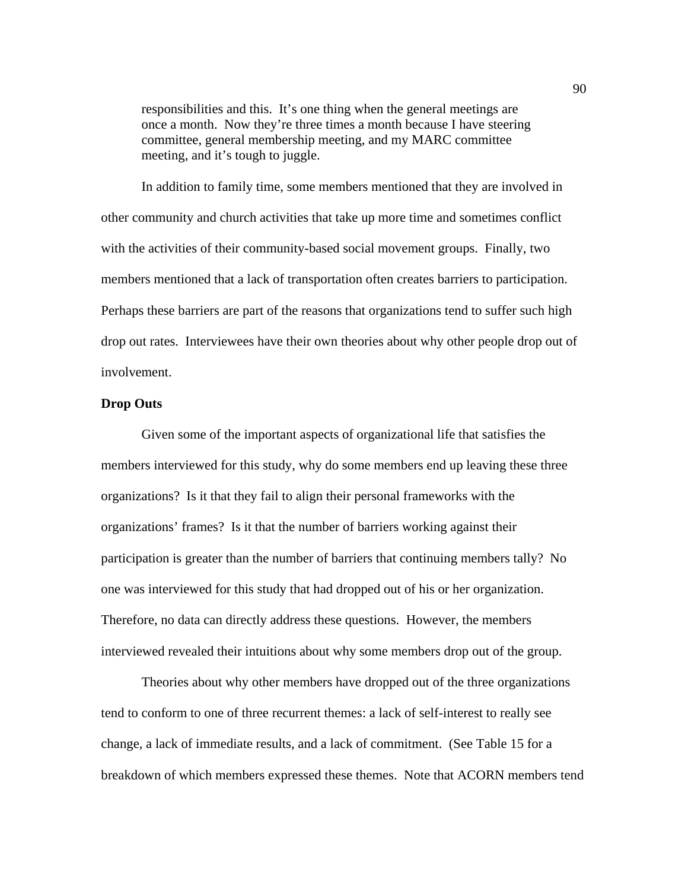responsibilities and this. It's one thing when the general meetings are once a month. Now they're three times a month because I have steering committee, general membership meeting, and my MARC committee meeting, and it's tough to juggle.

In addition to family time, some members mentioned that they are involved in other community and church activities that take up more time and sometimes conflict with the activities of their community-based social movement groups. Finally, two members mentioned that a lack of transportation often creates barriers to participation. Perhaps these barriers are part of the reasons that organizations tend to suffer such high drop out rates. Interviewees have their own theories about why other people drop out of involvement.

## **Drop Outs**

Given some of the important aspects of organizational life that satisfies the members interviewed for this study, why do some members end up leaving these three organizations? Is it that they fail to align their personal frameworks with the organizations' frames? Is it that the number of barriers working against their participation is greater than the number of barriers that continuing members tally? No one was interviewed for this study that had dropped out of his or her organization. Therefore, no data can directly address these questions. However, the members interviewed revealed their intuitions about why some members drop out of the group.

 Theories about why other members have dropped out of the three organizations tend to conform to one of three recurrent themes: a lack of self-interest to really see change, a lack of immediate results, and a lack of commitment. (See Table 15 for a breakdown of which members expressed these themes. Note that ACORN members tend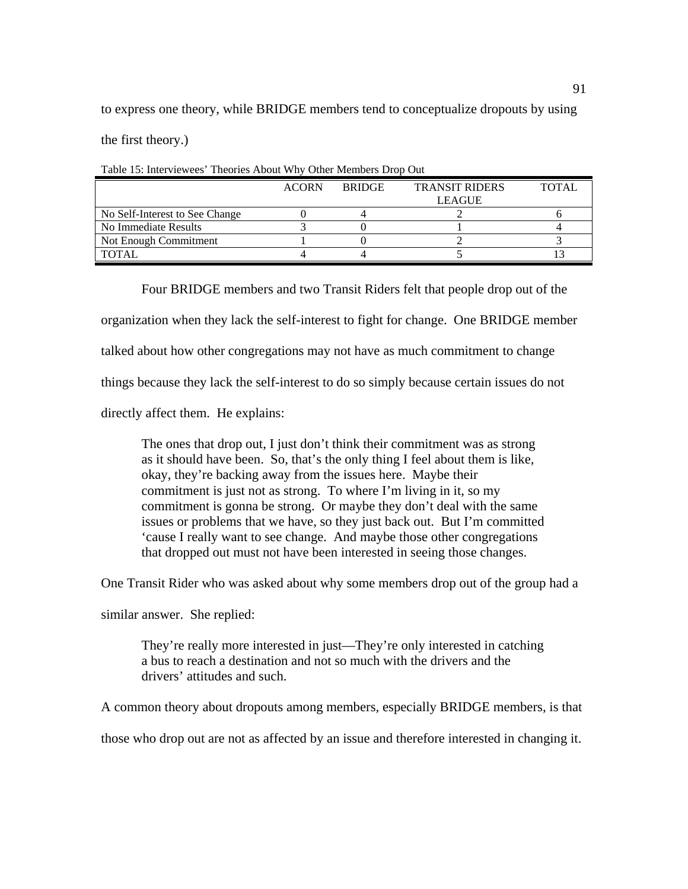to express one theory, while BRIDGE members tend to conceptualize dropouts by using

the first theory.)

|                                | <b>ACORN</b> | <b>BRIDGE</b> | <b>TRANSIT RIDERS</b><br><b>LEAGUE</b> | TOTAL |
|--------------------------------|--------------|---------------|----------------------------------------|-------|
|                                |              |               |                                        |       |
| No Self-Interest to See Change |              |               |                                        |       |
| No Immediate Results           |              |               |                                        |       |
| Not Enough Commitment          |              |               |                                        |       |
| <b>TOTAL</b>                   |              |               |                                        |       |

Table 15: Interviewees' Theories About Why Other Members Drop Out

Four BRIDGE members and two Transit Riders felt that people drop out of the

organization when they lack the self-interest to fight for change. One BRIDGE member

talked about how other congregations may not have as much commitment to change

things because they lack the self-interest to do so simply because certain issues do not

directly affect them. He explains:

The ones that drop out, I just don't think their commitment was as strong as it should have been. So, that's the only thing I feel about them is like, okay, they're backing away from the issues here. Maybe their commitment is just not as strong. To where I'm living in it, so my commitment is gonna be strong. Or maybe they don't deal with the same issues or problems that we have, so they just back out. But I'm committed 'cause I really want to see change. And maybe those other congregations that dropped out must not have been interested in seeing those changes.

One Transit Rider who was asked about why some members drop out of the group had a

similar answer. She replied:

They're really more interested in just—They're only interested in catching a bus to reach a destination and not so much with the drivers and the drivers' attitudes and such.

A common theory about dropouts among members, especially BRIDGE members, is that

those who drop out are not as affected by an issue and therefore interested in changing it.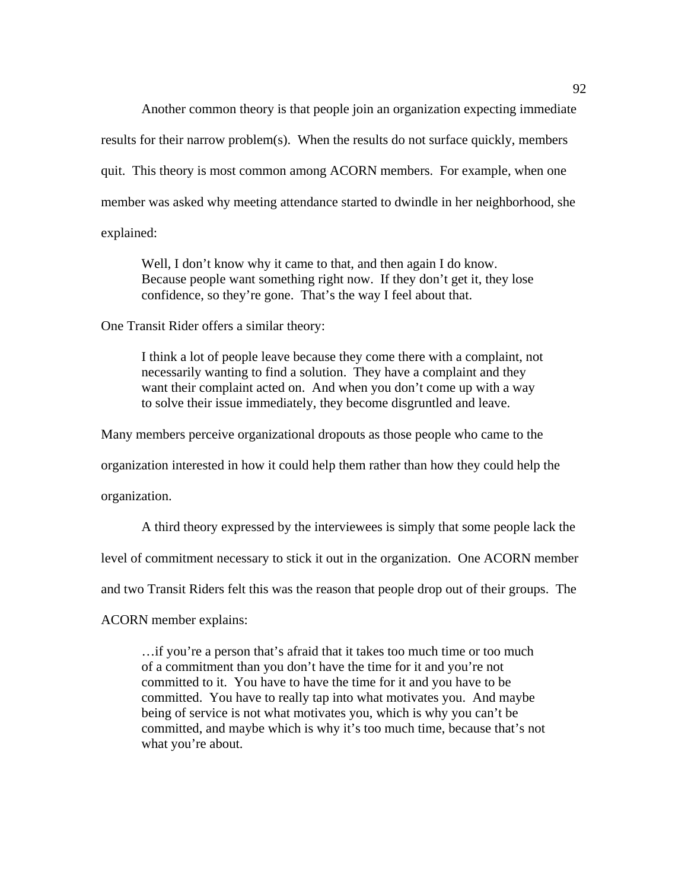Another common theory is that people join an organization expecting immediate

results for their narrow problem(s). When the results do not surface quickly, members quit. This theory is most common among ACORN members. For example, when one member was asked why meeting attendance started to dwindle in her neighborhood, she explained:

Well, I don't know why it came to that, and then again I do know. Because people want something right now. If they don't get it, they lose confidence, so they're gone. That's the way I feel about that.

One Transit Rider offers a similar theory:

I think a lot of people leave because they come there with a complaint, not necessarily wanting to find a solution. They have a complaint and they want their complaint acted on. And when you don't come up with a way to solve their issue immediately, they become disgruntled and leave.

Many members perceive organizational dropouts as those people who came to the

organization interested in how it could help them rather than how they could help the

organization.

A third theory expressed by the interviewees is simply that some people lack the

level of commitment necessary to stick it out in the organization. One ACORN member

and two Transit Riders felt this was the reason that people drop out of their groups. The

ACORN member explains:

…if you're a person that's afraid that it takes too much time or too much of a commitment than you don't have the time for it and you're not committed to it. You have to have the time for it and you have to be committed. You have to really tap into what motivates you. And maybe being of service is not what motivates you, which is why you can't be committed, and maybe which is why it's too much time, because that's not what you're about.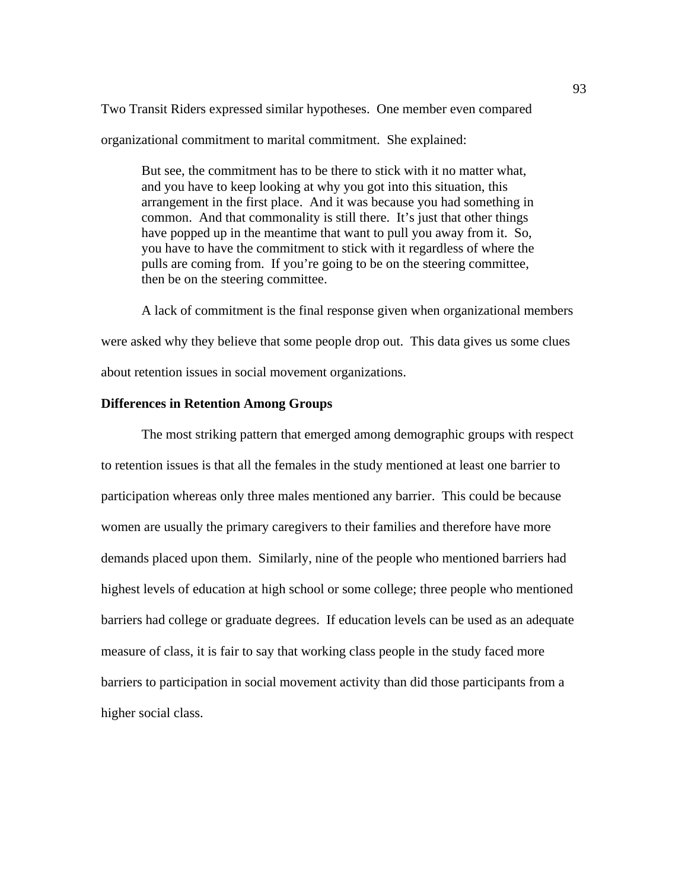Two Transit Riders expressed similar hypotheses. One member even compared organizational commitment to marital commitment. She explained:

But see, the commitment has to be there to stick with it no matter what, and you have to keep looking at why you got into this situation, this arrangement in the first place. And it was because you had something in common. And that commonality is still there. It's just that other things have popped up in the meantime that want to pull you away from it. So, you have to have the commitment to stick with it regardless of where the pulls are coming from. If you're going to be on the steering committee, then be on the steering committee.

 A lack of commitment is the final response given when organizational members were asked why they believe that some people drop out. This data gives us some clues about retention issues in social movement organizations.

# **Differences in Retention Among Groups**

The most striking pattern that emerged among demographic groups with respect to retention issues is that all the females in the study mentioned at least one barrier to participation whereas only three males mentioned any barrier. This could be because women are usually the primary caregivers to their families and therefore have more demands placed upon them. Similarly, nine of the people who mentioned barriers had highest levels of education at high school or some college; three people who mentioned barriers had college or graduate degrees. If education levels can be used as an adequate measure of class, it is fair to say that working class people in the study faced more barriers to participation in social movement activity than did those participants from a higher social class.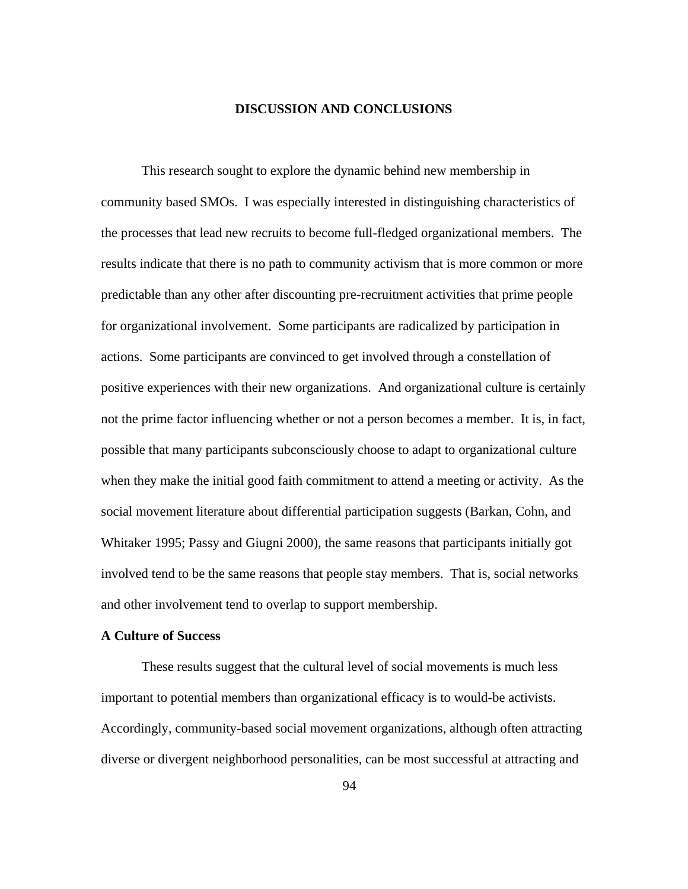### **DISCUSSION AND CONCLUSIONS**

This research sought to explore the dynamic behind new membership in community based SMOs. I was especially interested in distinguishing characteristics of the processes that lead new recruits to become full-fledged organizational members. The results indicate that there is no path to community activism that is more common or more predictable than any other after discounting pre-recruitment activities that prime people for organizational involvement. Some participants are radicalized by participation in actions. Some participants are convinced to get involved through a constellation of positive experiences with their new organizations. And organizational culture is certainly not the prime factor influencing whether or not a person becomes a member. It is, in fact, possible that many participants subconsciously choose to adapt to organizational culture when they make the initial good faith commitment to attend a meeting or activity. As the social movement literature about differential participation suggests (Barkan, Cohn, and Whitaker 1995; Passy and Giugni 2000), the same reasons that participants initially got involved tend to be the same reasons that people stay members. That is, social networks and other involvement tend to overlap to support membership.

## **A Culture of Success**

These results suggest that the cultural level of social movements is much less important to potential members than organizational efficacy is to would-be activists. Accordingly, community-based social movement organizations, although often attracting diverse or divergent neighborhood personalities, can be most successful at attracting and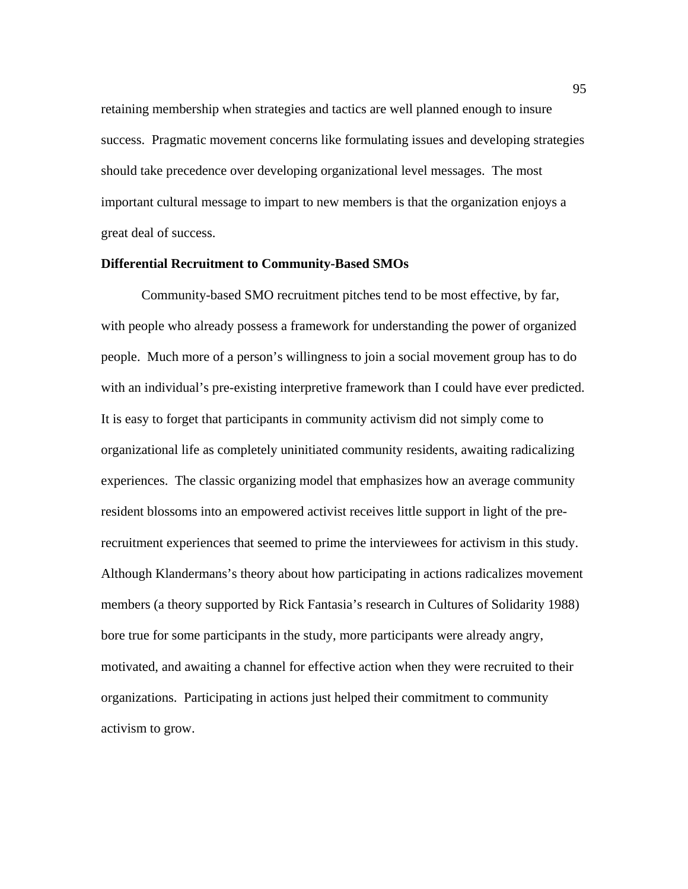retaining membership when strategies and tactics are well planned enough to insure success. Pragmatic movement concerns like formulating issues and developing strategies should take precedence over developing organizational level messages. The most important cultural message to impart to new members is that the organization enjoys a great deal of success.

### **Differential Recruitment to Community-Based SMOs**

Community-based SMO recruitment pitches tend to be most effective, by far, with people who already possess a framework for understanding the power of organized people. Much more of a person's willingness to join a social movement group has to do with an individual's pre-existing interpretive framework than I could have ever predicted. It is easy to forget that participants in community activism did not simply come to organizational life as completely uninitiated community residents, awaiting radicalizing experiences.The classic organizing model that emphasizes how an average community resident blossoms into an empowered activist receives little support in light of the prerecruitment experiences that seemed to prime the interviewees for activism in this study. Although Klandermans's theory about how participating in actions radicalizes movement members (a theory supported by Rick Fantasia's research in Cultures of Solidarity 1988) bore true for some participants in the study, more participants were already angry, motivated, and awaiting a channel for effective action when they were recruited to their organizations. Participating in actions just helped their commitment to community activism to grow.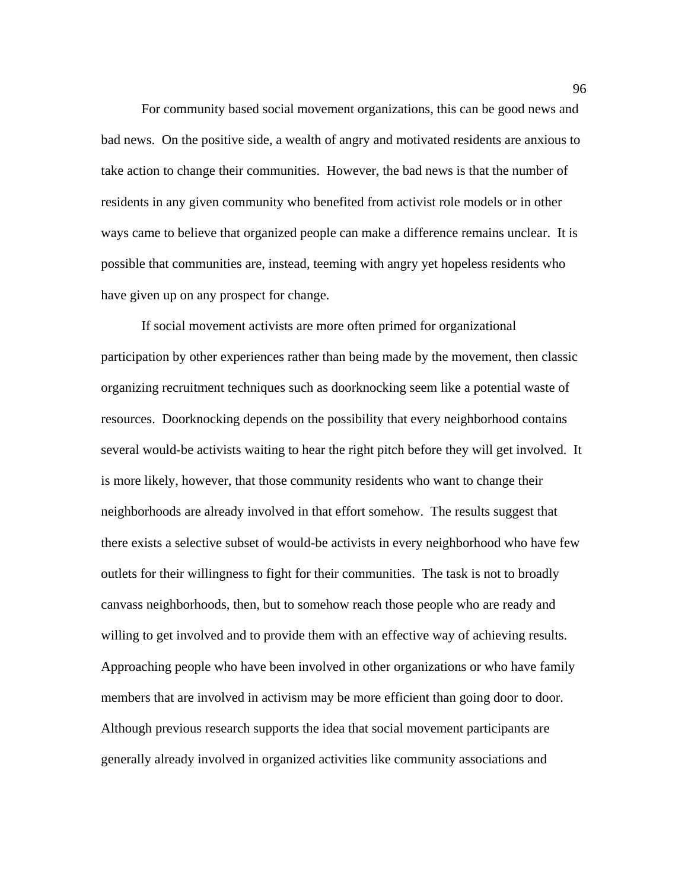For community based social movement organizations, this can be good news and bad news. On the positive side, a wealth of angry and motivated residents are anxious to take action to change their communities. However, the bad news is that the number of residents in any given community who benefited from activist role models or in other ways came to believe that organized people can make a difference remains unclear. It is possible that communities are, instead, teeming with angry yet hopeless residents who have given up on any prospect for change.

If social movement activists are more often primed for organizational participation by other experiences rather than being made by the movement, then classic organizing recruitment techniques such as doorknocking seem like a potential waste of resources. Doorknocking depends on the possibility that every neighborhood contains several would-be activists waiting to hear the right pitch before they will get involved. It is more likely, however, that those community residents who want to change their neighborhoods are already involved in that effort somehow. The results suggest that there exists a selective subset of would-be activists in every neighborhood who have few outlets for their willingness to fight for their communities. The task is not to broadly canvass neighborhoods, then, but to somehow reach those people who are ready and willing to get involved and to provide them with an effective way of achieving results. Approaching people who have been involved in other organizations or who have family members that are involved in activism may be more efficient than going door to door. Although previous research supports the idea that social movement participants are generally already involved in organized activities like community associations and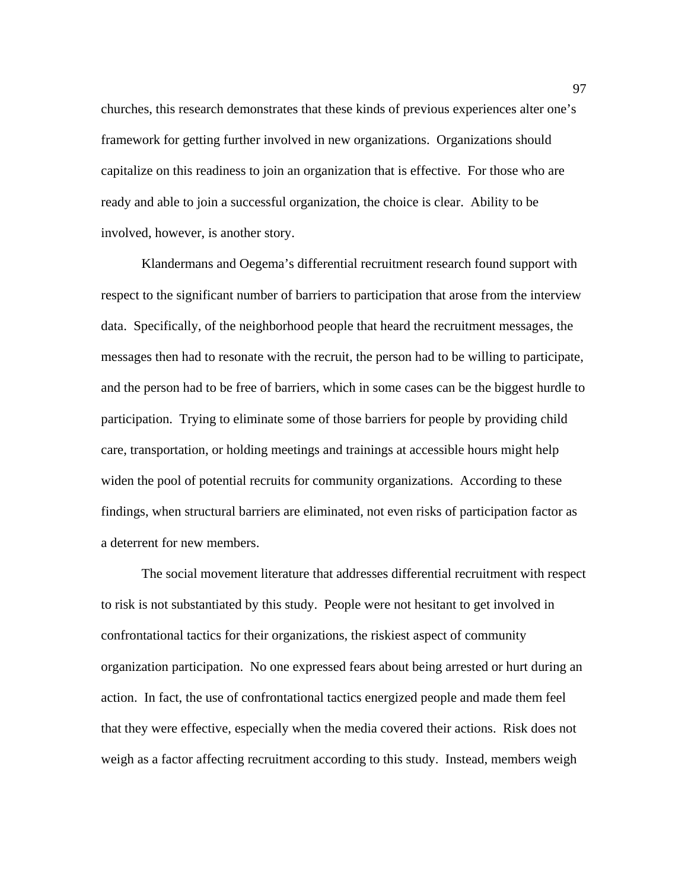churches, this research demonstrates that these kinds of previous experiences alter one's framework for getting further involved in new organizations. Organizations should capitalize on this readiness to join an organization that is effective. For those who are ready and able to join a successful organization, the choice is clear. Ability to be involved, however, is another story.

Klandermans and Oegema's differential recruitment research found support with respect to the significant number of barriers to participation that arose from the interview data. Specifically, of the neighborhood people that heard the recruitment messages, the messages then had to resonate with the recruit, the person had to be willing to participate, and the person had to be free of barriers, which in some cases can be the biggest hurdle to participation. Trying to eliminate some of those barriers for people by providing child care, transportation, or holding meetings and trainings at accessible hours might help widen the pool of potential recruits for community organizations. According to these findings, when structural barriers are eliminated, not even risks of participation factor as a deterrent for new members.

The social movement literature that addresses differential recruitment with respect to risk is not substantiated by this study. People were not hesitant to get involved in confrontational tactics for their organizations, the riskiest aspect of community organization participation. No one expressed fears about being arrested or hurt during an action. In fact, the use of confrontational tactics energized people and made them feel that they were effective, especially when the media covered their actions. Risk does not weigh as a factor affecting recruitment according to this study. Instead, members weigh

97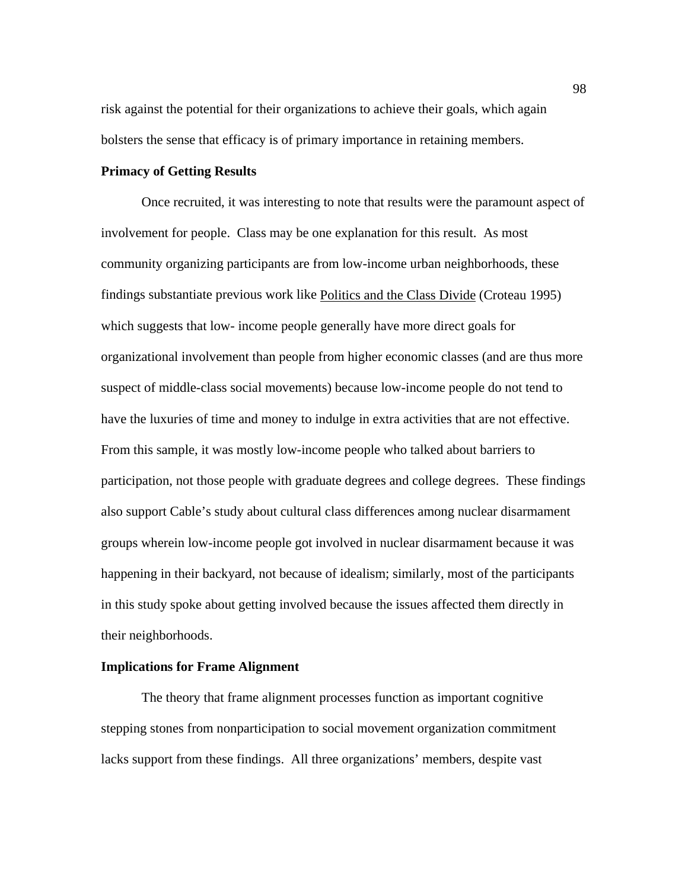risk against the potential for their organizations to achieve their goals, which again bolsters the sense that efficacy is of primary importance in retaining members.

#### **Primacy of Getting Results**

 Once recruited, it was interesting to note that results were the paramount aspect of involvement for people. Class may be one explanation for this result. As most community organizing participants are from low-income urban neighborhoods, these findings substantiate previous work like Politics and the Class Divide (Croteau 1995) which suggests that low- income people generally have more direct goals for organizational involvement than people from higher economic classes (and are thus more suspect of middle-class social movements) because low-income people do not tend to have the luxuries of time and money to indulge in extra activities that are not effective. From this sample, it was mostly low-income people who talked about barriers to participation, not those people with graduate degrees and college degrees. These findings also support Cable's study about cultural class differences among nuclear disarmament groups wherein low-income people got involved in nuclear disarmament because it was happening in their backyard, not because of idealism; similarly, most of the participants in this study spoke about getting involved because the issues affected them directly in their neighborhoods.

# **Implications for Frame Alignment**

The theory that frame alignment processes function as important cognitive stepping stones from nonparticipation to social movement organization commitment lacks support from these findings. All three organizations' members, despite vast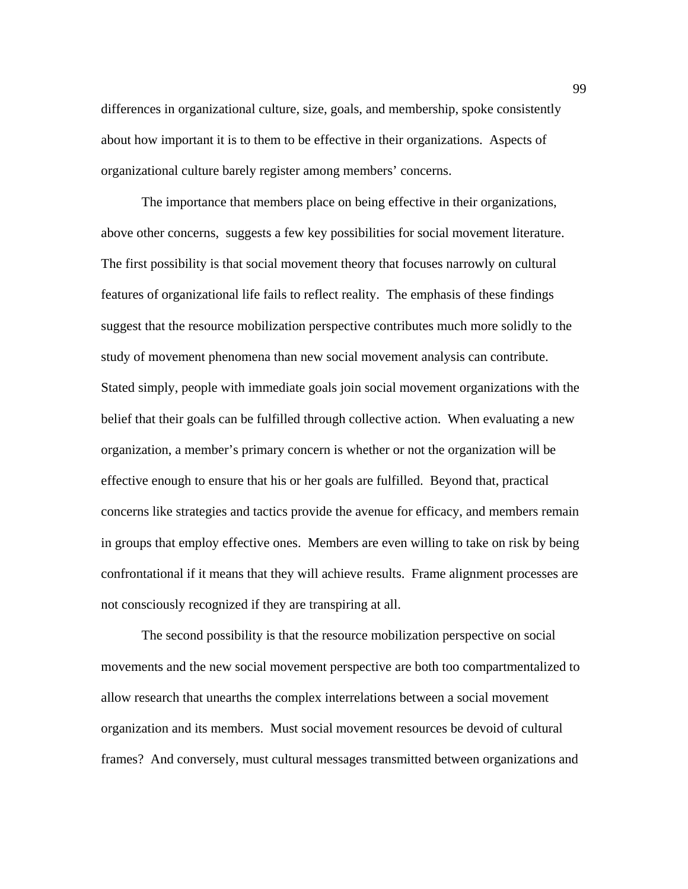differences in organizational culture, size, goals, and membership, spoke consistently about how important it is to them to be effective in their organizations. Aspects of organizational culture barely register among members' concerns.

The importance that members place on being effective in their organizations, above other concerns, suggests a few key possibilities for social movement literature. The first possibility is that social movement theory that focuses narrowly on cultural features of organizational life fails to reflect reality. The emphasis of these findings suggest that the resource mobilization perspective contributes much more solidly to the study of movement phenomena than new social movement analysis can contribute. Stated simply, people with immediate goals join social movement organizations with the belief that their goals can be fulfilled through collective action. When evaluating a new organization, a member's primary concern is whether or not the organization will be effective enough to ensure that his or her goals are fulfilled. Beyond that, practical concerns like strategies and tactics provide the avenue for efficacy, and members remain in groups that employ effective ones. Members are even willing to take on risk by being confrontational if it means that they will achieve results. Frame alignment processes are not consciously recognized if they are transpiring at all.

The second possibility is that the resource mobilization perspective on social movements and the new social movement perspective are both too compartmentalized to allow research that unearths the complex interrelations between a social movement organization and its members. Must social movement resources be devoid of cultural frames? And conversely, must cultural messages transmitted between organizations and

99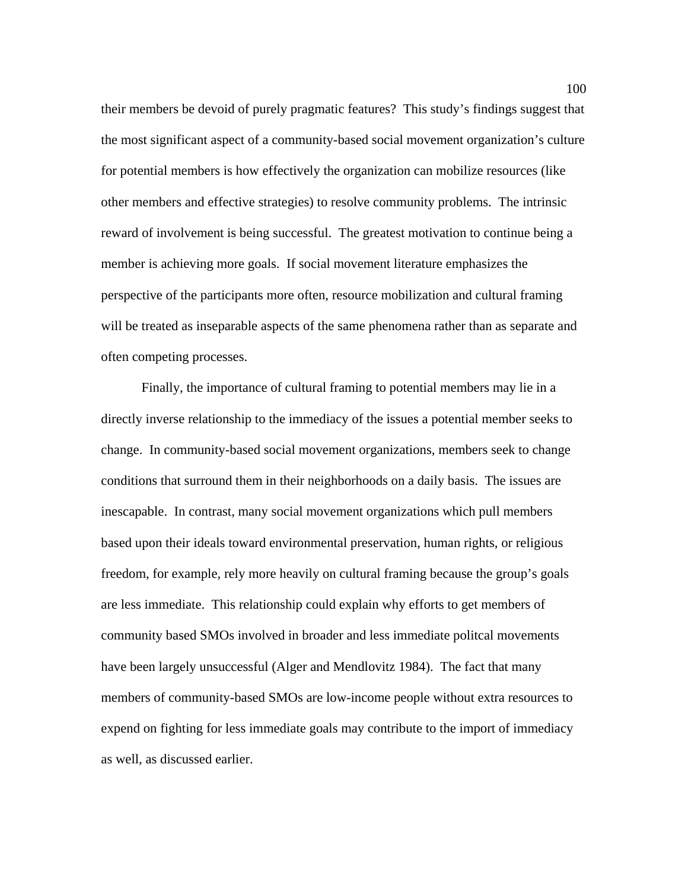their members be devoid of purely pragmatic features? This study's findings suggest that the most significant aspect of a community-based social movement organization's culture for potential members is how effectively the organization can mobilize resources (like other members and effective strategies) to resolve community problems. The intrinsic reward of involvement is being successful. The greatest motivation to continue being a member is achieving more goals. If social movement literature emphasizes the perspective of the participants more often, resource mobilization and cultural framing will be treated as inseparable aspects of the same phenomena rather than as separate and often competing processes.

Finally, the importance of cultural framing to potential members may lie in a directly inverse relationship to the immediacy of the issues a potential member seeks to change. In community-based social movement organizations, members seek to change conditions that surround them in their neighborhoods on a daily basis. The issues are inescapable. In contrast, many social movement organizations which pull members based upon their ideals toward environmental preservation, human rights, or religious freedom, for example, rely more heavily on cultural framing because the group's goals are less immediate. This relationship could explain why efforts to get members of community based SMOs involved in broader and less immediate politcal movements have been largely unsuccessful (Alger and Mendlovitz 1984). The fact that many members of community-based SMOs are low-income people without extra resources to expend on fighting for less immediate goals may contribute to the import of immediacy as well, as discussed earlier.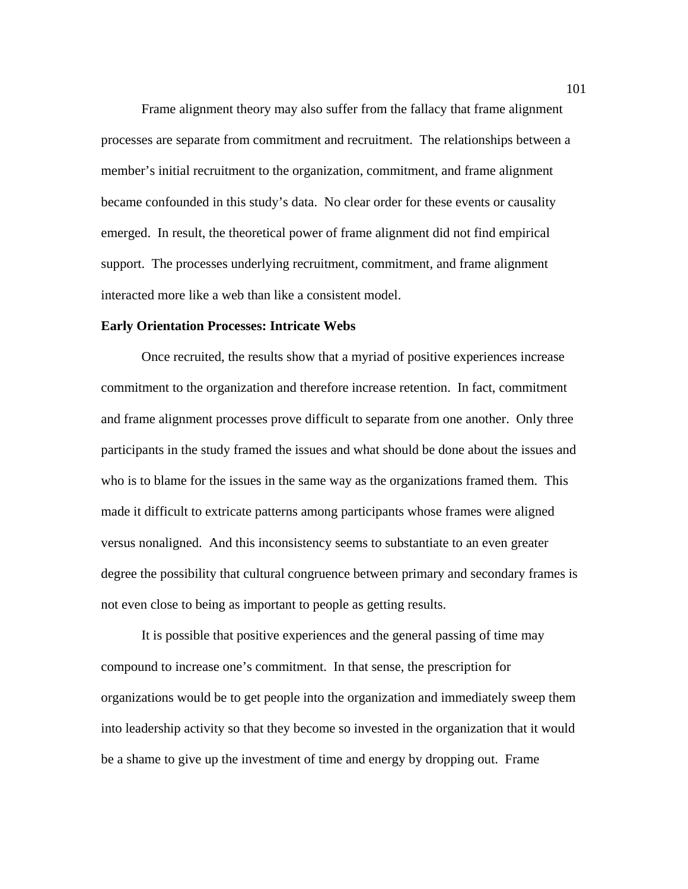Frame alignment theory may also suffer from the fallacy that frame alignment processes are separate from commitment and recruitment. The relationships between a member's initial recruitment to the organization, commitment, and frame alignment became confounded in this study's data. No clear order for these events or causality emerged. In result, the theoretical power of frame alignment did not find empirical support. The processes underlying recruitment, commitment, and frame alignment interacted more like a web than like a consistent model.

#### **Early Orientation Processes: Intricate Webs**

 Once recruited, the results show that a myriad of positive experiences increase commitment to the organization and therefore increase retention. In fact, commitment and frame alignment processes prove difficult to separate from one another. Only three participants in the study framed the issues and what should be done about the issues and who is to blame for the issues in the same way as the organizations framed them. This made it difficult to extricate patterns among participants whose frames were aligned versus nonaligned. And this inconsistency seems to substantiate to an even greater degree the possibility that cultural congruence between primary and secondary frames is not even close to being as important to people as getting results.

It is possible that positive experiences and the general passing of time may compound to increase one's commitment. In that sense, the prescription for organizations would be to get people into the organization and immediately sweep them into leadership activity so that they become so invested in the organization that it would be a shame to give up the investment of time and energy by dropping out. Frame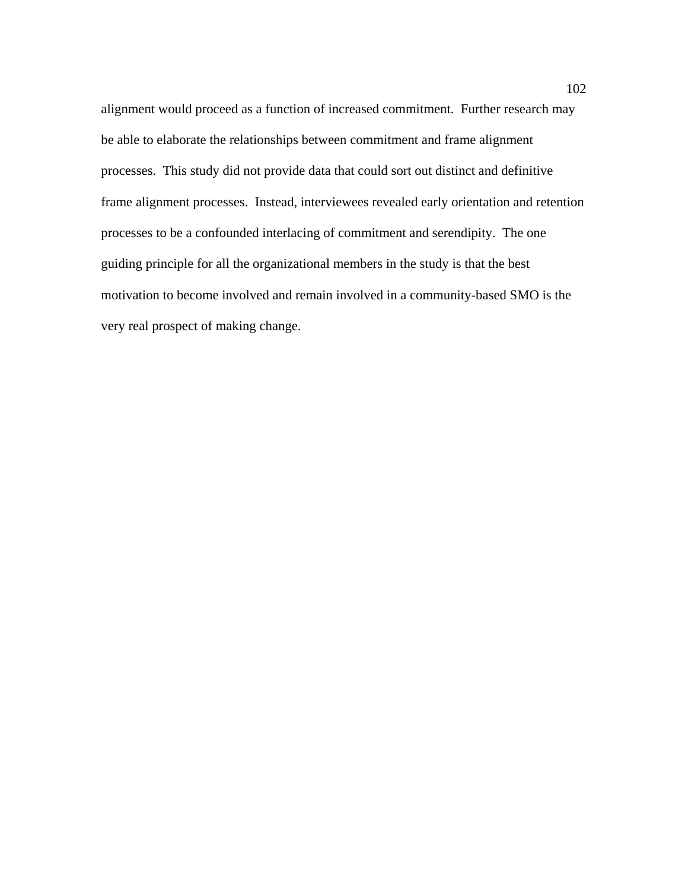alignment would proceed as a function of increased commitment. Further research may be able to elaborate the relationships between commitment and frame alignment processes. This study did not provide data that could sort out distinct and definitive frame alignment processes. Instead, interviewees revealed early orientation and retention processes to be a confounded interlacing of commitment and serendipity. The one guiding principle for all the organizational members in the study is that the best motivation to become involved and remain involved in a community-based SMO is the very real prospect of making change.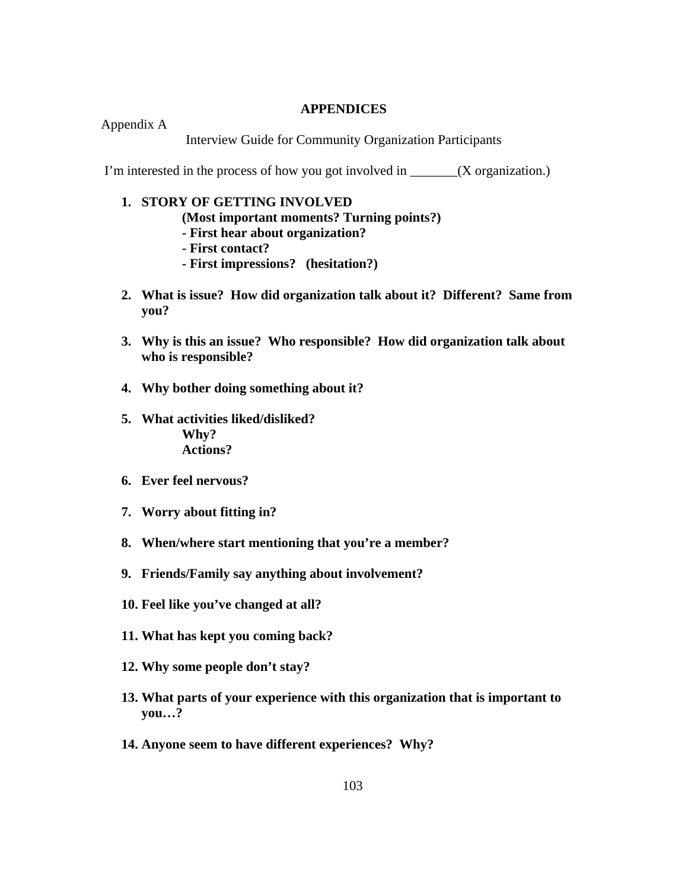#### **APPENDICES**

Appendix A

Interview Guide for Community Organization Participants

I'm interested in the process of how you got involved in \_\_\_\_\_\_\_(X organization.)

#### **1. STORY OF GETTING INVOLVED**

**(Most important moments? Turning points?)** 

- **First hear about organization?**
- **First contact?**
- **First impressions? (hesitation?)**
- **2. What is issue? How did organization talk about it? Different? Same from you?**
- **3. Why is this an issue? Who responsible? How did organization talk about who is responsible?**
- **4. Why bother doing something about it?**
- **5. What activities liked/disliked? Why? Actions?**
- **6. Ever feel nervous?**
- **7. Worry about fitting in?**
- **8. When/where start mentioning that you're a member?**
- **9. Friends/Family say anything about involvement?**
- **10. Feel like you've changed at all?**
- **11. What has kept you coming back?**
- **12. Why some people don't stay?**
- **13. What parts of your experience with this organization that is important to you…?**
- **14. Anyone seem to have different experiences? Why?**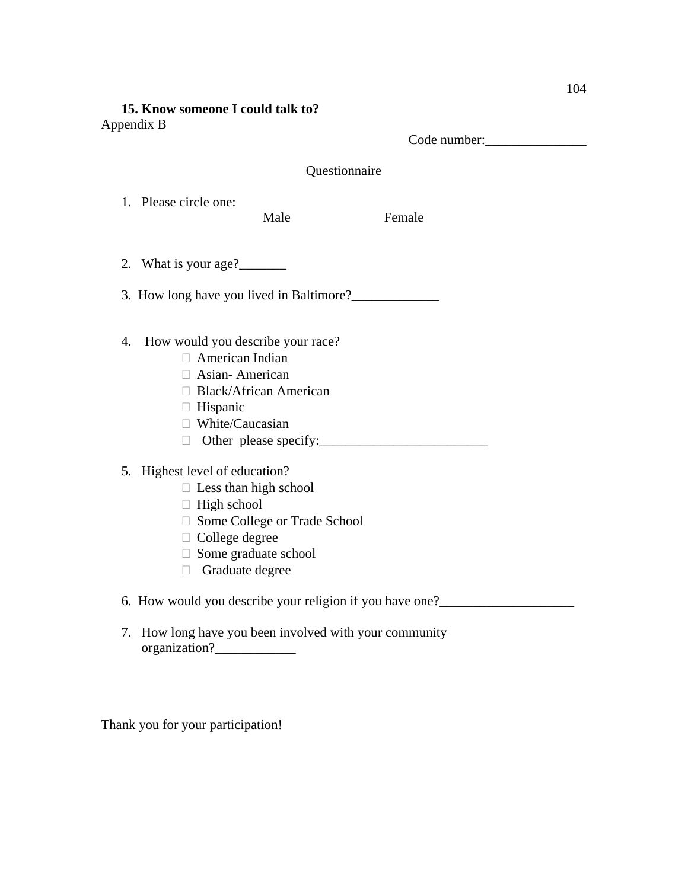# **15. Know someone I could talk to?**  Appendix B

Code number:\_\_\_\_\_\_\_\_\_\_\_\_\_\_\_

| Questionnaire                                                                                                                                                                                     |      |        |
|---------------------------------------------------------------------------------------------------------------------------------------------------------------------------------------------------|------|--------|
| 1. Please circle one:                                                                                                                                                                             | Male | Female |
| 2. What is your age?                                                                                                                                                                              |      |        |
|                                                                                                                                                                                                   |      |        |
| How would you describe your race?<br>4.<br>$\Box$ American Indian<br>$\Box$ Asian-American<br>□ Black/African American<br>$\Box$ Hispanic<br>$\Box$ White/Caucasian<br>Other please specify:<br>П |      |        |
| 5. Highest level of education?<br>$\Box$ Less than high school<br>$\Box$ High school<br>□ Some College or Trade School<br>$\Box$ College degree<br>$\Box$ Some graduate school<br>Graduate degree |      |        |
| 6. How would you describe your religion if you have one?________________________                                                                                                                  |      |        |
| How long have you been involved with your community<br>7.                                                                                                                                         |      |        |

Thank you for your participation!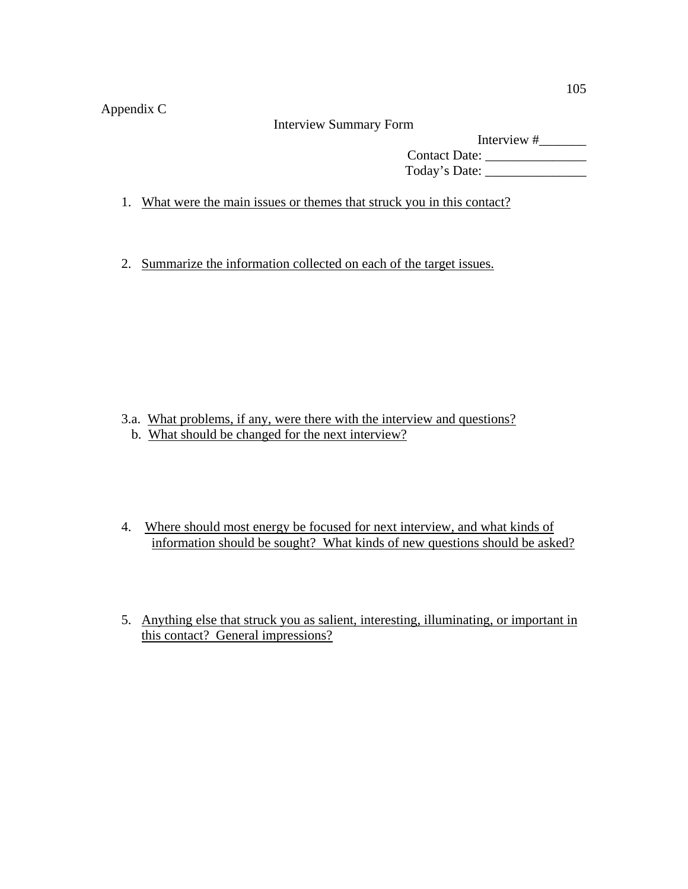Appendix C

Interview Summary Form

Interview #\_\_\_\_\_\_\_ Contact Date: Today's Date: \_\_\_\_\_\_\_\_\_\_\_\_\_\_\_

1. What were the main issues or themes that struck you in this contact?

2. Summarize the information collected on each of the target issues.

- 3.a. What problems, if any, were there with the interview and questions?
	- b. What should be changed for the next interview?
- 4. Where should most energy be focused for next interview, and what kinds of information should be sought? What kinds of new questions should be asked?
- 5. Anything else that struck you as salient, interesting, illuminating, or important in this contact? General impressions?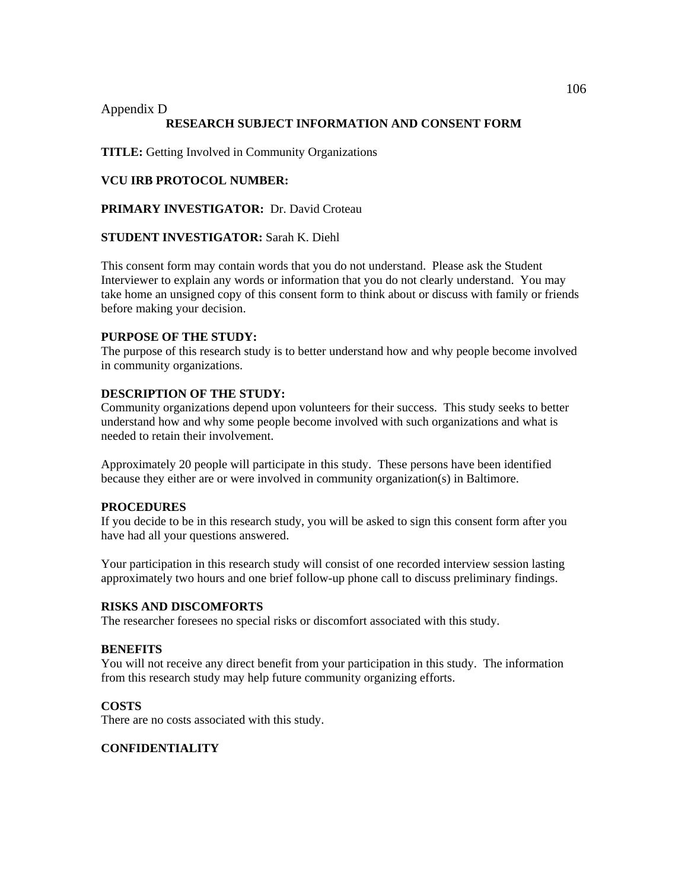## Appendix D **RESEARCH SUBJECT INFORMATION AND CONSENT FORM**

**TITLE:** Getting Involved in Community Organizations

## **VCU IRB PROTOCOL NUMBER:**

**PRIMARY INVESTIGATOR:** Dr. David Croteau

## **STUDENT INVESTIGATOR:** Sarah K. Diehl

This consent form may contain words that you do not understand. Please ask the Student Interviewer to explain any words or information that you do not clearly understand. You may take home an unsigned copy of this consent form to think about or discuss with family or friends before making your decision.

## **PURPOSE OF THE STUDY:**

The purpose of this research study is to better understand how and why people become involved in community organizations.

#### **DESCRIPTION OF THE STUDY:**

Community organizations depend upon volunteers for their success. This study seeks to better understand how and why some people become involved with such organizations and what is needed to retain their involvement.

Approximately 20 people will participate in this study. These persons have been identified because they either are or were involved in community organization(s) in Baltimore.

#### **PROCEDURES**

If you decide to be in this research study, you will be asked to sign this consent form after you have had all your questions answered.

Your participation in this research study will consist of one recorded interview session lasting approximately two hours and one brief follow-up phone call to discuss preliminary findings.

#### **RISKS AND DISCOMFORTS**

The researcher foresees no special risks or discomfort associated with this study.

#### **BENEFITS**

You will not receive any direct benefit from your participation in this study. The information from this research study may help future community organizing efforts.

#### **COSTS**

There are no costs associated with this study.

#### **CONFIDENTIALITY**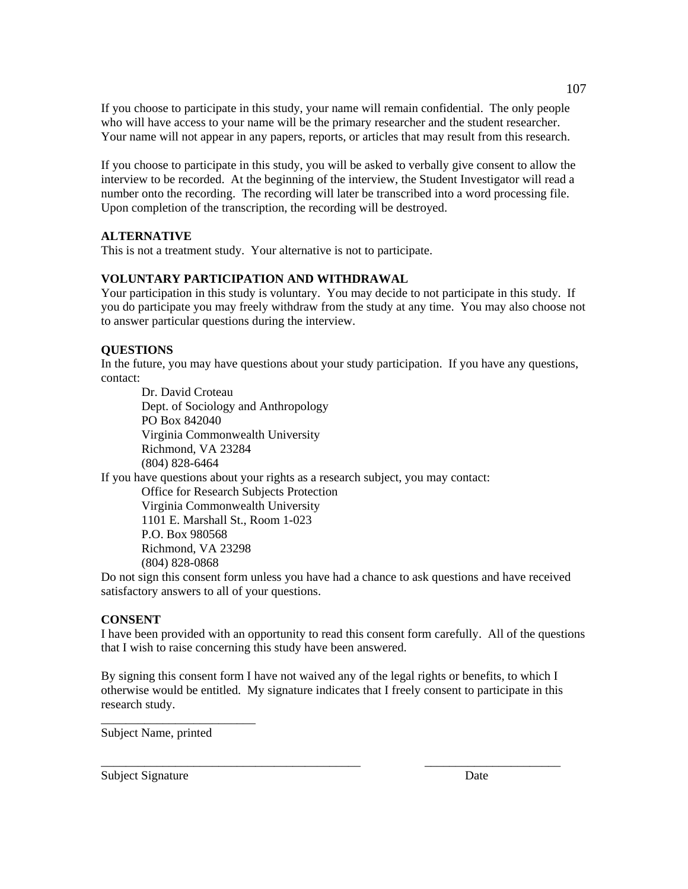If you choose to participate in this study, your name will remain confidential. The only people who will have access to your name will be the primary researcher and the student researcher. Your name will not appear in any papers, reports, or articles that may result from this research.

If you choose to participate in this study, you will be asked to verbally give consent to allow the interview to be recorded. At the beginning of the interview, the Student Investigator will read a number onto the recording. The recording will later be transcribed into a word processing file. Upon completion of the transcription, the recording will be destroyed.

## **ALTERNATIVE**

This is not a treatment study. Your alternative is not to participate.

#### **VOLUNTARY PARTICIPATION AND WITHDRAWAL**

Your participation in this study is voluntary. You may decide to not participate in this study. If you do participate you may freely withdraw from the study at any time. You may also choose not to answer particular questions during the interview.

## **QUESTIONS**

In the future, you may have questions about your study participation. If you have any questions, contact:

Dr. David Croteau Dept. of Sociology and Anthropology PO Box 842040 Virginia Commonwealth University Richmond, VA 23284 (804) 828-6464

If you have questions about your rights as a research subject, you may contact:

Office for Research Subjects Protection Virginia Commonwealth University 1101 E. Marshall St., Room 1-023 P.O. Box 980568 Richmond, VA 23298 (804) 828-0868

Do not sign this consent form unless you have had a chance to ask questions and have received satisfactory answers to all of your questions.

#### **CONSENT**

I have been provided with an opportunity to read this consent form carefully. All of the questions that I wish to raise concerning this study have been answered.

By signing this consent form I have not waived any of the legal rights or benefits, to which I otherwise would be entitled. My signature indicates that I freely consent to participate in this research study.

\_\_\_\_\_\_\_\_\_\_\_\_\_\_\_\_\_\_\_\_\_\_\_\_\_\_\_\_\_\_\_\_\_\_\_\_\_\_\_\_\_\_ \_\_\_\_\_\_\_\_\_\_\_\_\_\_\_\_\_\_\_\_\_\_

Subject Name, printed

\_\_\_\_\_\_\_\_\_\_\_\_\_\_\_\_\_\_\_\_\_\_\_\_\_

Subject Signature Date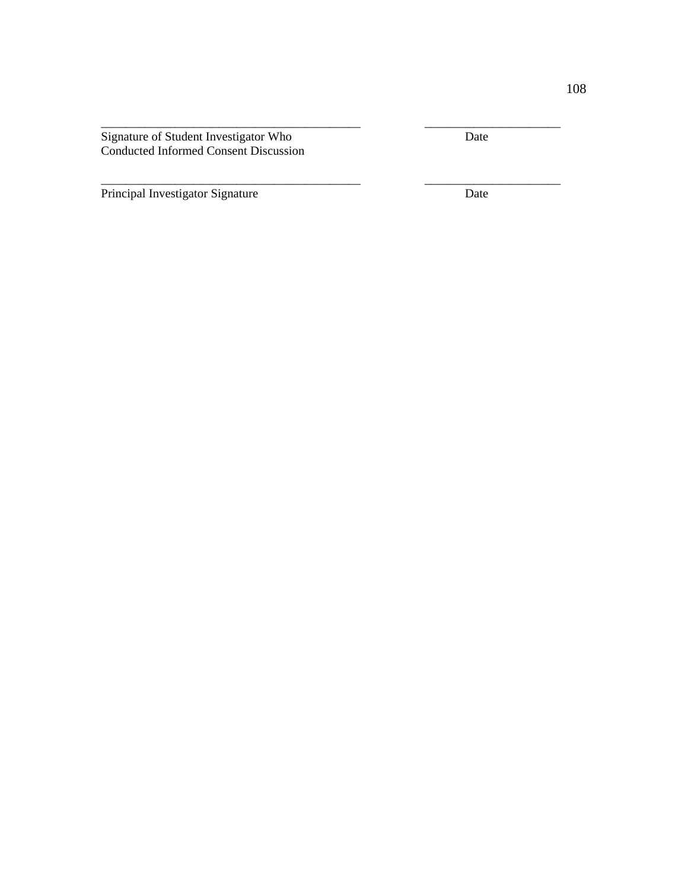Signature of Student Investigator Who Date Conducted Informed Consent Discussion

\_\_\_\_\_\_\_\_\_\_\_\_\_\_\_\_\_\_\_\_\_\_\_\_\_\_\_\_\_\_\_\_\_\_\_\_\_\_\_\_\_\_ \_\_\_\_\_\_\_\_\_\_\_\_\_\_\_\_\_\_\_\_\_\_

\_\_\_\_\_\_\_\_\_\_\_\_\_\_\_\_\_\_\_\_\_\_\_\_\_\_\_\_\_\_\_\_\_\_\_\_\_\_\_\_\_\_ \_\_\_\_\_\_\_\_\_\_\_\_\_\_\_\_\_\_\_\_\_\_

Principal Investigator Signature Date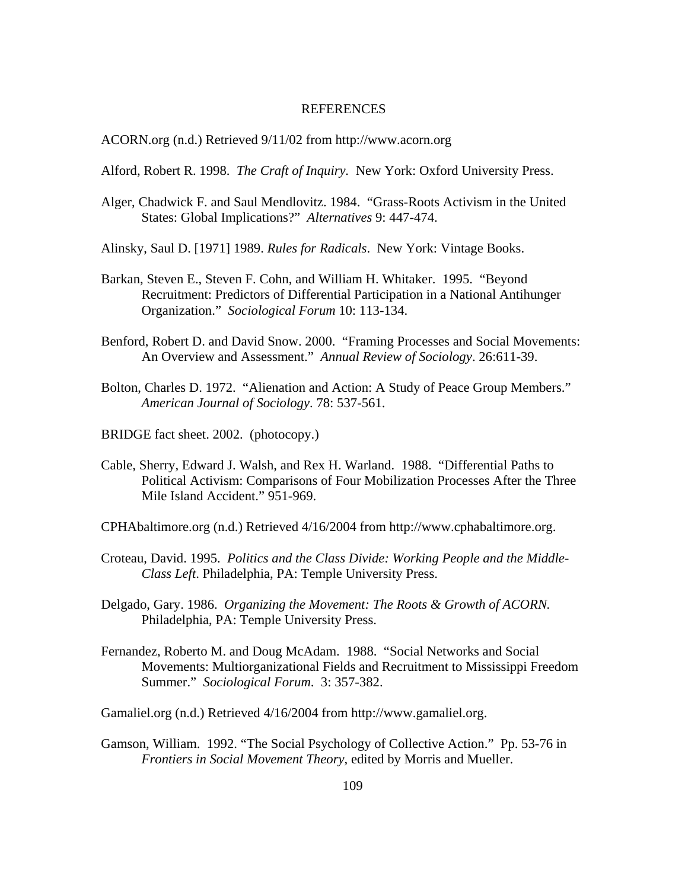#### REFERENCES

ACORN.org (n.d.) Retrieved 9/11/02 from http://www.acorn.org

Alford, Robert R. 1998. *The Craft of Inquiry.* New York: Oxford University Press.

- Alger, Chadwick F. and Saul Mendlovitz. 1984. "Grass-Roots Activism in the United States: Global Implications?" *Alternatives* 9: 447-474.
- Alinsky, Saul D. [1971] 1989. *Rules for Radicals*. New York: Vintage Books.
- Barkan, Steven E., Steven F. Cohn, and William H. Whitaker. 1995. "Beyond Recruitment: Predictors of Differential Participation in a National Antihunger Organization." *Sociological Forum* 10: 113-134.
- Benford, Robert D. and David Snow. 2000. "Framing Processes and Social Movements: An Overview and Assessment." *Annual Review of Sociology*. 26:611-39.
- Bolton, Charles D. 1972. "Alienation and Action: A Study of Peace Group Members." *American Journal of Sociology*. 78: 537-561.
- BRIDGE fact sheet. 2002. (photocopy.)
- Cable, Sherry, Edward J. Walsh, and Rex H. Warland. 1988. "Differential Paths to Political Activism: Comparisons of Four Mobilization Processes After the Three Mile Island Accident." 951-969.
- CPHAbaltimore.org (n.d.) Retrieved 4/16/2004 from http://www.cphabaltimore.org.
- Croteau, David. 1995. *Politics and the Class Divide: Working People and the Middle-Class Left*. Philadelphia, PA: Temple University Press.
- Delgado, Gary. 1986. *Organizing the Movement: The Roots & Growth of ACORN.* Philadelphia, PA: Temple University Press.
- Fernandez, Roberto M. and Doug McAdam. 1988. "Social Networks and Social Movements: Multiorganizational Fields and Recruitment to Mississippi Freedom Summer." *Sociological Forum*. 3: 357-382.

Gamaliel.org (n.d.) Retrieved 4/16/2004 from http://www.gamaliel.org.

Gamson, William. 1992. "The Social Psychology of Collective Action." Pp. 53-76 in *Frontiers in Social Movement Theory*, edited by Morris and Mueller.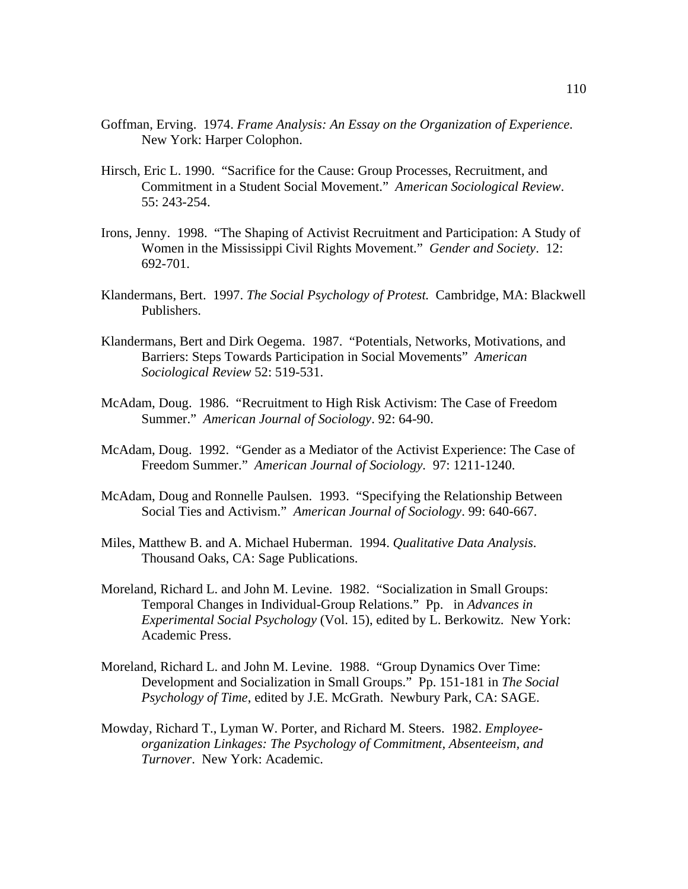- Goffman, Erving. 1974. *Frame Analysis: An Essay on the Organization of Experience*. New York: Harper Colophon.
- Hirsch, Eric L. 1990. "Sacrifice for the Cause: Group Processes, Recruitment, and Commitment in a Student Social Movement." *American Sociological Review*. 55: 243-254.
- Irons, Jenny. 1998. "The Shaping of Activist Recruitment and Participation: A Study of Women in the Mississippi Civil Rights Movement." *Gender and Society*. 12: 692-701.
- Klandermans, Bert. 1997. *The Social Psychology of Protest.* Cambridge, MA: Blackwell Publishers.
- Klandermans, Bert and Dirk Oegema. 1987. "Potentials, Networks, Motivations, and Barriers: Steps Towards Participation in Social Movements" *American Sociological Review* 52: 519-531.
- McAdam, Doug. 1986. "Recruitment to High Risk Activism: The Case of Freedom Summer." *American Journal of Sociology*. 92: 64-90.
- McAdam, Doug. 1992. "Gender as a Mediator of the Activist Experience: The Case of Freedom Summer." *American Journal of Sociology.* 97: 1211-1240.
- McAdam, Doug and Ronnelle Paulsen. 1993. "Specifying the Relationship Between Social Ties and Activism." *American Journal of Sociology*. 99: 640-667.
- Miles, Matthew B. and A. Michael Huberman. 1994. *Qualitative Data Analysis*. Thousand Oaks, CA: Sage Publications.
- Moreland, Richard L. and John M. Levine. 1982. "Socialization in Small Groups: Temporal Changes in Individual-Group Relations." Pp. in *Advances in Experimental Social Psychology* (Vol. 15), edited by L. Berkowitz. New York: Academic Press.
- Moreland, Richard L. and John M. Levine. 1988. "Group Dynamics Over Time: Development and Socialization in Small Groups." Pp. 151-181 in *The Social Psychology of Time*, edited by J.E. McGrath. Newbury Park, CA: SAGE.
- Mowday, Richard T., Lyman W. Porter, and Richard M. Steers. 1982. *Employeeorganization Linkages: The Psychology of Commitment, Absenteeism, and Turnover*. New York: Academic.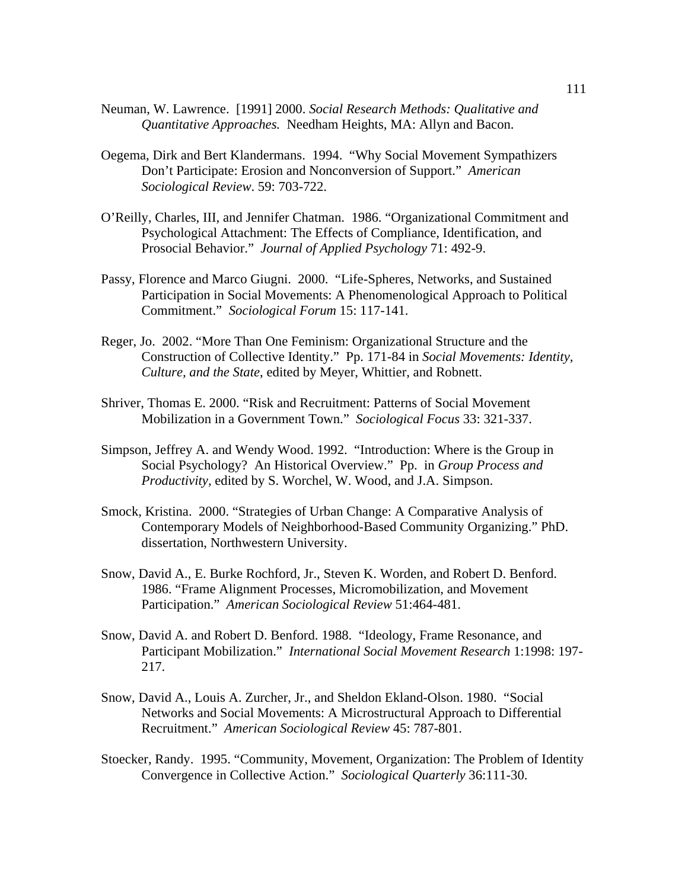- Neuman, W. Lawrence. [1991] 2000. *Social Research Methods: Qualitative and Quantitative Approaches.* Needham Heights, MA: Allyn and Bacon.
- Oegema, Dirk and Bert Klandermans. 1994. "Why Social Movement Sympathizers Don't Participate: Erosion and Nonconversion of Support." *American Sociological Review*. 59: 703-722.
- O'Reilly, Charles, III, and Jennifer Chatman. 1986. "Organizational Commitment and Psychological Attachment: The Effects of Compliance, Identification, and Prosocial Behavior." *Journal of Applied Psychology* 71: 492-9.
- Passy, Florence and Marco Giugni. 2000. "Life-Spheres, Networks, and Sustained Participation in Social Movements: A Phenomenological Approach to Political Commitment." *Sociological Forum* 15: 117-141.
- Reger, Jo. 2002. "More Than One Feminism: Organizational Structure and the Construction of Collective Identity." Pp. 171-84 in *Social Movements: Identity, Culture, and the State*, edited by Meyer, Whittier, and Robnett.
- Shriver, Thomas E. 2000. "Risk and Recruitment: Patterns of Social Movement Mobilization in a Government Town." *Sociological Focus* 33: 321-337.
- Simpson, Jeffrey A. and Wendy Wood. 1992. "Introduction: Where is the Group in Social Psychology? An Historical Overview." Pp. in *Group Process and Productivity,* edited by S. Worchel, W. Wood, and J.A. Simpson.
- Smock, Kristina. 2000. "Strategies of Urban Change: A Comparative Analysis of Contemporary Models of Neighborhood-Based Community Organizing." PhD. dissertation, Northwestern University.
- Snow, David A., E. Burke Rochford, Jr., Steven K. Worden, and Robert D. Benford. 1986. "Frame Alignment Processes, Micromobilization, and Movement Participation." *American Sociological Review* 51:464-481.
- Snow, David A. and Robert D. Benford. 1988. "Ideology, Frame Resonance, and Participant Mobilization." *International Social Movement Research* 1:1998: 197- 217.
- Snow, David A., Louis A. Zurcher, Jr., and Sheldon Ekland-Olson. 1980. "Social Networks and Social Movements: A Microstructural Approach to Differential Recruitment." *American Sociological Review* 45: 787-801.
- Stoecker, Randy. 1995. "Community, Movement, Organization: The Problem of Identity Convergence in Collective Action." *Sociological Quarterly* 36:111-30.